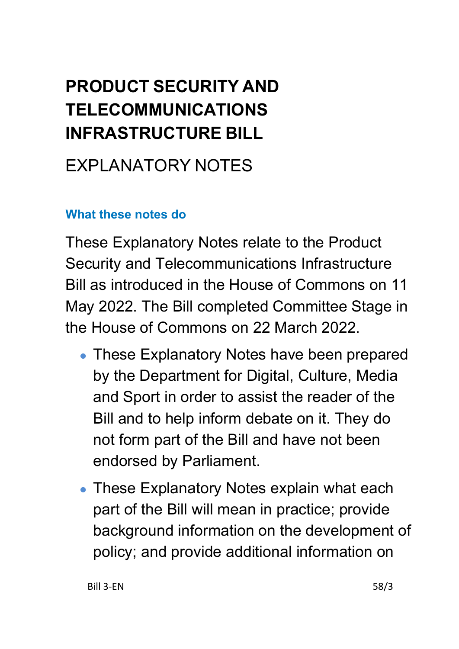# **PRODUCT SECURITY AND TELECOMMUNICATIONS INFRASTRUCTURE BILL**

# EXPLANATORY NOTES

#### **What these notes do**

These Explanatory Notes relate to the Product Security and Telecommunications Infrastructure Bill as introduced in the House of Commons on 11 May 2022. The Bill completed Committee Stage in the House of Commons on 22 March 2022.

- These Explanatory Notes have been prepared by the Department for Digital, Culture, Media and Sport in order to assist the reader of the Bill and to help inform debate on it. They do not form part of the Bill and have not been endorsed by Parliament.
- These Explanatory Notes explain what each part of the Bill will mean in practice; provide background information on the development of policy; and provide additional information on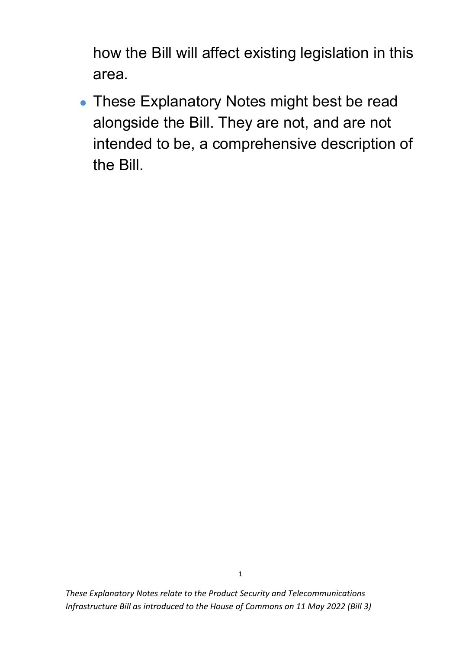how the Bill will affect existing legislation in this area.

• These Explanatory Notes might best be read alongside the Bill. They are not, and are not intended to be, a comprehensive description of the Bill.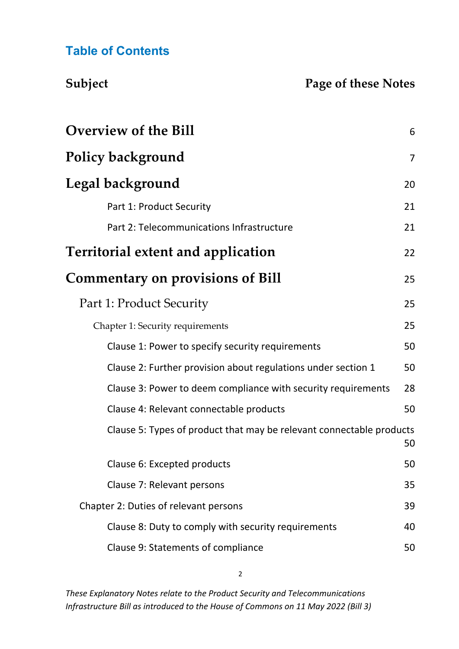#### **Table of Contents**

#### **Subject Page of these Notes**

| <b>Overview of the Bill</b>                                          | 6              |
|----------------------------------------------------------------------|----------------|
| <b>Policy background</b>                                             | $\overline{7}$ |
| Legal background                                                     | 20             |
| Part 1: Product Security                                             | 21             |
| Part 2: Telecommunications Infrastructure                            | 21             |
| Territorial extent and application                                   | 22             |
| <b>Commentary on provisions of Bill</b>                              | 25             |
| Part 1: Product Security                                             | 25             |
| Chapter 1: Security requirements                                     | 25             |
| Clause 1: Power to specify security requirements                     | 50             |
| Clause 2: Further provision about regulations under section 1        | 50             |
| Clause 3: Power to deem compliance with security requirements        | 28             |
| Clause 4: Relevant connectable products                              | 50             |
| Clause 5: Types of product that may be relevant connectable products | 50             |
| Clause 6: Excepted products                                          | 50             |
| Clause 7: Relevant persons                                           | 35             |
| Chapter 2: Duties of relevant persons                                | 39             |
| Clause 8: Duty to comply with security requirements                  | 40             |
| Clause 9: Statements of compliance                                   | 50             |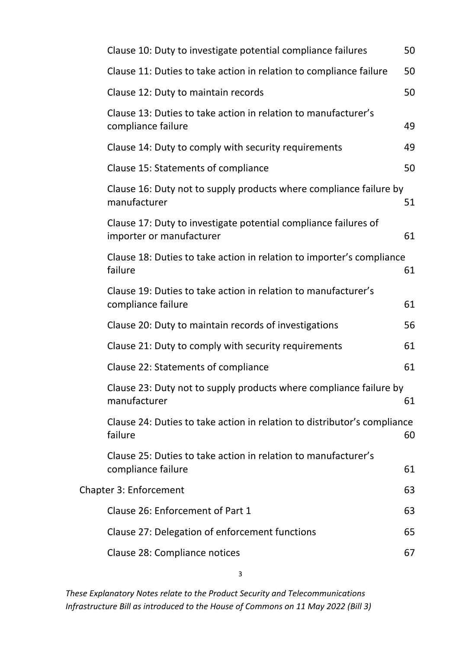| Clause 10: Duty to investigate potential compliance failures                                | 50 |
|---------------------------------------------------------------------------------------------|----|
| Clause 11: Duties to take action in relation to compliance failure                          | 50 |
| Clause 12: Duty to maintain records                                                         | 50 |
| Clause 13: Duties to take action in relation to manufacturer's<br>compliance failure        | 49 |
| Clause 14: Duty to comply with security requirements                                        | 49 |
| Clause 15: Statements of compliance                                                         | 50 |
| Clause 16: Duty not to supply products where compliance failure by<br>manufacturer          | 51 |
| Clause 17: Duty to investigate potential compliance failures of<br>importer or manufacturer | 61 |
| Clause 18: Duties to take action in relation to importer's compliance<br>failure            | 61 |
| Clause 19: Duties to take action in relation to manufacturer's<br>compliance failure        | 61 |
| Clause 20: Duty to maintain records of investigations                                       | 56 |
| Clause 21: Duty to comply with security requirements                                        | 61 |
| Clause 22: Statements of compliance                                                         | 61 |
| Clause 23: Duty not to supply products where compliance failure by<br>manufacturer          | 61 |
| Clause 24: Duties to take action in relation to distributor's compliance<br>failure         | 60 |
| Clause 25: Duties to take action in relation to manufacturer's<br>compliance failure        | 61 |
| <b>Chapter 3: Enforcement</b>                                                               | 63 |
| Clause 26: Enforcement of Part 1                                                            | 63 |
| Clause 27: Delegation of enforcement functions                                              | 65 |
| Clause 28: Compliance notices                                                               | 67 |
|                                                                                             |    |

3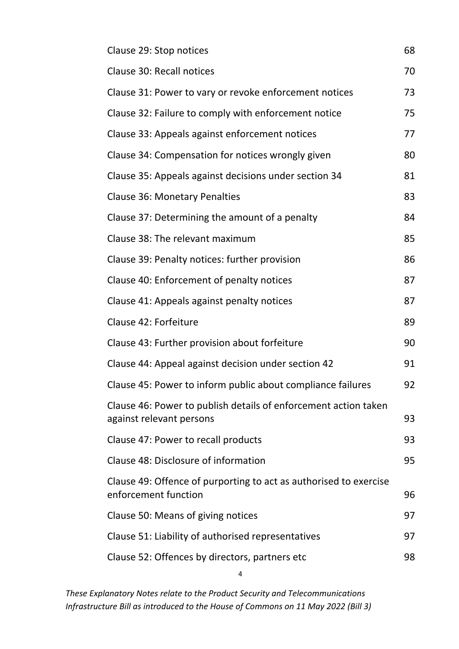| Clause 29: Stop notices                                                                     | 68 |
|---------------------------------------------------------------------------------------------|----|
| Clause 30: Recall notices                                                                   | 70 |
| Clause 31: Power to vary or revoke enforcement notices                                      | 73 |
| Clause 32: Failure to comply with enforcement notice                                        | 75 |
| Clause 33: Appeals against enforcement notices                                              | 77 |
| Clause 34: Compensation for notices wrongly given                                           | 80 |
| Clause 35: Appeals against decisions under section 34                                       | 81 |
| <b>Clause 36: Monetary Penalties</b>                                                        | 83 |
| Clause 37: Determining the amount of a penalty                                              | 84 |
| Clause 38: The relevant maximum                                                             | 85 |
| Clause 39: Penalty notices: further provision                                               | 86 |
| Clause 40: Enforcement of penalty notices                                                   | 87 |
| Clause 41: Appeals against penalty notices                                                  | 87 |
| Clause 42: Forfeiture                                                                       | 89 |
| Clause 43: Further provision about forfeiture                                               | 90 |
| Clause 44: Appeal against decision under section 42                                         | 91 |
| Clause 45: Power to inform public about compliance failures                                 | 92 |
| Clause 46: Power to publish details of enforcement action taken<br>against relevant persons | 93 |
| Clause 47: Power to recall products                                                         | 93 |
| Clause 48: Disclosure of information                                                        | 95 |
| Clause 49: Offence of purporting to act as authorised to exercise<br>enforcement function   | 96 |
| Clause 50: Means of giving notices                                                          | 97 |
| Clause 51: Liability of authorised representatives                                          | 97 |
| Clause 52: Offences by directors, partners etc                                              | 98 |
| 4                                                                                           |    |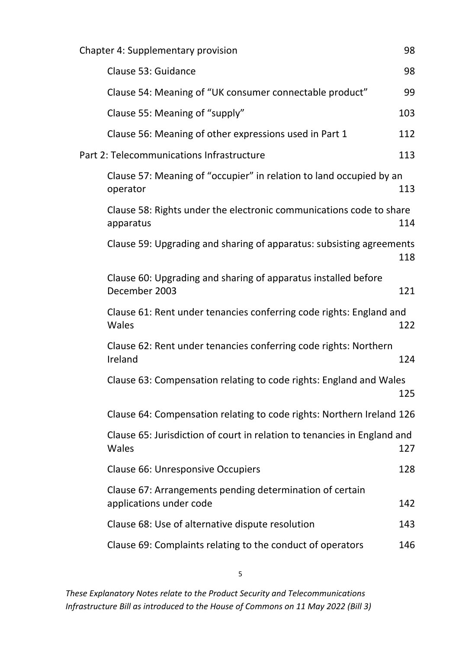| <b>Chapter 4: Supplementary provision</b>                                           | 98  |
|-------------------------------------------------------------------------------------|-----|
| Clause 53: Guidance                                                                 | 98  |
| Clause 54: Meaning of "UK consumer connectable product"                             | 99  |
| Clause 55: Meaning of "supply"                                                      | 103 |
| Clause 56: Meaning of other expressions used in Part 1                              | 112 |
| Part 2: Telecommunications Infrastructure                                           | 113 |
| Clause 57: Meaning of "occupier" in relation to land occupied by an<br>operator     | 113 |
| Clause 58: Rights under the electronic communications code to share<br>apparatus    | 114 |
| Clause 59: Upgrading and sharing of apparatus: subsisting agreements                | 118 |
| Clause 60: Upgrading and sharing of apparatus installed before<br>December 2003     | 121 |
| Clause 61: Rent under tenancies conferring code rights: England and<br>Wales        | 122 |
| Clause 62: Rent under tenancies conferring code rights: Northern<br>Ireland         | 124 |
| Clause 63: Compensation relating to code rights: England and Wales                  | 125 |
| Clause 64: Compensation relating to code rights: Northern Ireland 126               |     |
| Clause 65: Jurisdiction of court in relation to tenancies in England and<br>Wales   | 127 |
| Clause 66: Unresponsive Occupiers                                                   | 128 |
| Clause 67: Arrangements pending determination of certain<br>applications under code | 142 |
| Clause 68: Use of alternative dispute resolution                                    | 143 |
| Clause 69: Complaints relating to the conduct of operators                          | 146 |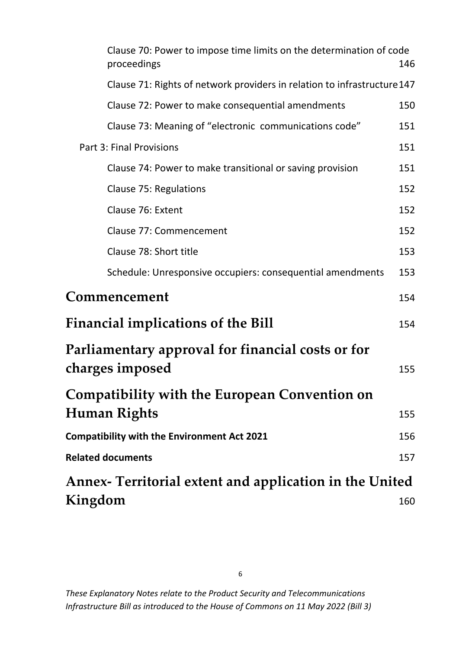<span id="page-6-0"></span>

| Clause 70: Power to impose time limits on the determination of code<br>proceedings | 146 |
|------------------------------------------------------------------------------------|-----|
| Clause 71: Rights of network providers in relation to infrastructure 147           |     |
| Clause 72: Power to make consequential amendments                                  | 150 |
| Clause 73: Meaning of "electronic communications code"                             | 151 |
| <b>Part 3: Final Provisions</b>                                                    | 151 |
| Clause 74: Power to make transitional or saving provision                          | 151 |
| Clause 75: Regulations                                                             | 152 |
| Clause 76: Extent                                                                  | 152 |
| Clause 77: Commencement                                                            | 152 |
| Clause 78: Short title                                                             | 153 |
| Schedule: Unresponsive occupiers: consequential amendments                         | 153 |
| Commencement                                                                       | 154 |
| <b>Financial implications of the Bill</b>                                          | 154 |
| <b>Parliamentary approval for financial costs or for</b>                           |     |
| charges imposed                                                                    | 155 |
| <b>Compatibility with the European Convention on</b>                               |     |
| Human Rights                                                                       | 155 |
| <b>Compatibility with the Environment Act 2021</b>                                 | 156 |
| <b>Related documents</b>                                                           | 157 |
| Annex- Territorial extent and application in the United                            |     |
| Kingdom                                                                            | 160 |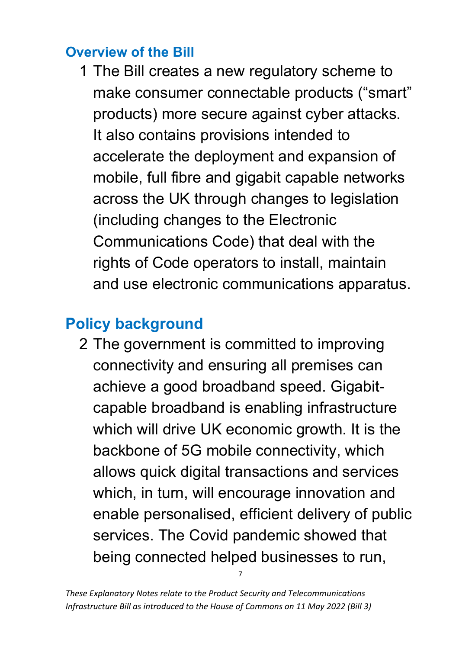#### **Overview of the Bill**

1 The Bill creates a new regulatory scheme to make consumer connectable products ("smart" products) more secure against cyber attacks. It also contains provisions intended to accelerate the deployment and expansion of mobile, full fibre and gigabit capable networks across the UK through changes to legislation (including changes to the Electronic Communications Code) that deal with the rights of Code operators to install, maintain and use electronic communications apparatus.

# <span id="page-7-0"></span>**Policy background**

2 The government is committed to improving connectivity and ensuring all premises can achieve a good broadband speed. Gigabitcapable broadband is enabling infrastructure which will drive UK economic growth. It is the backbone of 5G mobile connectivity, which allows quick digital transactions and services which, in turn, will encourage innovation and enable personalised, efficient delivery of public services. The Covid pandemic showed that being connected helped businesses to run,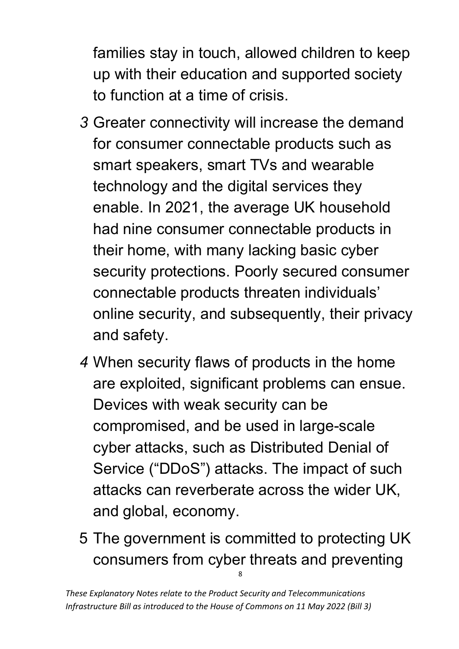families stay in touch, allowed children to keep up with their education and supported society to function at a time of crisis.

- *3* Greater connectivity will increase the demand for consumer connectable products such as smart speakers, smart TVs and wearable technology and the digital services they enable. In 2021, the average UK household had nine consumer connectable products in their home, with many lacking basic cyber security protections. Poorly secured consumer connectable products threaten individuals' online security, and subsequently, their privacy and safety.
- *4* When security flaws of products in the home are exploited, significant problems can ensue. Devices with weak security can be compromised, and be used in large-scale cyber attacks, such as Distributed Denial of Service ("DDoS") attacks. The impact of such attacks can reverberate across the wider UK, and global, economy.
- 8 5 The government is committed to protecting UK consumers from cyber threats and preventing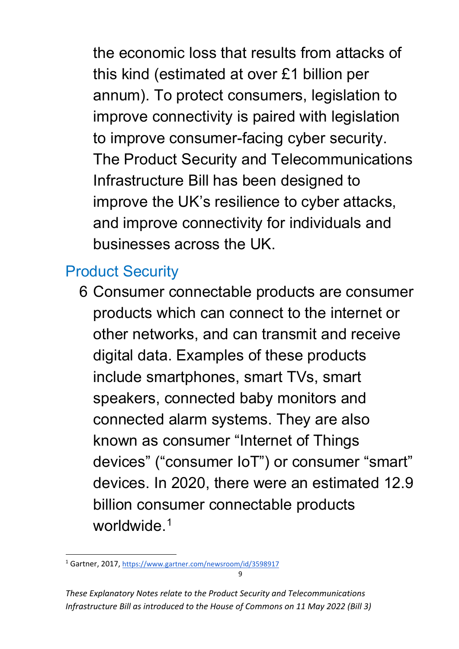the economic loss that results from attacks of this kind (estimated at over £1 billion per annum). To protect consumers, legislation to improve connectivity is paired with legislation to improve consumer-facing cyber security. The Product Security and Telecommunications Infrastructure Bill has been designed to improve the UK's resilience to cyber attacks, and improve connectivity for individuals and businesses across the UK.

## Product Security

6 Consumer connectable products are consumer products which can connect to the internet or other networks, and can transmit and receive digital data. Examples of these products include smartphones, smart TVs, smart speakers, connected baby monitors and connected alarm systems. They are also known as consumer "Internet of Things devices" ("consumer IoT") or consumer "smart" devices. In 2020, there were an estimated 12.9 billion consumer connectable products worldwide.<sup>[1](#page-9-0)</sup>

<span id="page-9-0"></span> $\alpha$ <sup>1</sup> Gartner, 2017[, https://www.gartner.com/newsroom/id/3598917](https://www.gartner.com/newsroom/id/3598917)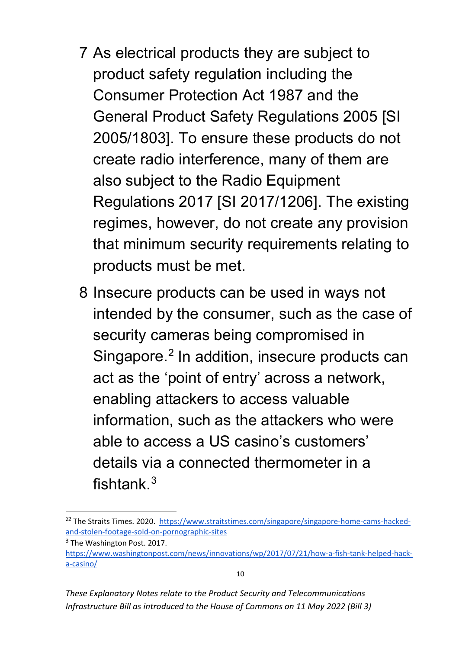- 7 As electrical products they are subject to product safety regulation including the Consumer Protection Act 1987 and the General Product Safety Regulations 2005 [SI 2005/1803]. To ensure these products do not create radio interference, many of them are also subject to the Radio Equipment Regulations 2017 [SI 2017/1206]. The existing regimes, however, do not create any provision that minimum security requirements relating to products must be met.
- 8 Insecure products can be used in ways not intended by the consumer, such as the case of security cameras being compromised in Singapore.<sup>[2](#page-10-0)</sup> In addition, insecure products can act as the 'point of entry' across a network, enabling attackers to access valuable information, such as the attackers who were able to access a US casino's customers' details via a connected thermometer in a fishtank.[3](#page-10-1)

<span id="page-10-0"></span><sup>&</sup>lt;sup>22</sup> The Straits Times. 2020. [https://www.straitstimes.com/singapore/singapore-home-cams-hacked](https://www.straitstimes.com/singapore/singapore-home-cams-hacked-and-stolen-footage-sold-on-pornographic-sites)[and-stolen-footage-sold-on-pornographic-sites](https://www.straitstimes.com/singapore/singapore-home-cams-hacked-and-stolen-footage-sold-on-pornographic-sites)

<span id="page-10-1"></span><sup>&</sup>lt;sup>3</sup> The Washington Post. 2017.

[https://www.washingtonpost.com/news/innovations/wp/2017/07/21/how-a-fish-tank-helped-hack](https://www.washingtonpost.com/news/innovations/wp/2017/07/21/how-a-fish-tank-helped-hack-a-casino/)[a-casino/](https://www.washingtonpost.com/news/innovations/wp/2017/07/21/how-a-fish-tank-helped-hack-a-casino/)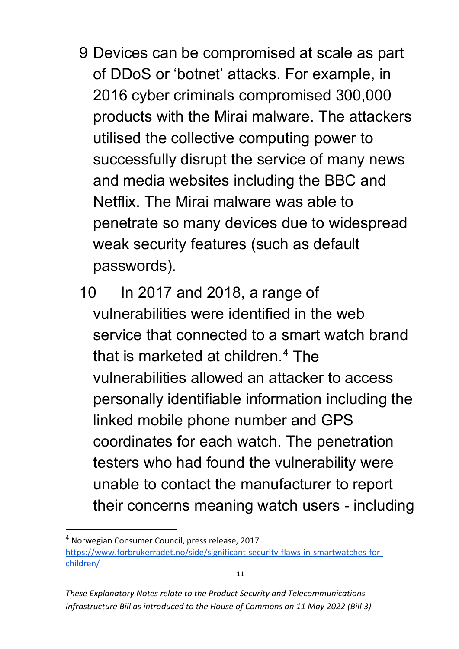- 9 Devices can be compromised at scale as part of DDoS or 'botnet' attacks. For example, in 2016 cyber criminals compromised 300,000 products with the Mirai malware. The attackers utilised the collective computing power to successfully disrupt the service of many news and media websites including the BBC and Netflix. The Mirai malware was able to penetrate so many devices due to widespread weak security features (such as default passwords).
- 10 In 2017 and 2018, a range of vulnerabilities were identified in the web service that connected to a smart watch brand that is marketed at children.[4](#page-11-0) The vulnerabilities allowed an attacker to access personally identifiable information including the linked mobile phone number and GPS coordinates for each watch. The penetration testers who had found the vulnerability were unable to contact the manufacturer to report their concerns meaning watch users - including

*These Explanatory Notes relate to the Product Security and Telecommunications Infrastructure Bill as introduced to the House of Commons on 11 May 2022 (Bill 3)*

<span id="page-11-0"></span><sup>4</sup> Norwegian Consumer Council, press release, 2017 [https://www.forbrukerradet.no/side/significant-security-flaws-in-smartwatches-for](https://www.forbrukerradet.no/side/significant-security-flaws-in-smartwatches-for-children/)[children/](https://www.forbrukerradet.no/side/significant-security-flaws-in-smartwatches-for-children/)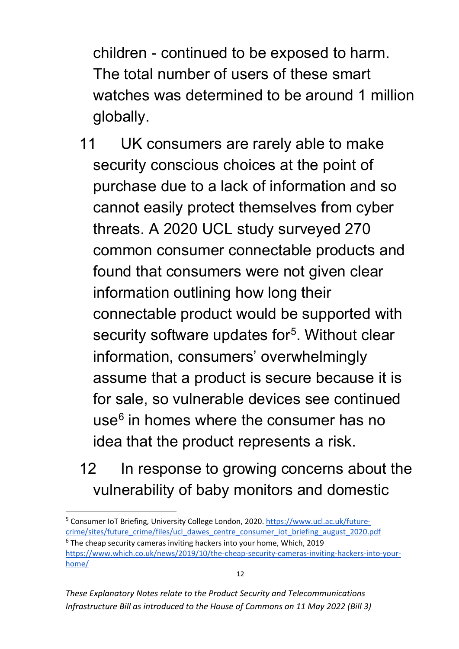children - continued to be exposed to harm. The total number of users of these smart watches was determined to be around 1 million globally.

- 11 UK consumers are rarely able to make security conscious choices at the point of purchase due to a lack of information and so cannot easily protect themselves from cyber threats. A 2020 UCL study surveyed 270 common consumer connectable products and found that consumers were not given clear information outlining how long their connectable product would be supported with security software updates for<sup>5</sup>. Without clear information, consumers' overwhelmingly assume that a product is secure because it is for sale, so vulnerable devices see continued use $<sup>6</sup>$  $<sup>6</sup>$  $<sup>6</sup>$  in homes where the consumer has no</sup> idea that the product represents a risk.
- 12 In response to growing concerns about the vulnerability of baby monitors and domestic

<span id="page-12-1"></span><span id="page-12-0"></span><sup>5</sup> Consumer IoT Briefing, University College London, 2020. [https://www.ucl.ac.uk/future](https://www.ucl.ac.uk/future-crime/sites/future_crime/files/ucl_dawes_centre_consumer_iot_briefing_august_2020.pdf)[crime/sites/future\\_crime/files/ucl\\_dawes\\_centre\\_consumer\\_iot\\_briefing\\_august\\_2020.pdf](https://www.ucl.ac.uk/future-crime/sites/future_crime/files/ucl_dawes_centre_consumer_iot_briefing_august_2020.pdf)  $6$  The cheap security cameras inviting hackers into your home, Which, 2019 [https://www.which.co.uk/news/2019/10/the-cheap-security-cameras-inviting-hackers-into-your](https://www.which.co.uk/news/2019/10/the-cheap-security-cameras-inviting-hackers-into-your-home/)[home/](https://www.which.co.uk/news/2019/10/the-cheap-security-cameras-inviting-hackers-into-your-home/)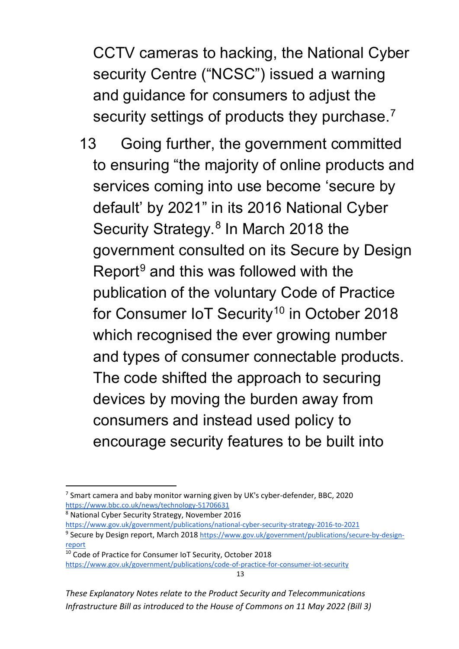CCTV cameras to hacking, the National Cyber security Centre ("NCSC") issued a warning and guidance for consumers to adjust the security settings of products they purchase.<sup>[7](#page-13-0)</sup>

13 Going further, the government committed to ensuring "the majority of online products and services coming into use become 'secure by default' by 2021" in its 2016 National Cyber Security Strategy.<sup>[8](#page-13-1)</sup> In March 2018 the government consulted on its Secure by Design Report $9$  and this was followed with the publication of the voluntary Code of Practice for Consumer IoT Security<sup>[10](#page-13-3)</sup> in October 2018 which recognised the ever growing number and types of consumer connectable products. The code shifted the approach to securing devices by moving the burden away from consumers and instead used policy to encourage security features to be built into

<span id="page-13-1"></span><sup>8</sup> National Cyber Security Strategy, November 201[6](https://www.gov.uk/government/publications/national-cyber-security-strategy-2016-to-2021)

<span id="page-13-0"></span> $7$  Smart camera and baby monitor warning given by UK's cyber-defender, BBC, 2020 <https://www.bbc.co.uk/news/technology-51706631>

<span id="page-13-2"></span><https://www.gov.uk/government/publications/national-cyber-security-strategy-2016-to-2021> <sup>9</sup> Secure by Design report, March 2018 [https://www.gov.uk/government/publications/secure-by-design](https://www.gov.uk/government/publications/secure-by-design-report)[report](https://www.gov.uk/government/publications/secure-by-design-report)

<span id="page-13-3"></span><sup>10</sup> Code of Practice for Consumer IoT Security, October 2018 <https://www.gov.uk/government/publications/code-of-practice-for-consumer-iot-security>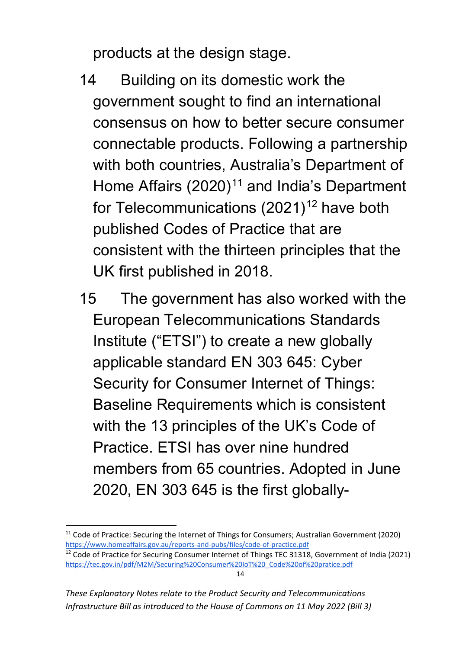products at the design stage.

- 14 Building on its domestic work the government sought to find an international consensus on how to better secure consumer connectable products. Following a partnership with both countries, Australia's Department of Home Affairs  $(2020)^{11}$  $(2020)^{11}$  $(2020)^{11}$  and India's Department for Telecommunications  $(2021)^{12}$  $(2021)^{12}$  $(2021)^{12}$  have both published Codes of Practice that are consistent with the thirteen principles that the UK first published in 2018.
- 15 The government has also worked with the European Telecommunications Standards Institute ("ETSI") to create a new globally applicable standard EN 303 645: Cyber Security for Consumer Internet of Things: Baseline Requirements which is consistent with the 13 principles of the UK's Code of Practice. ETSI has over nine hundred members from 65 countries. Adopted in June 2020, EN 303 645 is the first globally-

<span id="page-14-0"></span><sup>&</sup>lt;sup>11</sup> Code of Practice: Securing the Internet of Things for Consumers; Australian Government (2020) <https://www.homeaffairs.gov.au/reports-and-pubs/files/code-of-practice.pdf>

<span id="page-14-1"></span><sup>&</sup>lt;sup>12</sup> Code of Practice for Securing Consumer Internet of Things TEC 31318, Government of India (2021) [https://tec.gov.in/pdf/M2M/Securing%20Consumer%20IoT%20\\_Code%20of%20pratice.pdf](https://tec.gov.in/pdf/M2M/Securing%20Consumer%20IoT%20_Code%20of%20pratice.pdf)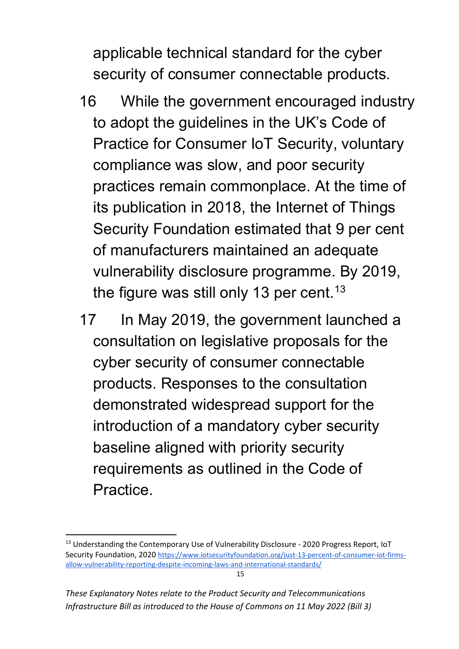applicable technical standard for the cyber security of consumer connectable products.

- 16 While the government encouraged industry to adopt the guidelines in the UK's Code of Practice for Consumer IoT Security, voluntary compliance was slow, and poor security practices remain commonplace. At the time of its publication in 2018, the Internet of Things Security Foundation estimated that 9 per cent of manufacturers maintained an adequate vulnerability disclosure programme. By 2019, the figure was still only [13](#page-15-0) per cent.<sup>13</sup>
- 17 In May 2019, the government launched a consultation on legislative proposals for the cyber security of consumer connectable products. Responses to the consultation demonstrated widespread support for the introduction of a mandatory cyber security baseline aligned with priority security requirements as outlined in the Code of Practice.

<span id="page-15-0"></span><sup>&</sup>lt;sup>13</sup> Understanding the Contemporary Use of Vulnerability Disclosure - 2020 Progress Report, IoT Security Foundation, 2020 [https://www.iotsecurityfoundation.org/just-13-percent-of-consumer-iot-firms](https://www.iotsecurityfoundation.org/just-13-percent-of-consumer-iot-firms-allow-vulnerability-reporting-despite-incoming-laws-and-international-standards/)[allow-vulnerability-reporting-despite-incoming-laws-and-international-standards/](https://www.iotsecurityfoundation.org/just-13-percent-of-consumer-iot-firms-allow-vulnerability-reporting-despite-incoming-laws-and-international-standards/)

*These Explanatory Notes relate to the Product Security and Telecommunications Infrastructure Bill as introduced to the House of Commons on 11 May 2022 (Bill 3)*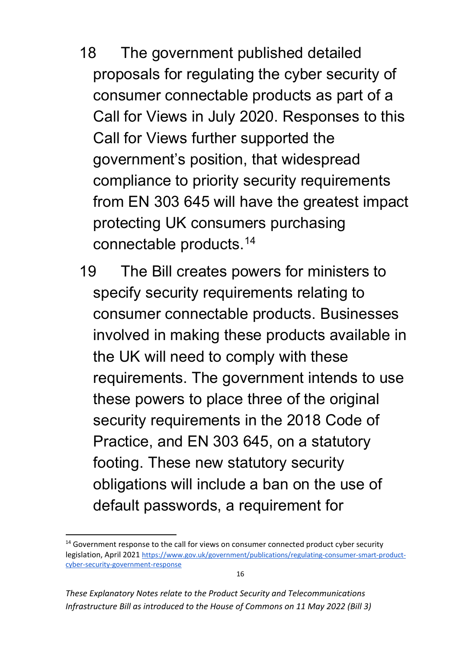- 18 The government published detailed proposals for regulating the cyber security of consumer connectable products as part of a Call for Views in July 2020. Responses to this Call for Views further supported the government's position, that widespread compliance to priority security requirements from EN 303 645 will have the greatest impact protecting UK consumers purchasing connectable products.[14](#page-16-0)
- 19 The Bill creates powers for ministers to specify security requirements relating to consumer connectable products. Businesses involved in making these products available in the UK will need to comply with these requirements. The government intends to use these powers to place three of the original security requirements in the 2018 Code of Practice, and EN 303 645, on a statutory footing. These new statutory security obligations will include a ban on the use of default passwords, a requirement for

*These Explanatory Notes relate to the Product Security and Telecommunications Infrastructure Bill as introduced to the House of Commons on 11 May 2022 (Bill 3)*

<span id="page-16-0"></span> $14$  Government response to the call for views on consumer connected product cyber security legislation, April 2021 [https://www.gov.uk/government/publications/regulating-consumer-smart-product](https://www.gov.uk/government/publications/regulating-consumer-smart-product-cyber-security-government-response)[cyber-security-government-response](https://www.gov.uk/government/publications/regulating-consumer-smart-product-cyber-security-government-response)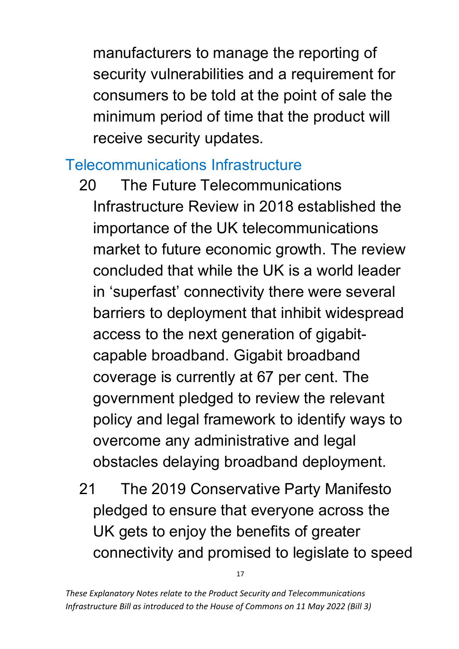manufacturers to manage the reporting of security vulnerabilities and a requirement for consumers to be told at the point of sale the minimum period of time that the product will receive security updates.

### Telecommunications Infrastructure

- 20 The Future Telecommunications Infrastructure Review in 2018 established the importance of the UK telecommunications market to future economic growth. The review concluded that while the UK is a world leader in 'superfast' connectivity there were several barriers to deployment that inhibit widespread access to the next generation of gigabitcapable broadband. Gigabit broadband coverage is currently at 67 per cent. The government pledged to review the relevant policy and legal framework to identify ways to overcome any administrative and legal obstacles delaying broadband deployment.
- 21 The 2019 Conservative Party Manifesto pledged to ensure that everyone across the UK gets to enjoy the benefits of greater connectivity and promised to legislate to speed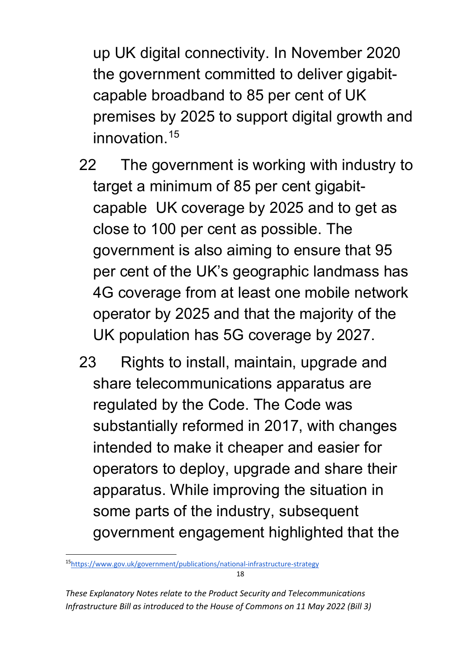up UK digital connectivity. In November 2020 the government committed to deliver gigabitcapable broadband to 85 per cent of UK premises by 2025 to support digital growth and innovation.<sup>[15](#page-18-0)</sup>

- 22 The government is working with industry to target a minimum of 85 per cent gigabitcapable UK coverage by 2025 and to get as close to 100 per cent as possible. The government is also aiming to ensure that 95 per cent of the UK's geographic landmass has 4G coverage from at least one mobile network operator by 2025 and that the majority of the UK population has 5G coverage by 2027.
- 23 Rights to install, maintain, upgrade and share telecommunications apparatus are regulated by the Code. The Code was substantially reformed in 2017, with changes intended to make it cheaper and easier for operators to deploy, upgrade and share their apparatus. While improving the situation in some parts of the industry, subsequent government engagement highlighted that the

<span id="page-18-0"></span><sup>1</sup>[5https://www.gov.uk/government/publications/national-infrastructure-strategy](https://www.gov.uk/government/publications/national-infrastructure-strategy)

*These Explanatory Notes relate to the Product Security and Telecommunications Infrastructure Bill as introduced to the House of Commons on 11 May 2022 (Bill 3)*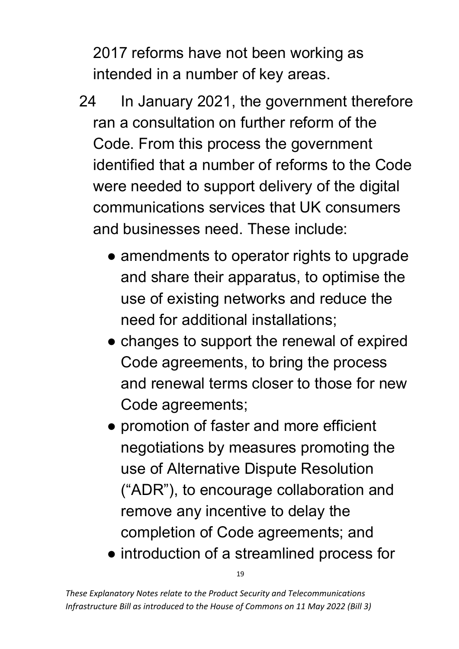2017 reforms have not been working as intended in a number of key areas.

- 24 In January 2021, the government therefore ran a consultation on further reform of the Code. From this process the government identified that a number of reforms to the Code were needed to support delivery of the digital communications services that UK consumers and businesses need. These include:
	- amendments to operator rights to upgrade and share their apparatus, to optimise the use of existing networks and reduce the need for additional installations;
	- changes to support the renewal of expired Code agreements, to bring the process and renewal terms closer to those for new Code agreements;
	- promotion of faster and more efficient negotiations by measures promoting the use of Alternative Dispute Resolution ("ADR"), to encourage collaboration and remove any incentive to delay the completion of Code agreements; and

● introduction of a streamlined process for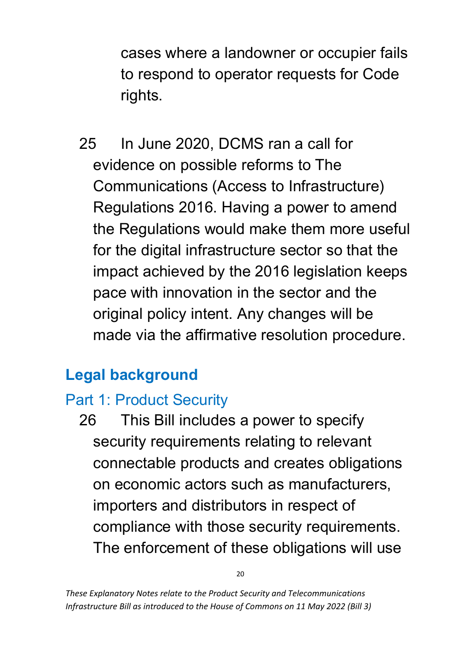cases where a landowner or occupier fails to respond to operator requests for Code rights.

25 In June 2020, DCMS ran a call for evidence on possible reforms to The Communications (Access to Infrastructure) Regulations 2016. Having a power to amend the Regulations would make them more useful for the digital infrastructure sector so that the impact achieved by the 2016 legislation keeps pace with innovation in the sector and the original policy intent. Any changes will be made via the affirmative resolution procedure.

# <span id="page-20-0"></span>**Legal background**

# Part 1: Product Security

26 This Bill includes a power to specify security requirements relating to relevant connectable products and creates obligations on economic actors such as manufacturers, importers and distributors in respect of compliance with those security requirements. The enforcement of these obligations will use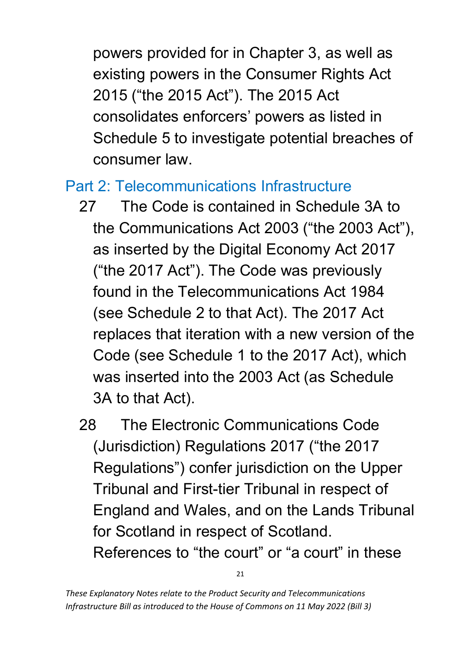powers provided for in Chapter 3, as well as existing powers in the Consumer Rights Act 2015 ("the 2015 Act"). The 2015 Act consolidates enforcers' powers as listed in Schedule 5 to investigate potential breaches of consumer law.

### Part 2: Telecommunications Infrastructure

- 27 The Code is contained in Schedule 3A to the Communications Act 2003 ("the 2003 Act"), as inserted by the Digital Economy Act 2017 ("the 2017 Act"). The Code was previously found in the Telecommunications Act 1984 (see Schedule 2 to that Act). The 2017 Act replaces that iteration with a new version of the Code (see Schedule 1 to the 2017 Act), which was inserted into the 2003 Act (as Schedule 3A to that Act).
- <span id="page-21-0"></span>28 The Electronic Communications Code (Jurisdiction) Regulations 2017 ("the 2017 Regulations") confer jurisdiction on the Upper Tribunal and First-tier Tribunal in respect of England and Wales, and on the Lands Tribunal for Scotland in respect of Scotland. References to "the court" or "a court" in these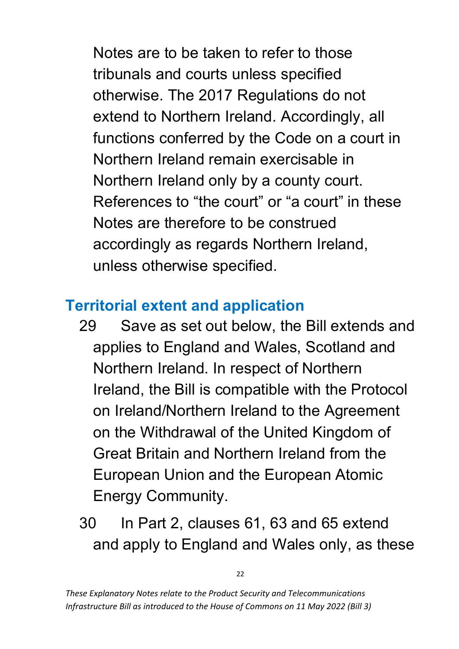Notes are to be taken to refer to those tribunals and courts unless specified otherwise. The 2017 Regulations do not extend to Northern Ireland. Accordingly, all functions conferred by the Code on a court in Northern Ireland remain exercisable in Northern Ireland only by a county court. References to "the court" or "a court" in these Notes are therefore to be construed accordingly as regards Northern Ireland, unless otherwise specified.

## <span id="page-22-0"></span>**Territorial extent and application**

- 29 Save as set out below, the Bill extends and applies to England and Wales, Scotland and Northern Ireland. In respect of Northern Ireland, the Bill is compatible with the Protocol on Ireland/Northern Ireland to the Agreement on the Withdrawal of the United Kingdom of Great Britain and Northern Ireland from the European Union and the European Atomic Energy Community.
- 30 In Part 2, clauses 61, 63 and 65 extend and apply to England and Wales only, as these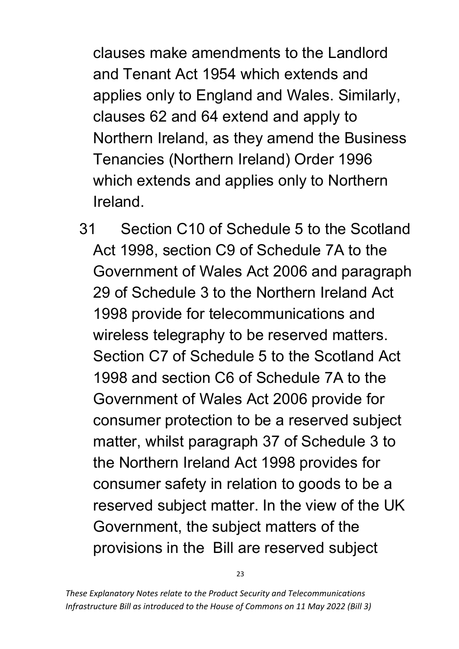clauses make amendments to the Landlord and Tenant Act 1954 which extends and applies only to England and Wales. Similarly, clauses 62 and 64 extend and apply to Northern Ireland, as they amend the Business Tenancies (Northern Ireland) Order 1996 which extends and applies only to Northern Ireland.

31 Section C10 of Schedule 5 to the Scotland Act 1998, section C9 of Schedule 7A to the Government of Wales Act 2006 and paragraph 29 of Schedule 3 to the Northern Ireland Act 1998 provide for telecommunications and wireless telegraphy to be reserved matters. Section C7 of Schedule 5 to the Scotland Act 1998 and section C6 of Schedule 7A to the Government of Wales Act 2006 provide for consumer protection to be a reserved subject matter, whilst paragraph 37 of Schedule 3 to the Northern Ireland Act 1998 provides for consumer safety in relation to goods to be a reserved subject matter. In the view of the UK Government, the subject matters of the provisions in the Bill are reserved subject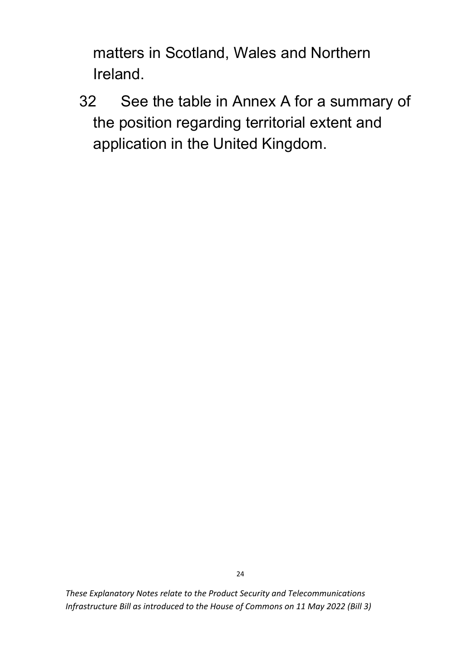matters in Scotland, Wales and Northern Ireland.

32 See the table in Annex A for a summary of the position regarding territorial extent and application in the United Kingdom.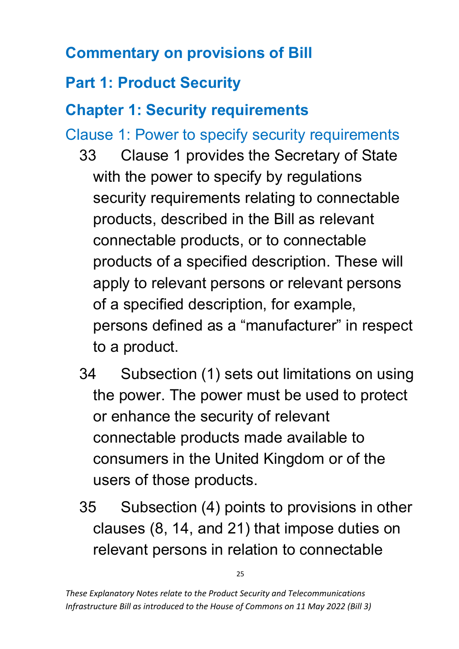# <span id="page-25-0"></span>**Commentary on provisions of Bill**

# <span id="page-25-1"></span>**Part 1: Product Security**

# <span id="page-25-2"></span>**Chapter 1: Security requirements**

Clause 1: Power to specify security requirements

- 33 Clause 1 provides the Secretary of State with the power to specify by regulations security requirements relating to connectable products, described in the Bill as relevant connectable products, or to connectable products of a specified description. These will apply to relevant persons or relevant persons of a specified description, for example, persons defined as a "manufacturer" in respect to a product.
- 34 Subsection (1) sets out limitations on using the power. The power must be used to protect or enhance the security of relevant connectable products made available to consumers in the United Kingdom or of the users of those products.
- 35 Subsection (4) points to provisions in other clauses (8, 14, and 21) that impose duties on relevant persons in relation to connectable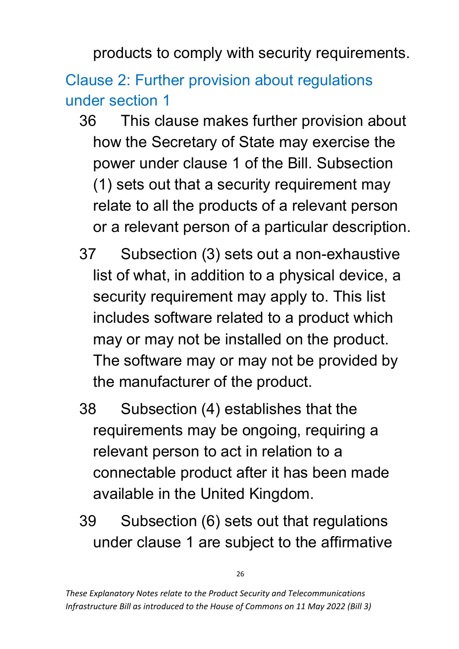products to comply with security requirements.

Clause 2: Further provision about regulations under section 1

- 36 This clause makes further provision about how the Secretary of State may exercise the power under clause 1 of the Bill. Subsection (1) sets out that a security requirement may relate to all the products of a relevant person or a relevant person of a particular description.
- 37 Subsection (3) sets out a non-exhaustive list of what, in addition to a physical device, a security requirement may apply to. This list includes software related to a product which may or may not be installed on the product. The software may or may not be provided by the manufacturer of the product.
- 38 Subsection (4) establishes that the requirements may be ongoing, requiring a relevant person to act in relation to a connectable product after it has been made available in the United Kingdom.
- 39 Subsection (6) sets out that regulations under clause 1 are subject to the affirmative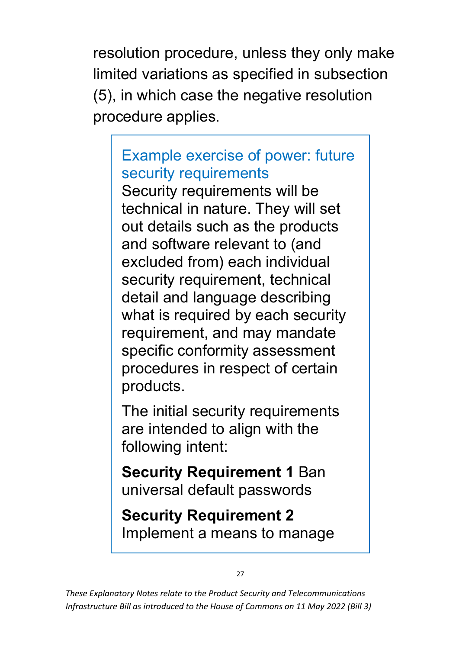resolution procedure, unless they only make limited variations as specified in subsection (5), in which case the negative resolution procedure applies.

# Example exercise of power: future security requirements

Security requirements will be technical in nature. They will set out details such as the products and software relevant to (and excluded from) each individual security requirement, technical detail and language describing what is required by each security requirement, and may mandate specific conformity assessment procedures in respect of certain products.

The initial security requirements are intended to align with the following intent:

**Security Requirement 1** Ban universal default passwords

**Security Requirement 2** Implement a means to manage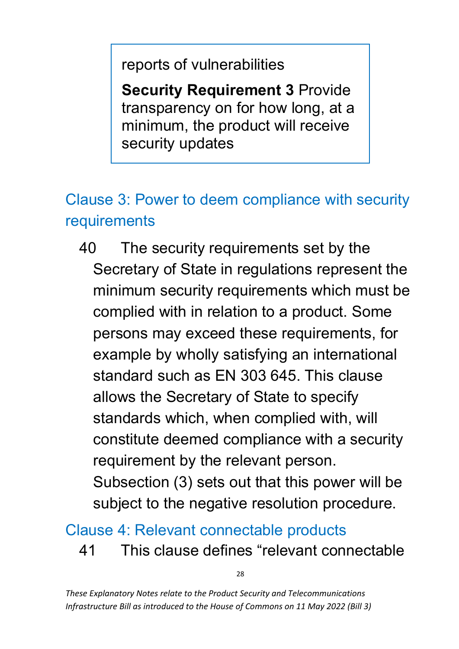reports of vulnerabilities

**Security Requirement 3** Provide transparency on for how long, at a minimum, the product will receive security updates

# <span id="page-28-0"></span>Clause 3: Power to deem compliance with security requirements

40 The security requirements set by the Secretary of State in regulations represent the minimum security requirements which must be complied with in relation to a product. Some persons may exceed these requirements, for example by wholly satisfying an international standard such as EN 303 645. This clause allows the Secretary of State to specify standards which, when complied with, will constitute deemed compliance with a security requirement by the relevant person. Subsection (3) sets out that this power will be subject to the negative resolution procedure.

#### Clause 4: Relevant connectable products

41 This clause defines "relevant connectable

28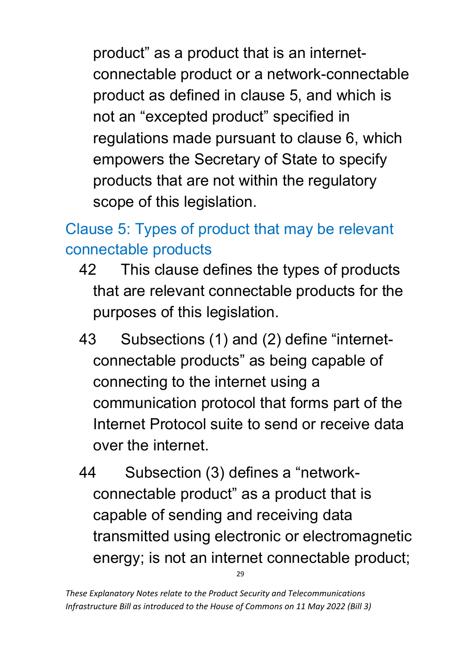product" as a product that is an internetconnectable product or a network-connectable product as defined in clause 5, and which is not an "excepted product" specified in regulations made pursuant to clause 6, which empowers the Secretary of State to specify products that are not within the regulatory scope of this legislation.

# Clause 5: Types of product that may be relevant connectable products

- 42 This clause defines the types of products that are relevant connectable products for the purposes of this legislation.
- 43 Subsections (1) and (2) define "internetconnectable products" as being capable of connecting to the internet using a communication protocol that forms part of the Internet Protocol suite to send or receive data over the internet.
- 44 Subsection (3) defines a "networkconnectable product" as a product that is capable of sending and receiving data transmitted using electronic or electromagnetic energy; is not an internet connectable product;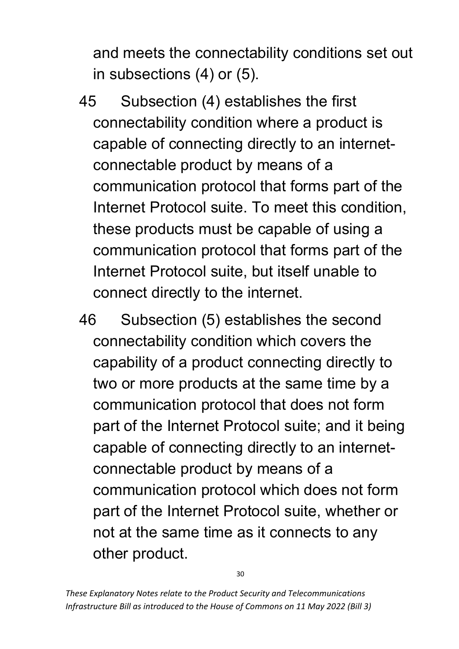and meets the connectability conditions set out in subsections (4) or (5).

- 45 Subsection (4) establishes the first connectability condition where a product is capable of connecting directly to an internetconnectable product by means of a communication protocol that forms part of the Internet Protocol suite. To meet this condition, these products must be capable of using a communication protocol that forms part of the Internet Protocol suite, but itself unable to connect directly to the internet.
- 46 Subsection (5) establishes the second connectability condition which covers the capability of a product connecting directly to two or more products at the same time by a communication protocol that does not form part of the Internet Protocol suite; and it being capable of connecting directly to an internetconnectable product by means of a communication protocol which does not form part of the Internet Protocol suite, whether or not at the same time as it connects to any other product.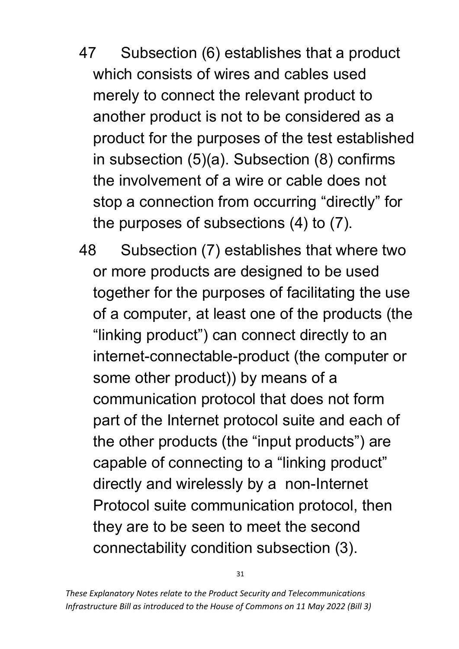- 47 Subsection (6) establishes that a product which consists of wires and cables used merely to connect the relevant product to another product is not to be considered as a product for the purposes of the test established in subsection (5)(a). Subsection (8) confirms the involvement of a wire or cable does not stop a connection from occurring "directly" for the purposes of subsections (4) to (7).
- 48 Subsection (7) establishes that where two or more products are designed to be used together for the purposes of facilitating the use of a computer, at least one of the products (the "linking product") can connect directly to an internet-connectable-product (the computer or some other product)) by means of a communication protocol that does not form part of the Internet protocol suite and each of the other products (the "input products") are capable of connecting to a "linking product" directly and wirelessly by a non-Internet Protocol suite communication protocol, then they are to be seen to meet the second connectability condition subsection (3).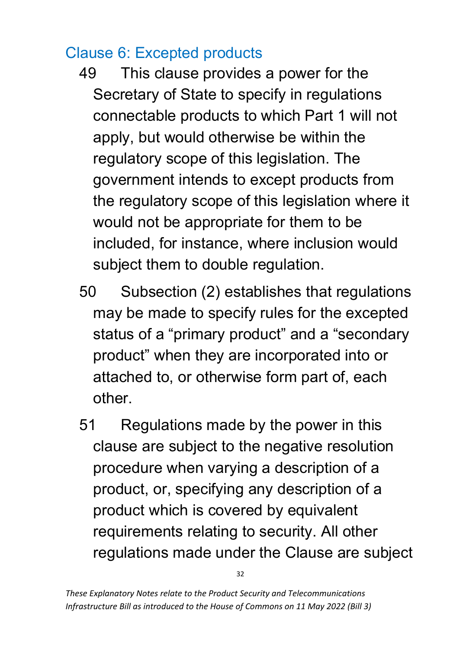## Clause 6: Excepted products

- 49 This clause provides a power for the Secretary of State to specify in regulations connectable products to which Part 1 will not apply, but would otherwise be within the regulatory scope of this legislation. The government intends to except products from the regulatory scope of this legislation where it would not be appropriate for them to be included, for instance, where inclusion would subject them to double regulation.
- 50 Subsection (2) establishes that regulations may be made to specify rules for the excepted status of a "primary product" and a "secondary product" when they are incorporated into or attached to, or otherwise form part of, each other.
- 51 Regulations made by the power in this clause are subject to the negative resolution procedure when varying a description of a product, or, specifying any description of a product which is covered by equivalent requirements relating to security. All other regulations made under the Clause are subject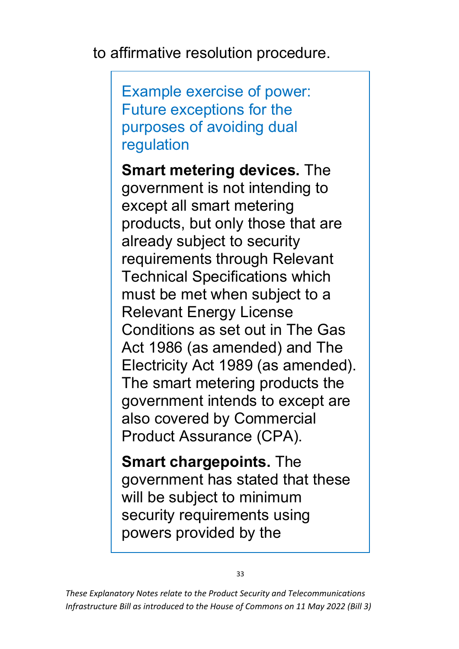to affirmative resolution procedure.

Example exercise of power: Future exceptions for the purposes of avoiding dual regulation

**Smart metering devices.** The government is not intending to except all smart metering products, but only those that are already subject to security requirements through Relevant Technical Specifications which must be met when subject to a Relevant Energy License Conditions as set out in The Gas Act 1986 (as amended) and The Electricity Act 1989 (as amended). The smart metering products the government intends to except are also covered by Commercial Product Assurance (CPA).

**Smart chargepoints.** The government has stated that these will be subject to minimum security requirements using powers provided by the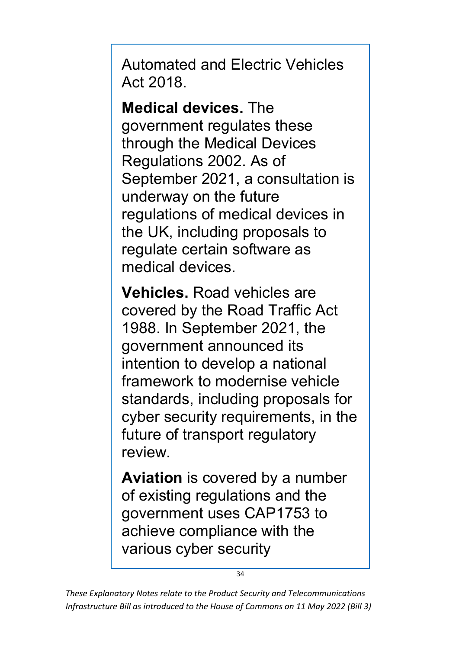Automated and Electric Vehicles Act 2018.

**Medical devices.** The government regulates these through the Medical Devices Regulations 2002. As of September 2021, a consultation is underway on the future regulations of medical devices in the UK, including proposals to regulate certain software as medical devices.

**Vehicles.** Road vehicles are covered by the Road Traffic Act 1988. In September 2021, the government announced its intention to develop a national framework to modernise vehicle standards, including proposals for cyber security requirements, in the future of transport regulatory review.

**Aviation** is covered by a number of existing regulations and the government uses CAP1753 to achieve compliance with the various cyber security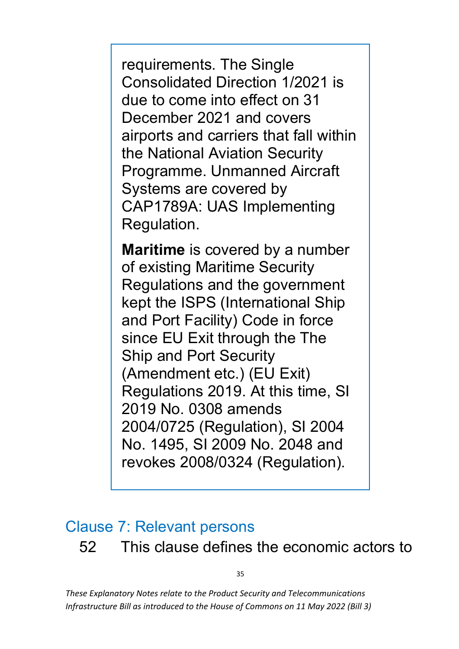requirements. The Single Consolidated Direction 1/2021 is due to come into effect on 31 December 2021 and covers airports and carriers that fall within the National Aviation Security Programme. Unmanned Aircraft Systems are covered by CAP1789A: UAS Implementing Regulation.

**Maritime** is covered by a number of existing Maritime Security Regulations and the government kept the ISPS (International Ship and Port Facility) Code in force since EU Exit through the The Ship and Port Security (Amendment etc.) (EU Exit) Regulations 2019. At this time, SI 2019 No. 0308 amends 2004/0725 (Regulation), SI 2004 No. 1495, SI 2009 No. 2048 and revokes 2008/0324 (Regulation).

# <span id="page-35-0"></span>Clause 7: Relevant persons 52 This clause defines the economic actors to

35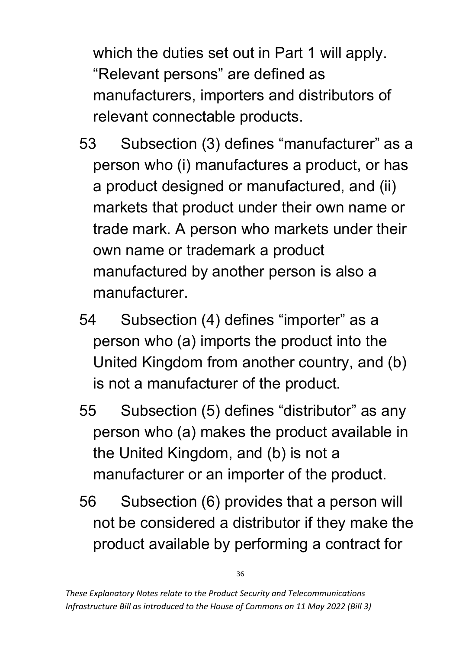which the duties set out in Part 1 will apply. "Relevant persons" are defined as manufacturers, importers and distributors of relevant connectable products.

- 53 Subsection (3) defines "manufacturer" as a person who (i) manufactures a product, or has a product designed or manufactured, and (ii) markets that product under their own name or trade mark. A person who markets under their own name or trademark a product manufactured by another person is also a manufacturer.
- 54 Subsection (4) defines "importer" as a person who (a) imports the product into the United Kingdom from another country, and (b) is not a manufacturer of the product.
- 55 Subsection (5) defines "distributor" as any person who (a) makes the product available in the United Kingdom, and (b) is not a manufacturer or an importer of the product.
- 56 Subsection (6) provides that a person will not be considered a distributor if they make the product available by performing a contract for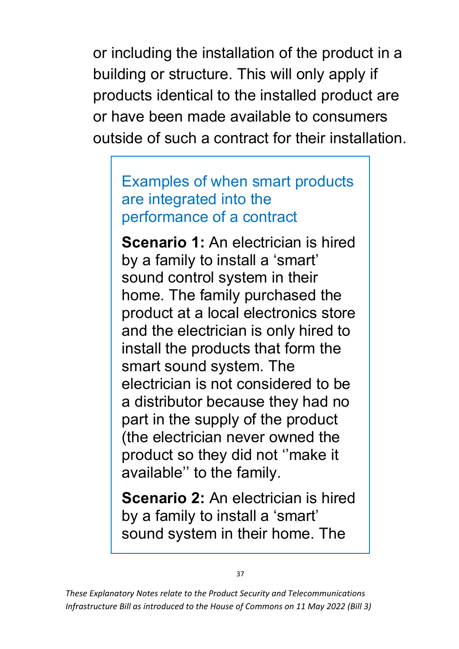or including the installation of the product in a building or structure. This will only apply if products identical to the installed product are or have been made available to consumers outside of such a contract for their installation.

#### Examples of when smart products are integrated into the performance of a contract

**Scenario 1:** An electrician is hired by a family to install a 'smart' sound control system in their home. The family purchased the product at a local electronics store and the electrician is only hired to install the products that form the smart sound system. The electrician is not considered to be a distributor because they had no part in the supply of the product (the electrician never owned the product so they did not ''make it available'' to the family.

**Scenario 2:** An electrician is hired by a family to install a 'smart' sound system in their home. The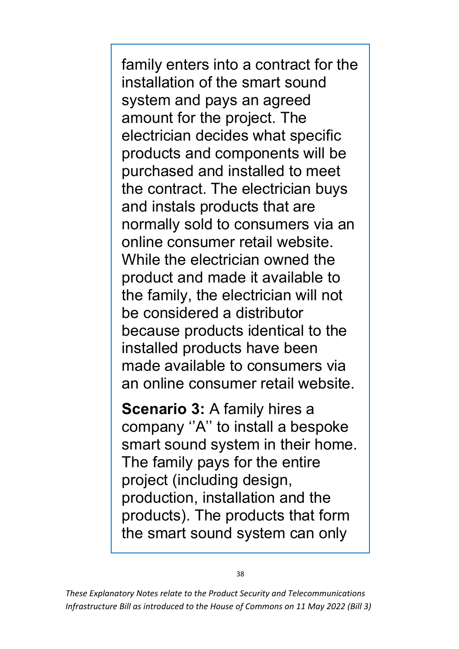family enters into a contract for the installation of the smart sound system and pays an agreed amount for the project. The electrician decides what specific products and components will be purchased and installed to meet the contract. The electrician buys and instals products that are normally sold to consumers via an online consumer retail website. While the electrician owned the product and made it available to the family, the electrician will not be considered a distributor because products identical to the installed products have been made available to consumers via an online consumer retail website.

**Scenario 3:** A family hires a company ''A'' to install a bespoke smart sound system in their home. The family pays for the entire project (including design, production, installation and the products). The products that form the smart sound system can only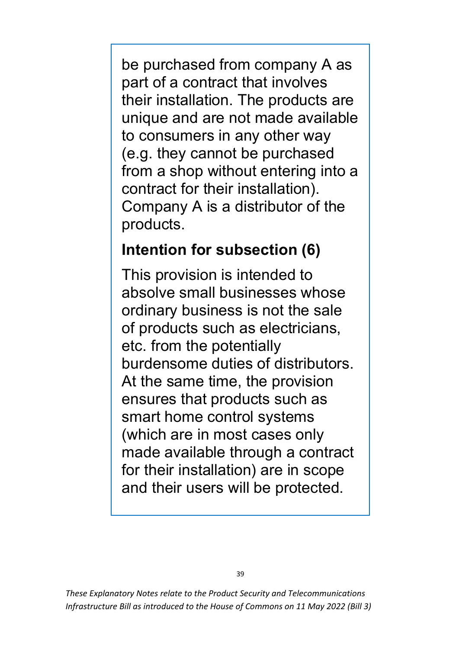be purchased from company A as part of a contract that involves their installation. The products are unique and are not made available to consumers in any other way (e.g. they cannot be purchased from a shop without entering into a contract for their installation). Company A is a distributor of the products.

#### **Intention for subsection (6)**

This provision is intended to absolve small businesses whose ordinary business is not the sale of products such as electricians, etc. from the potentially burdensome duties of distributors. At the same time, the provision ensures that products such as smart home control systems (which are in most cases only made available through a contract for their installation) are in scope and their users will be protected.

*These Explanatory Notes relate to the Product Security and Telecommunications Infrastructure Bill as introduced to the House of Commons on 11 May 2022 (Bill 3)*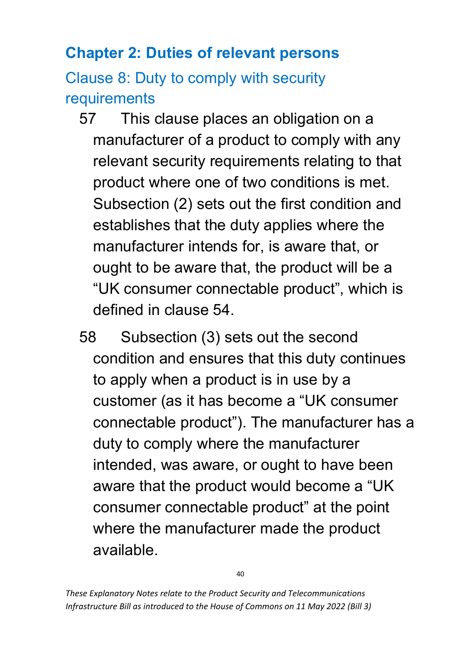## **Chapter 2: Duties of relevant persons**

Clause 8: Duty to comply with security requirements

- 57 This clause places an obligation on a manufacturer of a product to comply with any relevant security requirements relating to that product where one of two conditions is met. Subsection (2) sets out the first condition and establishes that the duty applies where the manufacturer intends for, is aware that, or ought to be aware that, the product will be a "UK consumer connectable product", which is defined in clause 54.
- 58 Subsection (3) sets out the second condition and ensures that this duty continues to apply when a product is in use by a customer (as it has become a "UK consumer connectable product"). The manufacturer has a duty to comply where the manufacturer intended, was aware, or ought to have been aware that the product would become a "UK consumer connectable product" at the point where the manufacturer made the product available.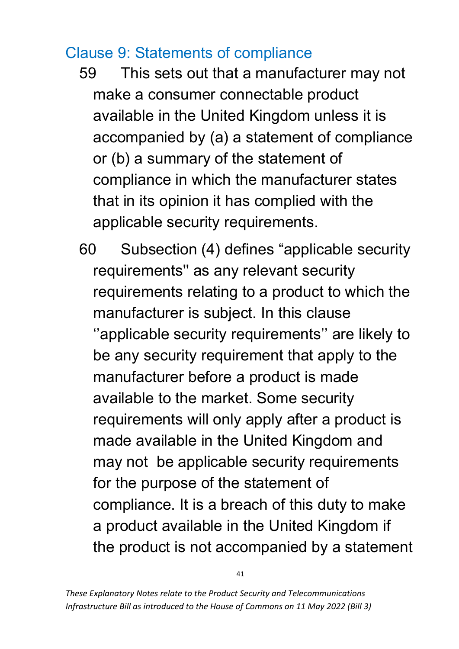### Clause 9: Statements of compliance

- 59 This sets out that a manufacturer may not make a consumer connectable product available in the United Kingdom unless it is accompanied by (a) a statement of compliance or (b) a summary of the statement of compliance in which the manufacturer states that in its opinion it has complied with the applicable security requirements.
- 60 Subsection (4) defines "applicable security requirements'' as any relevant security requirements relating to a product to which the manufacturer is subject. In this clause ''applicable security requirements'' are likely to be any security requirement that apply to the manufacturer before a product is made available to the market. Some security requirements will only apply after a product is made available in the United Kingdom and may not be applicable security requirements for the purpose of the statement of compliance. It is a breach of this duty to make a product available in the United Kingdom if the product is not accompanied by a statement

41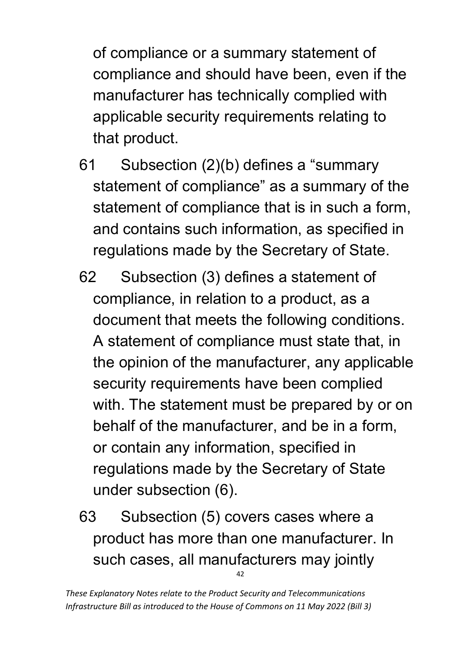of compliance or a summary statement of compliance and should have been, even if the manufacturer has technically complied with applicable security requirements relating to that product.

- 61 Subsection (2)(b) defines a "summary statement of compliance" as a summary of the statement of compliance that is in such a form, and contains such information, as specified in regulations made by the Secretary of State.
- 62 Subsection (3) defines a statement of compliance, in relation to a product, as a document that meets the following conditions. A statement of compliance must state that, in the opinion of the manufacturer, any applicable security requirements have been complied with. The statement must be prepared by or on behalf of the manufacturer, and be in a form, or contain any information, specified in regulations made by the Secretary of State under subsection (6).
- 42 63 Subsection (5) covers cases where a product has more than one manufacturer. In such cases, all manufacturers may jointly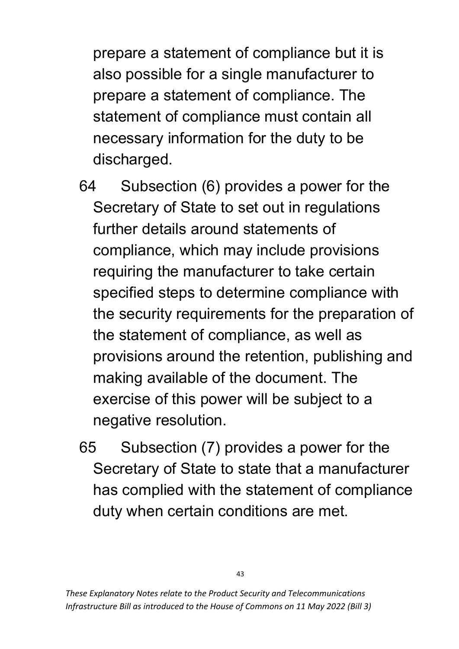prepare a statement of compliance but it is also possible for a single manufacturer to prepare a statement of compliance. The statement of compliance must contain all necessary information for the duty to be discharged.

- 64 Subsection (6) provides a power for the Secretary of State to set out in regulations further details around statements of compliance, which may include provisions requiring the manufacturer to take certain specified steps to determine compliance with the security requirements for the preparation of the statement of compliance, as well as provisions around the retention, publishing and making available of the document. The exercise of this power will be subject to a negative resolution.
- 65 Subsection (7) provides a power for the Secretary of State to state that a manufacturer has complied with the statement of compliance duty when certain conditions are met.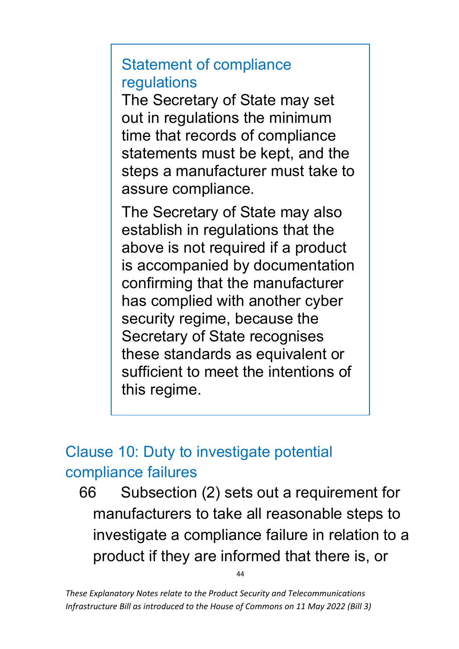#### Statement of compliance regulations

The Secretary of State may set out in regulations the minimum time that records of compliance statements must be kept, and the steps a manufacturer must take to assure compliance.

The Secretary of State may also establish in regulations that the above is not required if a product is accompanied by documentation confirming that the manufacturer has complied with another cyber security regime, because the Secretary of State recognises these standards as equivalent or sufficient to meet the intentions of this regime.

## Clause 10: Duty to investigate potential compliance failures

66 Subsection (2) sets out a requirement for manufacturers to take all reasonable steps to investigate a compliance failure in relation to a product if they are informed that there is, or

44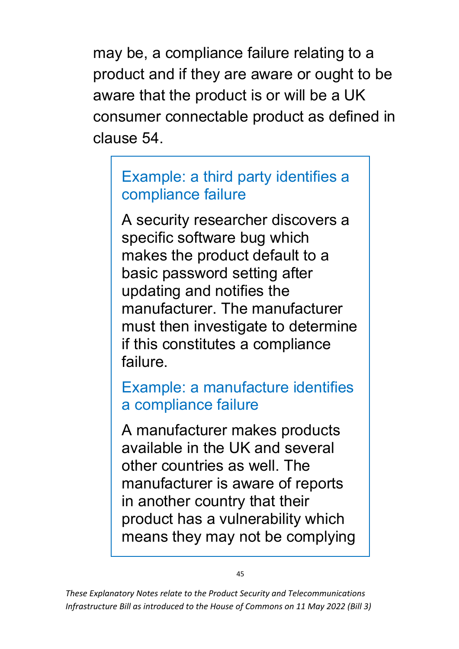may be, a compliance failure relating to a product and if they are aware or ought to be aware that the product is or will be a UK consumer connectable product as defined in clause 54.

### Example: a third party identifies a compliance failure

A security researcher discovers a specific software bug which makes the product default to a basic password setting after updating and notifies the manufacturer. The manufacturer must then investigate to determine if this constitutes a compliance failure.

Example: a manufacture identifies a compliance failure

A manufacturer makes products available in the UK and several other countries as well. The manufacturer is aware of reports in another country that their product has a vulnerability which means they may not be complying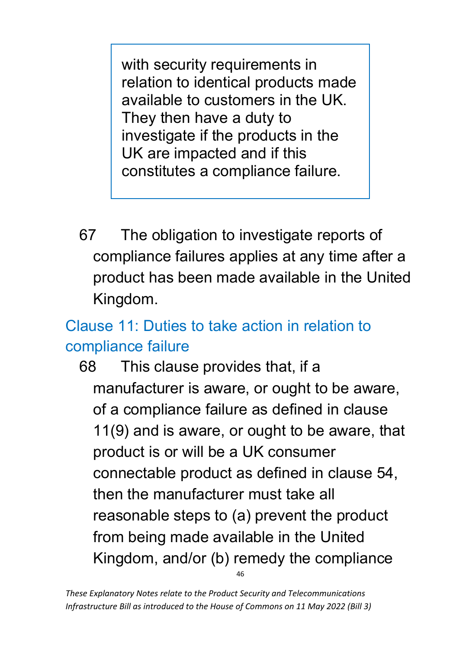with security requirements in relation to identical products made available to customers in the UK. They then have a duty to investigate if the products in the UK are impacted and if this constitutes a compliance failure.

67 The obligation to investigate reports of compliance failures applies at any time after a product has been made available in the United Kingdom.

# Clause 11: Duties to take action in relation to compliance failure

46 68 This clause provides that, if a manufacturer is aware, or ought to be aware, of a compliance failure as defined in clause 11(9) and is aware, or ought to be aware, that product is or will be a UK consumer connectable product as defined in clause 54, then the manufacturer must take all reasonable steps to (a) prevent the product from being made available in the United Kingdom, and/or (b) remedy the compliance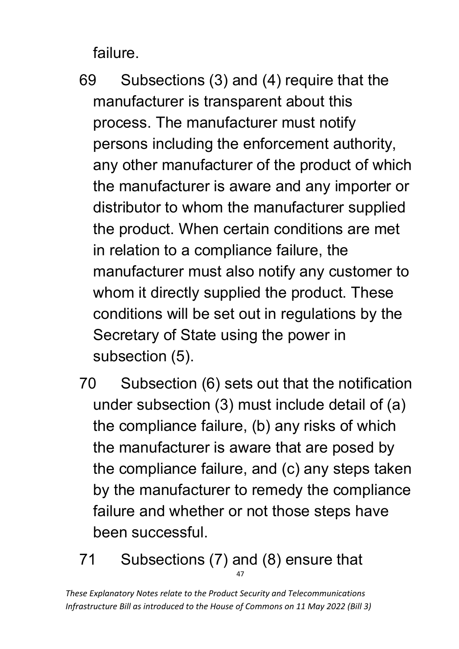failure.

- 69 Subsections (3) and (4) require that the manufacturer is transparent about this process. The manufacturer must notify persons including the enforcement authority, any other manufacturer of the product of which the manufacturer is aware and any importer or distributor to whom the manufacturer supplied the product. When certain conditions are met in relation to a compliance failure, the manufacturer must also notify any customer to whom it directly supplied the product. These conditions will be set out in regulations by the Secretary of State using the power in subsection (5).
- 70 Subsection (6) sets out that the notification under subsection (3) must include detail of (a) the compliance failure, (b) any risks of which the manufacturer is aware that are posed by the compliance failure, and (c) any steps taken by the manufacturer to remedy the compliance failure and whether or not those steps have been successful.
- 47 71 Subsections (7) and (8) ensure that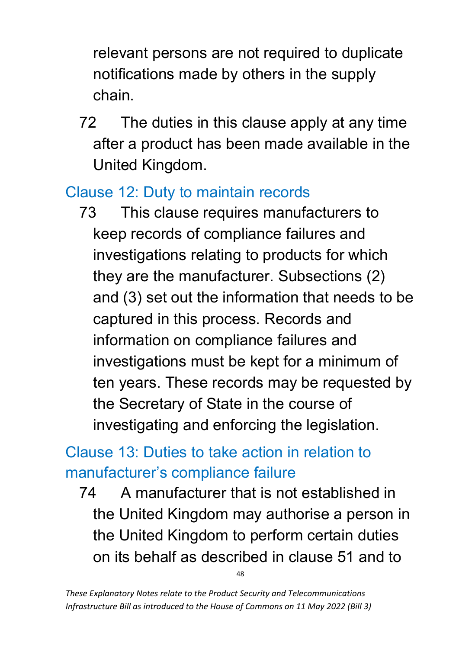relevant persons are not required to duplicate notifications made by others in the supply chain.

72 The duties in this clause apply at any time after a product has been made available in the United Kingdom.

### Clause 12: Duty to maintain records

73 This clause requires manufacturers to keep records of compliance failures and investigations relating to products for which they are the manufacturer. Subsections (2) and (3) set out the information that needs to be captured in this process. Records and information on compliance failures and investigations must be kept for a minimum of ten years. These records may be requested by the Secretary of State in the course of investigating and enforcing the legislation.

## Clause 13: Duties to take action in relation to manufacturer's compliance failure

74 A manufacturer that is not established in the United Kingdom may authorise a person in the United Kingdom to perform certain duties on its behalf as described in clause 51 and to

 $\overline{AB}$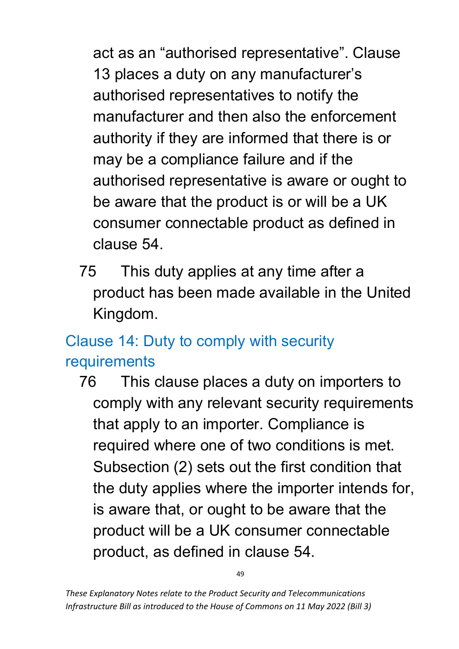act as an "authorised representative". Clause 13 places a duty on any manufacturer's authorised representatives to notify the manufacturer and then also the enforcement authority if they are informed that there is or may be a compliance failure and if the authorised representative is aware or ought to be aware that the product is or will be a UK consumer connectable product as defined in clause 54.

75 This duty applies at any time after a product has been made available in the United Kingdom.

# Clause 14: Duty to comply with security requirements

76 This clause places a duty on importers to comply with any relevant security requirements that apply to an importer. Compliance is required where one of two conditions is met. Subsection (2) sets out the first condition that the duty applies where the importer intends for, is aware that, or ought to be aware that the product will be a UK consumer connectable product, as defined in clause 54.

49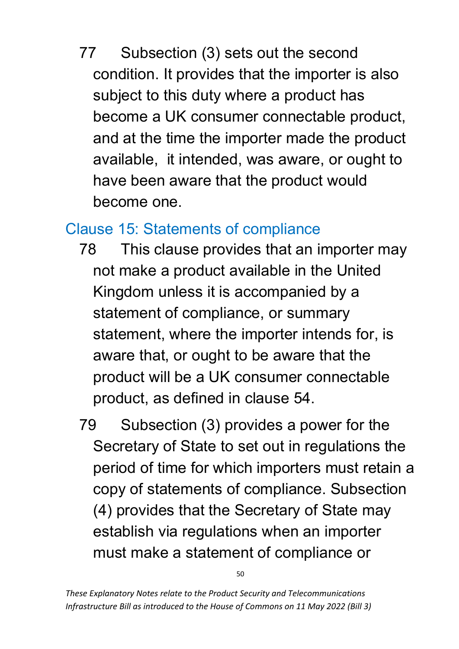77 Subsection (3) sets out the second condition. It provides that the importer is also subject to this duty where a product has become a UK consumer connectable product, and at the time the importer made the product available, it intended, was aware, or ought to have been aware that the product would become one.

#### Clause 15: Statements of compliance

- 78 This clause provides that an importer may not make a product available in the United Kingdom unless it is accompanied by a statement of compliance, or summary statement, where the importer intends for, is aware that, or ought to be aware that the product will be a UK consumer connectable product, as defined in clause 54.
- 79 Subsection (3) provides a power for the Secretary of State to set out in regulations the period of time for which importers must retain a copy of statements of compliance. Subsection (4) provides that the Secretary of State may establish via regulations when an importer must make a statement of compliance or

50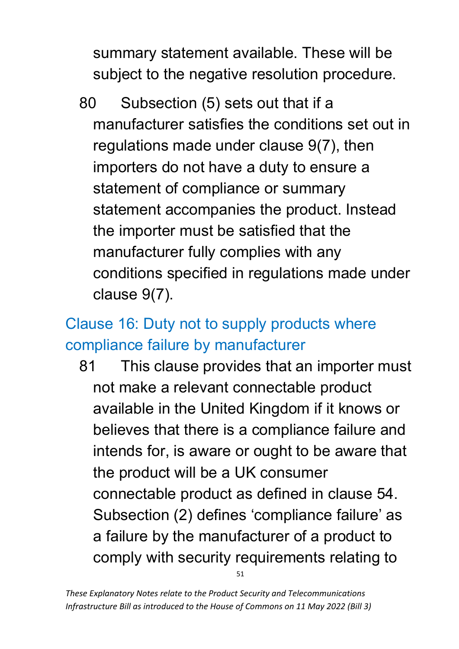summary statement available. These will be subject to the negative resolution procedure.

80 Subsection (5) sets out that if a manufacturer satisfies the conditions set out in regulations made under clause 9(7), then importers do not have a duty to ensure a statement of compliance or summary statement accompanies the product. Instead the importer must be satisfied that the manufacturer fully complies with any conditions specified in regulations made under clause 9(7).

# Clause 16: Duty not to supply products where compliance failure by manufacturer

51 81 This clause provides that an importer must not make a relevant connectable product available in the United Kingdom if it knows or believes that there is a compliance failure and intends for, is aware or ought to be aware that the product will be a UK consumer connectable product as defined in clause 54. Subsection (2) defines 'compliance failure' as a failure by the manufacturer of a product to comply with security requirements relating to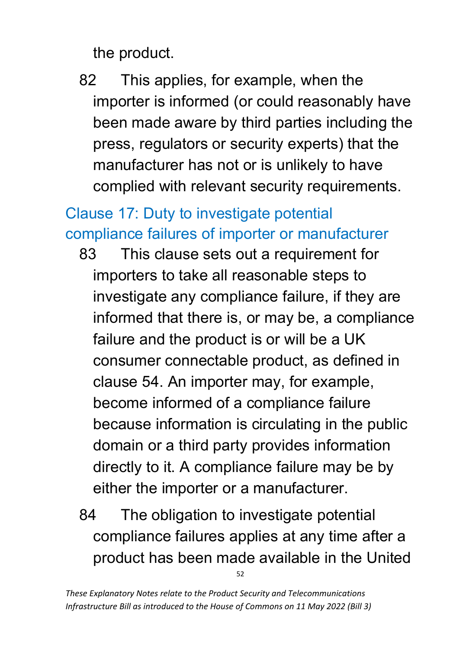the product.

82 This applies, for example, when the importer is informed (or could reasonably have been made aware by third parties including the press, regulators or security experts) that the manufacturer has not or is unlikely to have complied with relevant security requirements.

# Clause 17: Duty to investigate potential compliance failures of importer or manufacturer

- 83 This clause sets out a requirement for importers to take all reasonable steps to investigate any compliance failure, if they are informed that there is, or may be, a compliance failure and the product is or will be a UK consumer connectable product, as defined in clause 54. An importer may, for example, become informed of a compliance failure because information is circulating in the public domain or a third party provides information directly to it. A compliance failure may be by either the importer or a manufacturer.
- 52 84 The obligation to investigate potential compliance failures applies at any time after a product has been made available in the United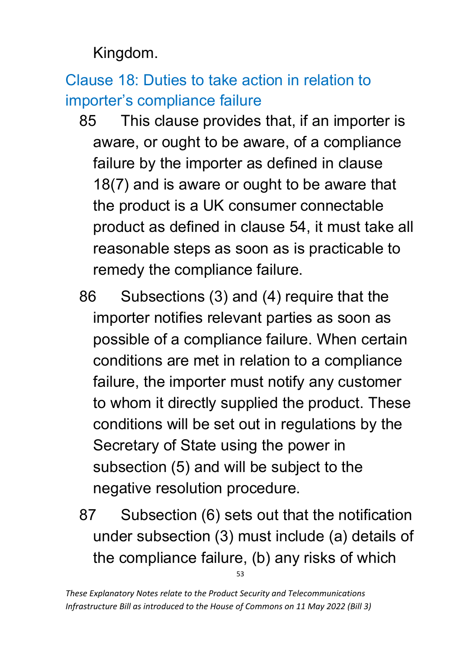Kingdom.

Clause 18: Duties to take action in relation to importer's compliance failure

- 85 This clause provides that, if an importer is aware, or ought to be aware, of a compliance failure by the importer as defined in clause 18(7) and is aware or ought to be aware that the product is a UK consumer connectable product as defined in clause 54, it must take all reasonable steps as soon as is practicable to remedy the compliance failure.
- 86 Subsections (3) and (4) require that the importer notifies relevant parties as soon as possible of a compliance failure. When certain conditions are met in relation to a compliance failure, the importer must notify any customer to whom it directly supplied the product. These conditions will be set out in regulations by the Secretary of State using the power in subsection (5) and will be subject to the negative resolution procedure.
- 53 87 Subsection (6) sets out that the notification under subsection (3) must include (a) details of the compliance failure, (b) any risks of which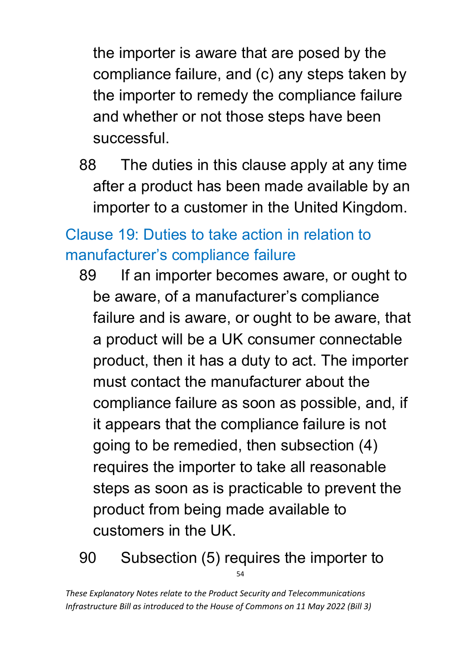the importer is aware that are posed by the compliance failure, and (c) any steps taken by the importer to remedy the compliance failure and whether or not those steps have been successful.

88 The duties in this clause apply at any time after a product has been made available by an importer to a customer in the United Kingdom.

# Clause 19: Duties to take action in relation to manufacturer's compliance failure

- 89 If an importer becomes aware, or ought to be aware, of a manufacturer's compliance failure and is aware, or ought to be aware, that a product will be a UK consumer connectable product, then it has a duty to act. The importer must contact the manufacturer about the compliance failure as soon as possible, and, if it appears that the compliance failure is not going to be remedied, then subsection (4) requires the importer to take all reasonable steps as soon as is practicable to prevent the product from being made available to customers in the UK.
- 54 90 Subsection (5) requires the importer to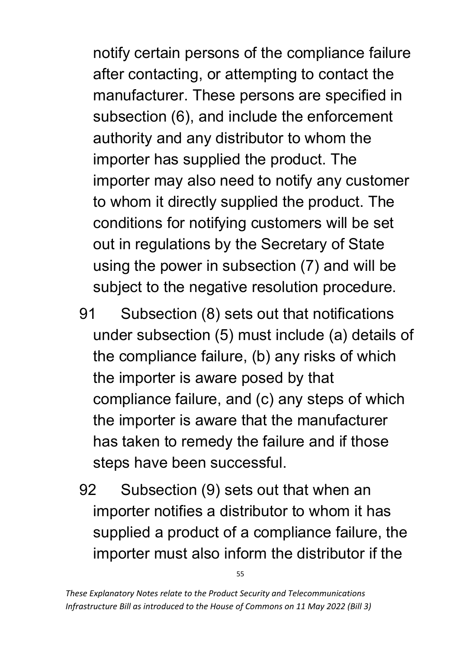notify certain persons of the compliance failure after contacting, or attempting to contact the manufacturer. These persons are specified in subsection (6), and include the enforcement authority and any distributor to whom the importer has supplied the product. The importer may also need to notify any customer to whom it directly supplied the product. The conditions for notifying customers will be set out in regulations by the Secretary of State using the power in subsection (7) and will be subject to the negative resolution procedure.

- 91 Subsection (8) sets out that notifications under subsection (5) must include (a) details of the compliance failure, (b) any risks of which the importer is aware posed by that compliance failure, and (c) any steps of which the importer is aware that the manufacturer has taken to remedy the failure and if those steps have been successful.
- 92 Subsection (9) sets out that when an importer notifies a distributor to whom it has supplied a product of a compliance failure, the importer must also inform the distributor if the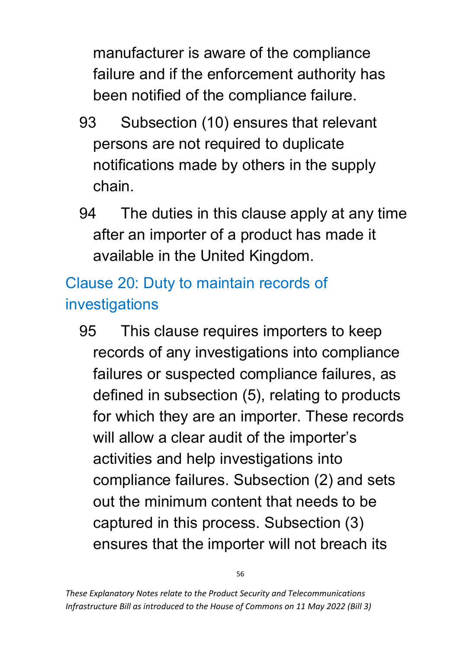manufacturer is aware of the compliance failure and if the enforcement authority has been notified of the compliance failure.

- 93 Subsection (10) ensures that relevant persons are not required to duplicate notifications made by others in the supply chain.
- 94 The duties in this clause apply at any time after an importer of a product has made it available in the United Kingdom.

# Clause 20: Duty to maintain records of investigations

95 This clause requires importers to keep records of any investigations into compliance failures or suspected compliance failures, as defined in subsection (5), relating to products for which they are an importer. These records will allow a clear audit of the importer's activities and help investigations into compliance failures. Subsection (2) and sets out the minimum content that needs to be captured in this process. Subsection (3) ensures that the importer will not breach its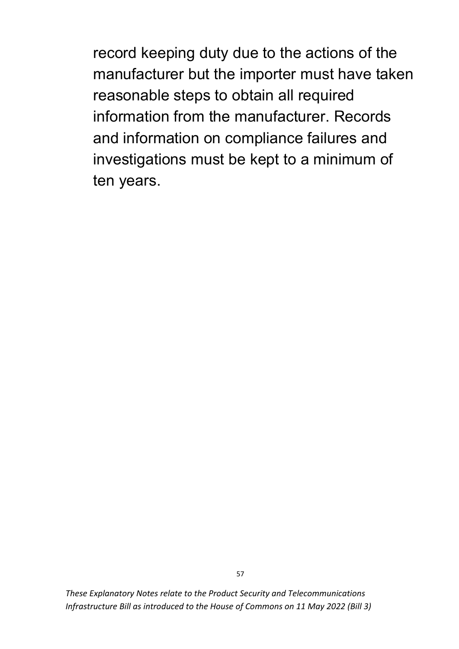record keeping duty due to the actions of the manufacturer but the importer must have taken reasonable steps to obtain all required information from the manufacturer. Records and information on compliance failures and investigations must be kept to a minimum of ten years.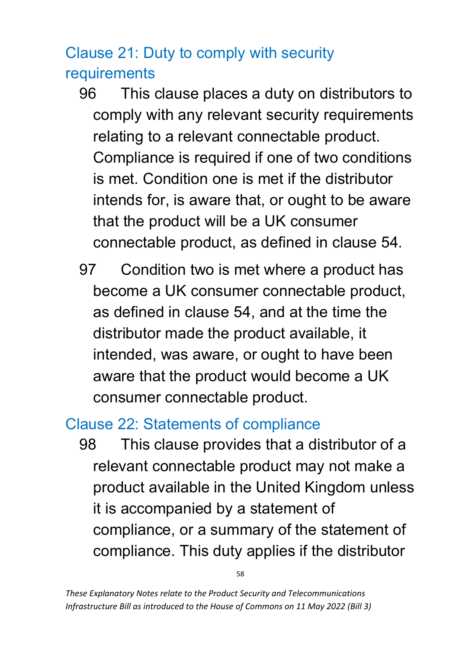## Clause 21: Duty to comply with security requirements

- 96 This clause places a duty on distributors to comply with any relevant security requirements relating to a relevant connectable product. Compliance is required if one of two conditions is met. Condition one is met if the distributor intends for, is aware that, or ought to be aware that the product will be a UK consumer connectable product, as defined in clause 54.
- 97 Condition two is met where a product has become a UK consumer connectable product, as defined in clause 54, and at the time the distributor made the product available, it intended, was aware, or ought to have been aware that the product would become a UK consumer connectable product.

#### Clause 22: Statements of compliance

98 This clause provides that a distributor of a relevant connectable product may not make a product available in the United Kingdom unless it is accompanied by a statement of compliance, or a summary of the statement of compliance. This duty applies if the distributor

58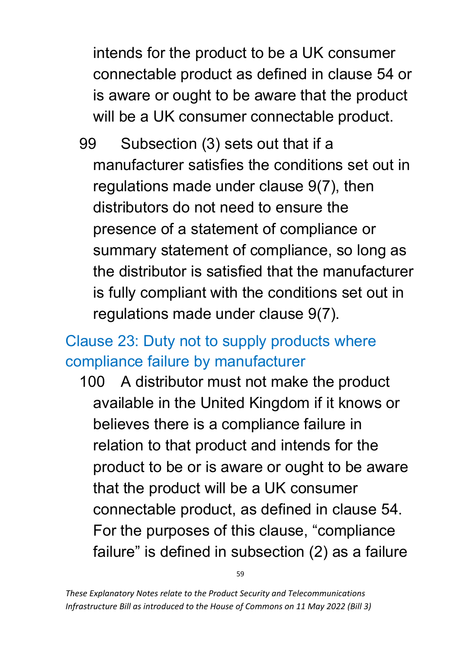intends for the product to be a UK consumer connectable product as defined in clause 54 or is aware or ought to be aware that the product will be a UK consumer connectable product.

99 Subsection (3) sets out that if a manufacturer satisfies the conditions set out in regulations made under clause 9(7), then distributors do not need to ensure the presence of a statement of compliance or summary statement of compliance, so long as the distributor is satisfied that the manufacturer is fully compliant with the conditions set out in regulations made under clause 9(7).

## Clause 23: Duty not to supply products where compliance failure by manufacturer

100 A distributor must not make the product available in the United Kingdom if it knows or believes there is a compliance failure in relation to that product and intends for the product to be or is aware or ought to be aware that the product will be a UK consumer connectable product, as defined in clause 54. For the purposes of this clause, "compliance failure" is defined in subsection (2) as a failure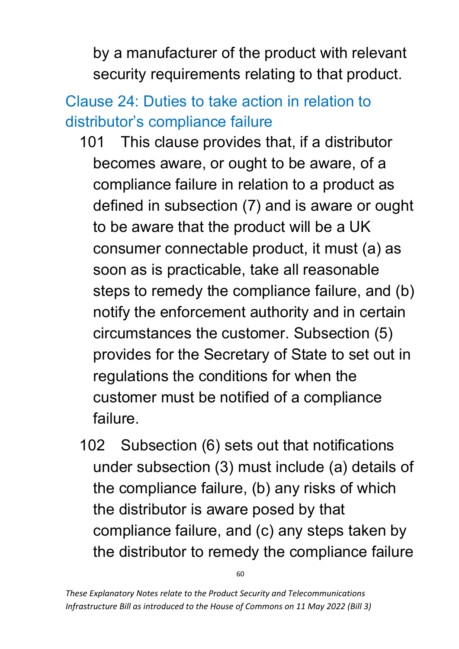by a manufacturer of the product with relevant security requirements relating to that product.

# Clause 24: Duties to take action in relation to distributor's compliance failure

- 101 This clause provides that, if a distributor becomes aware, or ought to be aware, of a compliance failure in relation to a product as defined in subsection (7) and is aware or ought to be aware that the product will be a UK consumer connectable product, it must (a) as soon as is practicable, take all reasonable steps to remedy the compliance failure, and (b) notify the enforcement authority and in certain circumstances the customer. Subsection (5) provides for the Secretary of State to set out in regulations the conditions for when the customer must be notified of a compliance failure.
- 102 Subsection (6) sets out that notifications under subsection (3) must include (a) details of the compliance failure, (b) any risks of which the distributor is aware posed by that compliance failure, and (c) any steps taken by the distributor to remedy the compliance failure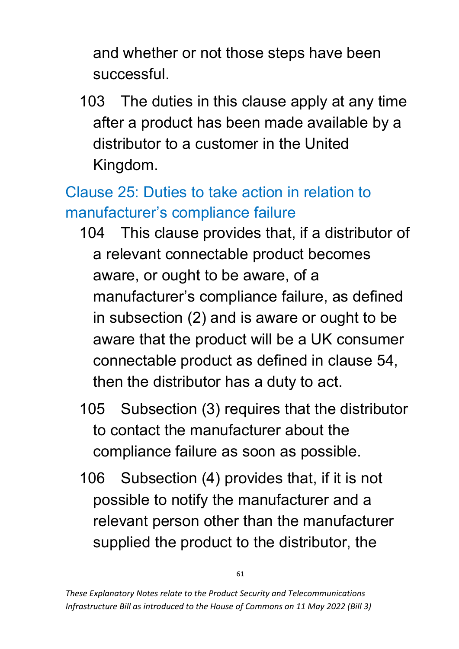and whether or not those steps have been successful.

103 The duties in this clause apply at any time after a product has been made available by a distributor to a customer in the United Kingdom.

## Clause 25: Duties to take action in relation to manufacturer's compliance failure

- 104 This clause provides that, if a distributor of a relevant connectable product becomes aware, or ought to be aware, of a manufacturer's compliance failure, as defined in subsection (2) and is aware or ought to be aware that the product will be a UK consumer connectable product as defined in clause 54, then the distributor has a duty to act.
- 105 Subsection (3) requires that the distributor to contact the manufacturer about the compliance failure as soon as possible.
- 106 Subsection (4) provides that, if it is not possible to notify the manufacturer and a relevant person other than the manufacturer supplied the product to the distributor, the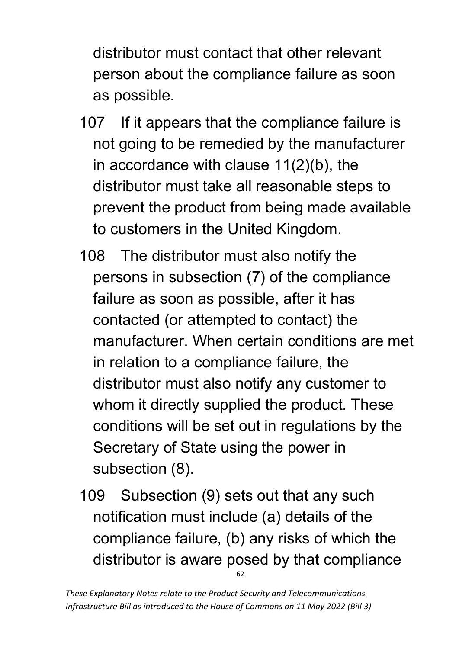distributor must contact that other relevant person about the compliance failure as soon as possible.

- 107 If it appears that the compliance failure is not going to be remedied by the manufacturer in accordance with clause 11(2)(b), the distributor must take all reasonable steps to prevent the product from being made available to customers in the United Kingdom.
- 108 The distributor must also notify the persons in subsection (7) of the compliance failure as soon as possible, after it has contacted (or attempted to contact) the manufacturer. When certain conditions are met in relation to a compliance failure, the distributor must also notify any customer to whom it directly supplied the product. These conditions will be set out in regulations by the Secretary of State using the power in subsection (8).
- 62 109 Subsection (9) sets out that any such notification must include (a) details of the compliance failure, (b) any risks of which the distributor is aware posed by that compliance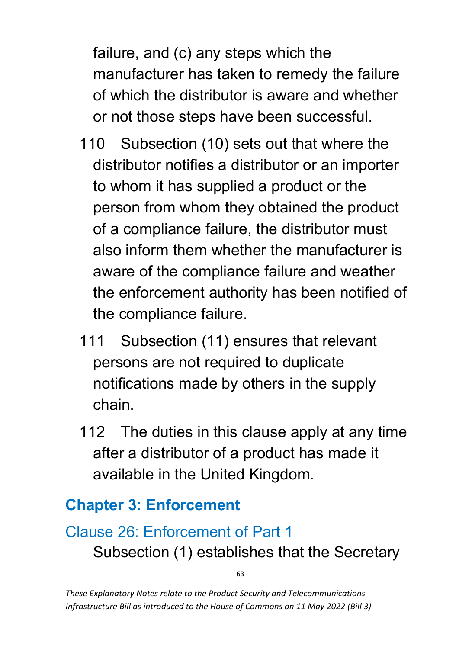failure, and (c) any steps which the manufacturer has taken to remedy the failure of which the distributor is aware and whether or not those steps have been successful.

- 110 Subsection (10) sets out that where the distributor notifies a distributor or an importer to whom it has supplied a product or the person from whom they obtained the product of a compliance failure, the distributor must also inform them whether the manufacturer is aware of the compliance failure and weather the enforcement authority has been notified of the compliance failure.
- 111 Subsection (11) ensures that relevant persons are not required to duplicate notifications made by others in the supply chain.
- 112 The duties in this clause apply at any time after a distributor of a product has made it available in the United Kingdom.

#### **Chapter 3: Enforcement**

# Clause 26: Enforcement of Part 1 Subsection (1) establishes that the Secretary

63

*These Explanatory Notes relate to the Product Security and Telecommunications Infrastructure Bill as introduced to the House of Commons on 11 May 2022 (Bill 3)*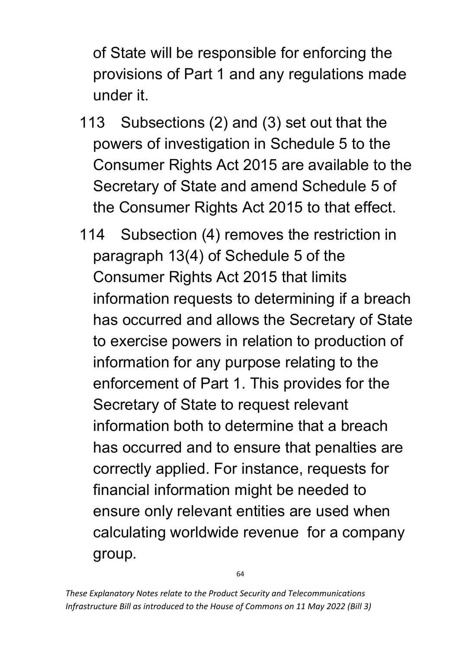of State will be responsible for enforcing the provisions of Part 1 and any regulations made under it.

- 113 Subsections (2) and (3) set out that the powers of investigation in Schedule 5 to the Consumer Rights Act 2015 are available to the Secretary of State and amend Schedule 5 of the Consumer Rights Act 2015 to that effect.
- 114 Subsection (4) removes the restriction in paragraph 13(4) of Schedule 5 of the Consumer Rights Act 2015 that limits information requests to determining if a breach has occurred and allows the Secretary of State to exercise powers in relation to production of information for any purpose relating to the enforcement of Part 1. This provides for the Secretary of State to request relevant information both to determine that a breach has occurred and to ensure that penalties are correctly applied. For instance, requests for financial information might be needed to ensure only relevant entities are used when calculating worldwide revenue for a company group.

64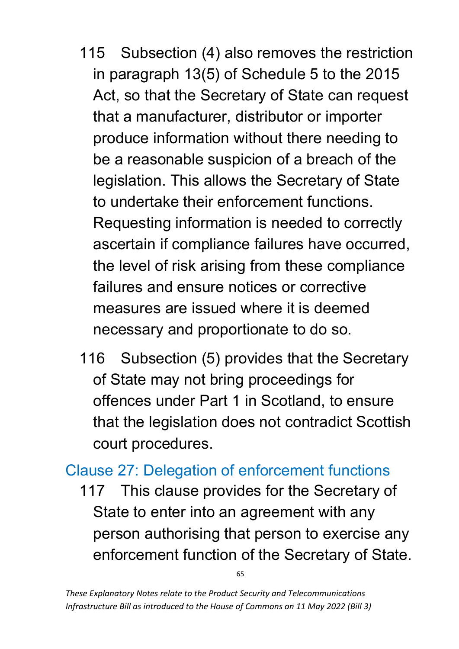- 115 Subsection (4) also removes the restriction in paragraph 13(5) of Schedule 5 to the 2015 Act, so that the Secretary of State can request that a manufacturer, distributor or importer produce information without there needing to be a reasonable suspicion of a breach of the legislation. This allows the Secretary of State to undertake their enforcement functions. Requesting information is needed to correctly ascertain if compliance failures have occurred, the level of risk arising from these compliance failures and ensure notices or corrective measures are issued where it is deemed necessary and proportionate to do so.
- 116 Subsection (5) provides that the Secretary of State may not bring proceedings for offences under Part 1 in Scotland, to ensure that the legislation does not contradict Scottish court procedures.

### Clause 27: Delegation of enforcement functions

117 This clause provides for the Secretary of State to enter into an agreement with any person authorising that person to exercise any enforcement function of the Secretary of State.

65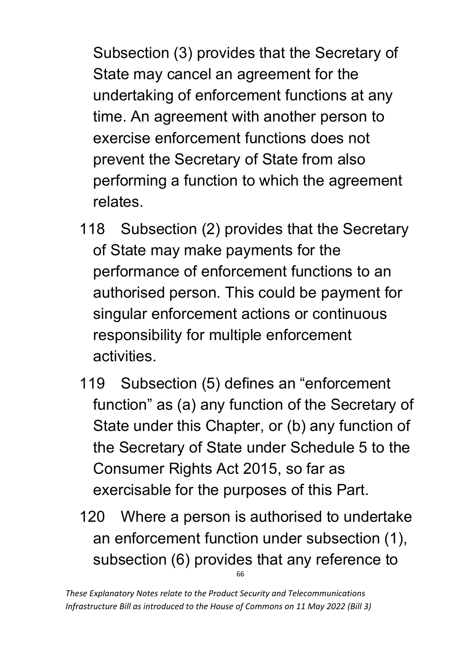Subsection (3) provides that the Secretary of State may cancel an agreement for the undertaking of enforcement functions at any time. An agreement with another person to exercise enforcement functions does not prevent the Secretary of State from also performing a function to which the agreement relates.

- 118 Subsection (2) provides that the Secretary of State may make payments for the performance of enforcement functions to an authorised person. This could be payment for singular enforcement actions or continuous responsibility for multiple enforcement activities.
- 119 Subsection (5) defines an "enforcement function" as (a) any function of the Secretary of State under this Chapter, or (b) any function of the Secretary of State under Schedule 5 to the Consumer Rights Act 2015, so far as exercisable for the purposes of this Part.
- 66 120 Where a person is authorised to undertake an enforcement function under subsection (1), subsection (6) provides that any reference to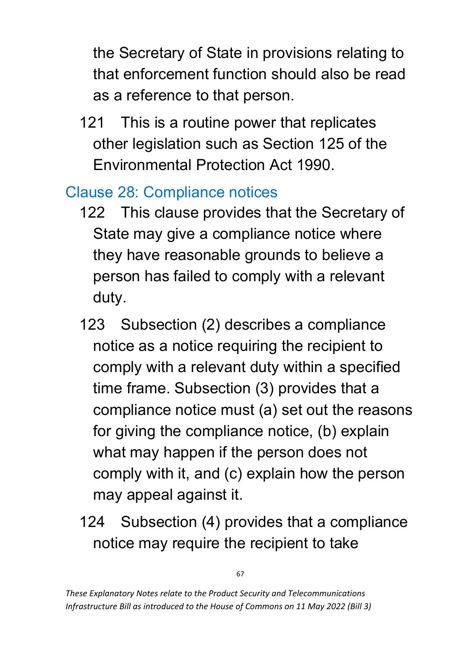the Secretary of State in provisions relating to that enforcement function should also be read as a reference to that person.

121 This is a routine power that replicates other legislation such as Section 125 of the Environmental Protection Act 1990.

### Clause 28: Compliance notices

- 122 This clause provides that the Secretary of State may give a compliance notice where they have reasonable grounds to believe a person has failed to comply with a relevant duty.
- 123 Subsection (2) describes a compliance notice as a notice requiring the recipient to comply with a relevant duty within a specified time frame. Subsection (3) provides that a compliance notice must (a) set out the reasons for giving the compliance notice, (b) explain what may happen if the person does not comply with it, and (c) explain how the person may appeal against it.
- 124 Subsection (4) provides that a compliance notice may require the recipient to take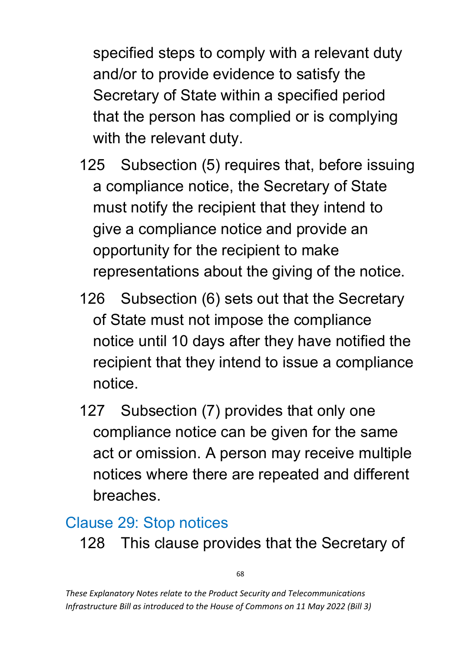specified steps to comply with a relevant duty and/or to provide evidence to satisfy the Secretary of State within a specified period that the person has complied or is complying with the relevant duty.

- 125 Subsection (5) requires that, before issuing a compliance notice, the Secretary of State must notify the recipient that they intend to give a compliance notice and provide an opportunity for the recipient to make representations about the giving of the notice.
- 126 Subsection (6) sets out that the Secretary of State must not impose the compliance notice until 10 days after they have notified the recipient that they intend to issue a compliance notice.
- 127 Subsection (7) provides that only one compliance notice can be given for the same act or omission. A person may receive multiple notices where there are repeated and different breaches.

#### Clause 29: Stop notices

128 This clause provides that the Secretary of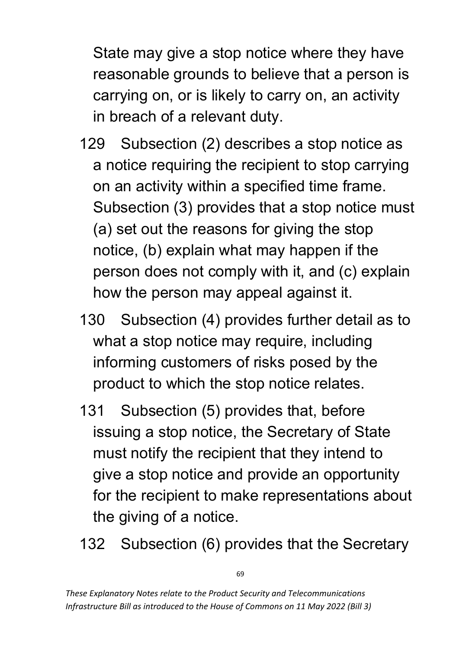State may give a stop notice where they have reasonable grounds to believe that a person is carrying on, or is likely to carry on, an activity in breach of a relevant duty.

- 129 Subsection (2) describes a stop notice as a notice requiring the recipient to stop carrying on an activity within a specified time frame. Subsection (3) provides that a stop notice must (a) set out the reasons for giving the stop notice, (b) explain what may happen if the person does not comply with it, and (c) explain how the person may appeal against it.
- 130 Subsection (4) provides further detail as to what a stop notice may require, including informing customers of risks posed by the product to which the stop notice relates.
- 131 Subsection (5) provides that, before issuing a stop notice, the Secretary of State must notify the recipient that they intend to give a stop notice and provide an opportunity for the recipient to make representations about the giving of a notice.
- 132 Subsection (6) provides that the Secretary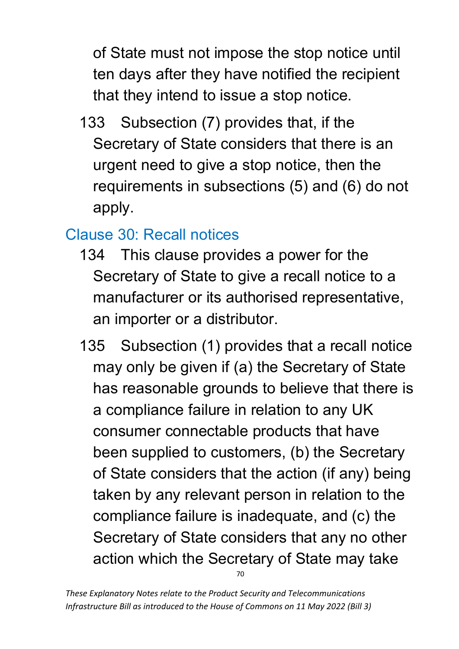of State must not impose the stop notice until ten days after they have notified the recipient that they intend to issue a stop notice.

133 Subsection (7) provides that, if the Secretary of State considers that there is an urgent need to give a stop notice, then the requirements in subsections (5) and (6) do not apply.

### Clause 30: Recall notices

- 134 This clause provides a power for the Secretary of State to give a recall notice to a manufacturer or its authorised representative, an importer or a distributor.
- 70 135 Subsection (1) provides that a recall notice may only be given if (a) the Secretary of State has reasonable grounds to believe that there is a compliance failure in relation to any UK consumer connectable products that have been supplied to customers, (b) the Secretary of State considers that the action (if any) being taken by any relevant person in relation to the compliance failure is inadequate, and (c) the Secretary of State considers that any no other action which the Secretary of State may take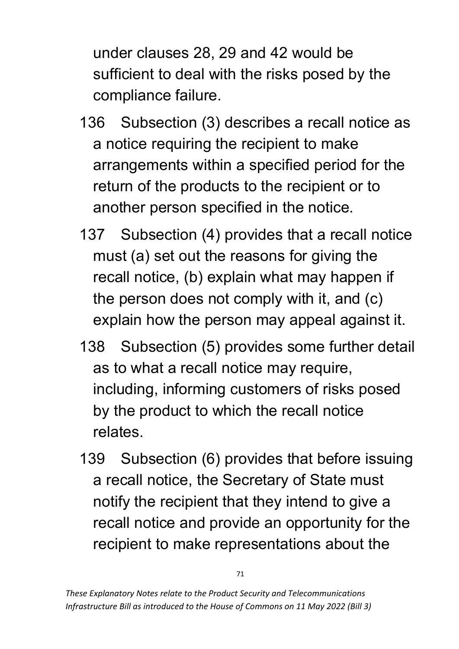under clauses 28, 29 and 42 would be sufficient to deal with the risks posed by the compliance failure.

- 136 Subsection (3) describes a recall notice as a notice requiring the recipient to make arrangements within a specified period for the return of the products to the recipient or to another person specified in the notice.
- 137 Subsection (4) provides that a recall notice must (a) set out the reasons for giving the recall notice, (b) explain what may happen if the person does not comply with it, and (c) explain how the person may appeal against it.
- 138 Subsection (5) provides some further detail as to what a recall notice may require, including, informing customers of risks posed by the product to which the recall notice relates.
- 139 Subsection (6) provides that before issuing a recall notice, the Secretary of State must notify the recipient that they intend to give a recall notice and provide an opportunity for the recipient to make representations about the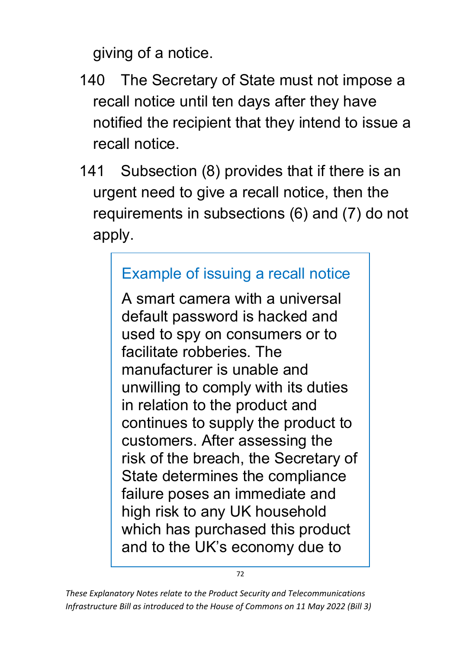giving of a notice.

- 140 The Secretary of State must not impose a recall notice until ten days after they have notified the recipient that they intend to issue a recall notice.
- 141 Subsection (8) provides that if there is an urgent need to give a recall notice, then the requirements in subsections (6) and (7) do not apply.

### Example of issuing a recall notice

A smart camera with a universal default password is hacked and used to spy on consumers or to facilitate robberies. The manufacturer is unable and unwilling to comply with its duties in relation to the product and continues to supply the product to customers. After assessing the risk of the breach, the Secretary of State determines the compliance failure poses an immediate and high risk to any UK household which has purchased this product and to the UK's economy due to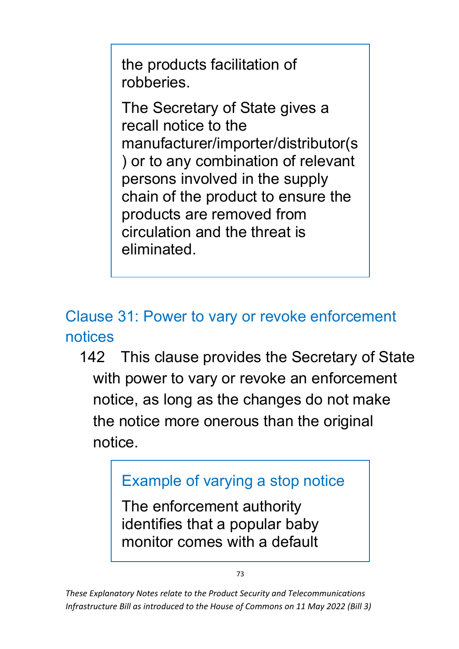the products facilitation of robberies.

The Secretary of State gives a recall notice to the manufacturer/importer/distributor(s ) or to any combination of relevant persons involved in the supply chain of the product to ensure the products are removed from circulation and the threat is eliminated.

Clause 31: Power to vary or revoke enforcement notices

142 This clause provides the Secretary of State with power to vary or revoke an enforcement notice, as long as the changes do not make the notice more onerous than the original notice.

# Example of varying a stop notice

The enforcement authority identifies that a popular baby monitor comes with a default

*These Explanatory Notes relate to the Product Security and Telecommunications Infrastructure Bill as introduced to the House of Commons on 11 May 2022 (Bill 3)*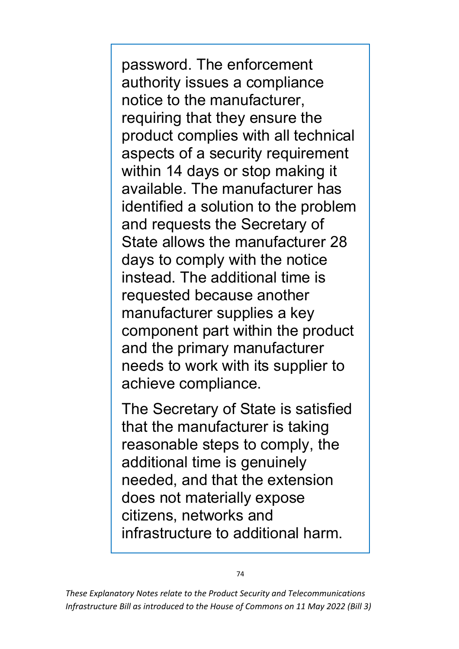password. The enforcement authority issues a compliance notice to the manufacturer, requiring that they ensure the product complies with all technical aspects of a security requirement within 14 days or stop making it available. The manufacturer has identified a solution to the problem and requests the Secretary of State allows the manufacturer 28 days to comply with the notice instead. The additional time is requested because another manufacturer supplies a key component part within the product and the primary manufacturer needs to work with its supplier to achieve compliance.

The Secretary of State is satisfied that the manufacturer is taking reasonable steps to comply, the additional time is genuinely needed, and that the extension does not materially expose citizens, networks and infrastructure to additional harm.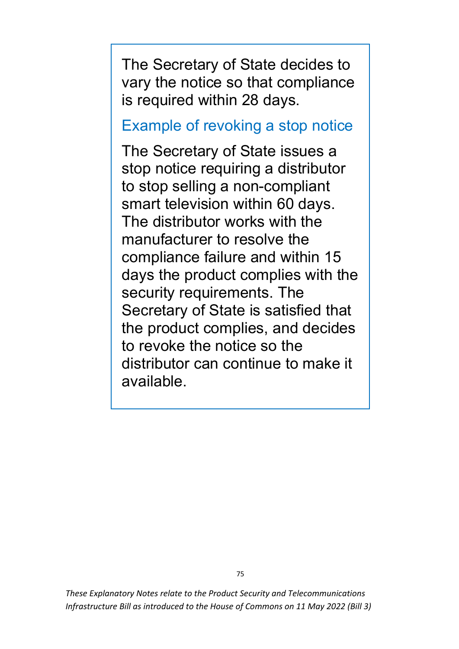The Secretary of State decides to vary the notice so that compliance is required within 28 days.

Example of revoking a stop notice

The Secretary of State issues a stop notice requiring a distributor to stop selling a non-compliant smart television within 60 days. The distributor works with the manufacturer to resolve the compliance failure and within 15 days the product complies with the security requirements. The Secretary of State is satisfied that the product complies, and decides to revoke the notice so the distributor can continue to make it available.

*These Explanatory Notes relate to the Product Security and Telecommunications Infrastructure Bill as introduced to the House of Commons on 11 May 2022 (Bill 3)*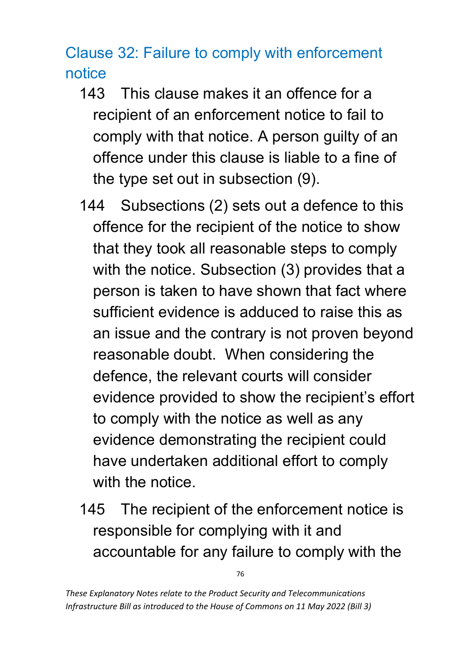Clause 32: Failure to comply with enforcement notice

- 143 This clause makes it an offence for a recipient of an enforcement notice to fail to comply with that notice. A person guilty of an offence under this clause is liable to a fine of the type set out in subsection (9).
- 144 Subsections (2) sets out a defence to this offence for the recipient of the notice to show that they took all reasonable steps to comply with the notice. Subsection (3) provides that a person is taken to have shown that fact where sufficient evidence is adduced to raise this as an issue and the contrary is not proven beyond reasonable doubt. When considering the defence, the relevant courts will consider evidence provided to show the recipient's effort to comply with the notice as well as any evidence demonstrating the recipient could have undertaken additional effort to comply with the notice.
- 145 The recipient of the enforcement notice is responsible for complying with it and accountable for any failure to comply with the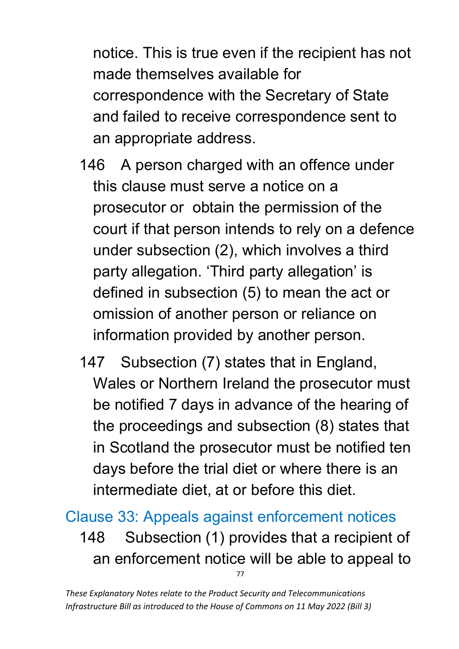notice. This is true even if the recipient has not made themselves available for correspondence with the Secretary of State and failed to receive correspondence sent to an appropriate address.

- 146 A person charged with an offence under this clause must serve a notice on a prosecutor or obtain the permission of the court if that person intends to rely on a defence under subsection (2), which involves a third party allegation. 'Third party allegation' is defined in subsection (5) to mean the act or omission of another person or reliance on information provided by another person.
- 147 Subsection (7) states that in England, Wales or Northern Ireland the prosecutor must be notified 7 days in advance of the hearing of the proceedings and subsection (8) states that in Scotland the prosecutor must be notified ten days before the trial diet or where there is an intermediate diet, at or before this diet.

77 Clause 33: Appeals against enforcement notices 148 Subsection (1) provides that a recipient of an enforcement notice will be able to appeal to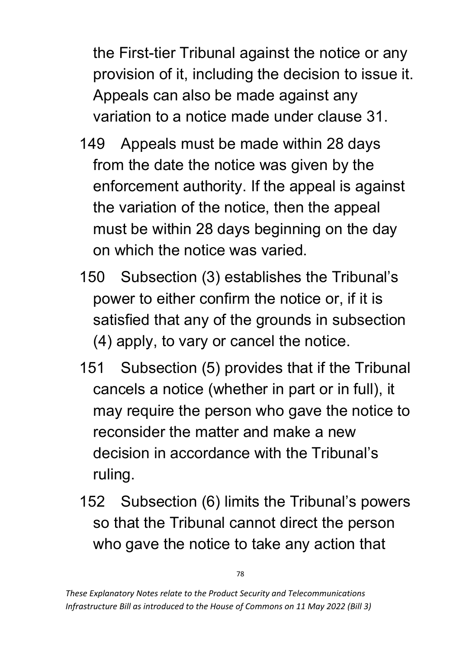the First-tier Tribunal against the notice or any provision of it, including the decision to issue it. Appeals can also be made against any variation to a notice made under clause 31.

- 149 Appeals must be made within 28 days from the date the notice was given by the enforcement authority. If the appeal is against the variation of the notice, then the appeal must be within 28 days beginning on the day on which the notice was varied.
- 150 Subsection (3) establishes the Tribunal's power to either confirm the notice or, if it is satisfied that any of the grounds in subsection (4) apply, to vary or cancel the notice.
- 151 Subsection (5) provides that if the Tribunal cancels a notice (whether in part or in full), it may require the person who gave the notice to reconsider the matter and make a new decision in accordance with the Tribunal's ruling.
- 152 Subsection (6) limits the Tribunal's powers so that the Tribunal cannot direct the person who gave the notice to take any action that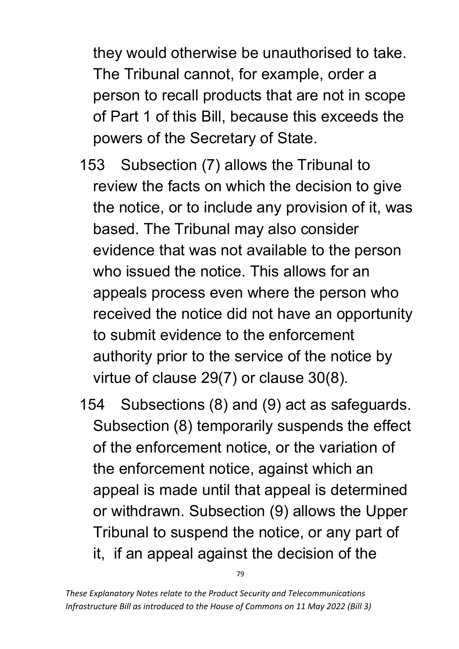they would otherwise be unauthorised to take. The Tribunal cannot, for example, order a person to recall products that are not in scope of Part 1 of this Bill, because this exceeds the powers of the Secretary of State.

- 153 Subsection (7) allows the Tribunal to review the facts on which the decision to give the notice, or to include any provision of it, was based. The Tribunal may also consider evidence that was not available to the person who issued the notice. This allows for an appeals process even where the person who received the notice did not have an opportunity to submit evidence to the enforcement authority prior to the service of the notice by virtue of clause 29(7) or clause 30(8).
- 154 Subsections (8) and (9) act as safeguards. Subsection (8) temporarily suspends the effect of the enforcement notice, or the variation of the enforcement notice, against which an appeal is made until that appeal is determined or withdrawn. Subsection (9) allows the Upper Tribunal to suspend the notice, or any part of it, if an appeal against the decision of the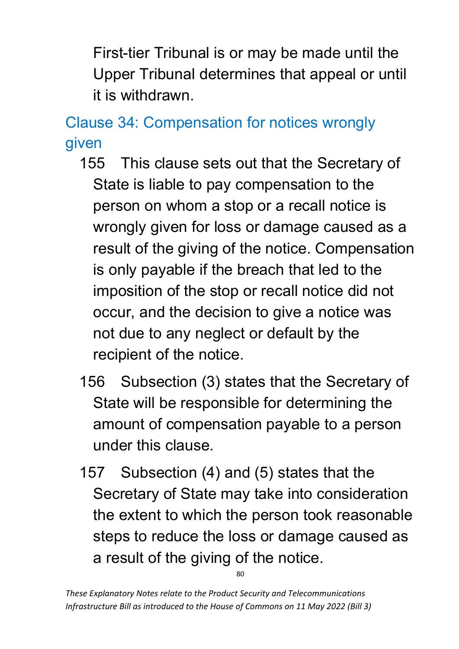First-tier Tribunal is or may be made until the Upper Tribunal determines that appeal or until it is withdrawn.

Clause 34: Compensation for notices wrongly given

- 155 This clause sets out that the Secretary of State is liable to pay compensation to the person on whom a stop or a recall notice is wrongly given for loss or damage caused as a result of the giving of the notice. Compensation is only payable if the breach that led to the imposition of the stop or recall notice did not occur, and the decision to give a notice was not due to any neglect or default by the recipient of the notice.
- 156 Subsection (3) states that the Secretary of State will be responsible for determining the amount of compensation payable to a person under this clause.
- 157 Subsection (4) and (5) states that the Secretary of State may take into consideration the extent to which the person took reasonable steps to reduce the loss or damage caused as a result of the giving of the notice.

*These Explanatory Notes relate to the Product Security and Telecommunications Infrastructure Bill as introduced to the House of Commons on 11 May 2022 (Bill 3)*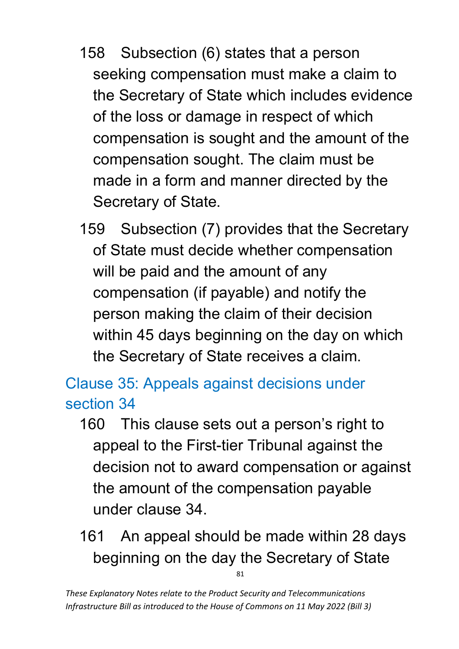- 158 Subsection (6) states that a person seeking compensation must make a claim to the Secretary of State which includes evidence of the loss or damage in respect of which compensation is sought and the amount of the compensation sought. The claim must be made in a form and manner directed by the Secretary of State.
- 159 Subsection (7) provides that the Secretary of State must decide whether compensation will be paid and the amount of any compensation (if payable) and notify the person making the claim of their decision within 45 days beginning on the day on which the Secretary of State receives a claim.

Clause 35: Appeals against decisions under section 34

- 160 This clause sets out a person's right to appeal to the First-tier Tribunal against the decision not to award compensation or against the amount of the compensation payable under clause 34.
- 81 161 An appeal should be made within 28 days beginning on the day the Secretary of State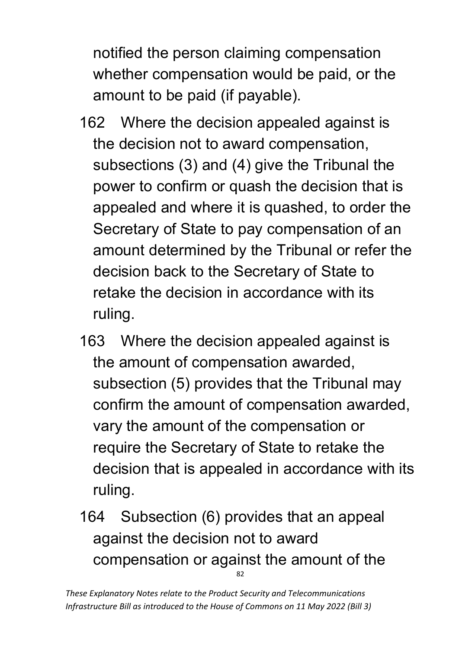notified the person claiming compensation whether compensation would be paid, or the amount to be paid (if payable).

- 162 Where the decision appealed against is the decision not to award compensation, subsections (3) and (4) give the Tribunal the power to confirm or quash the decision that is appealed and where it is quashed, to order the Secretary of State to pay compensation of an amount determined by the Tribunal or refer the decision back to the Secretary of State to retake the decision in accordance with its ruling.
- 163 Where the decision appealed against is the amount of compensation awarded, subsection (5) provides that the Tribunal may confirm the amount of compensation awarded, vary the amount of the compensation or require the Secretary of State to retake the decision that is appealed in accordance with its ruling.
- 82 164 Subsection (6) provides that an appeal against the decision not to award compensation or against the amount of the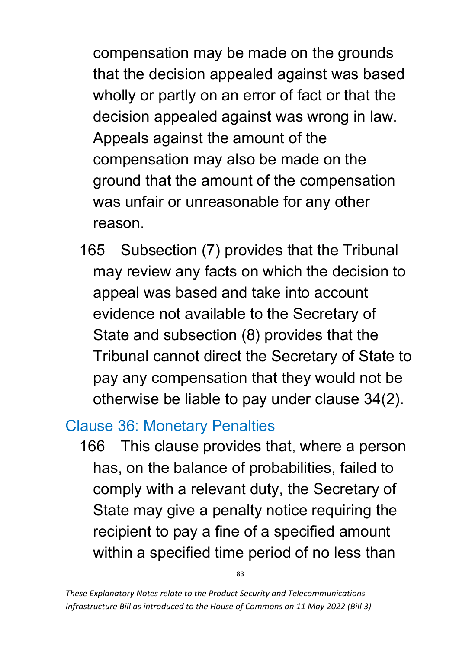compensation may be made on the grounds that the decision appealed against was based wholly or partly on an error of fact or that the decision appealed against was wrong in law. Appeals against the amount of the compensation may also be made on the ground that the amount of the compensation was unfair or unreasonable for any other reason.

165 Subsection (7) provides that the Tribunal may review any facts on which the decision to appeal was based and take into account evidence not available to the Secretary of State and subsection (8) provides that the Tribunal cannot direct the Secretary of State to pay any compensation that they would not be otherwise be liable to pay under clause 34(2).

### Clause 36: Monetary Penalties

166 This clause provides that, where a person has, on the balance of probabilities, failed to comply with a relevant duty, the Secretary of State may give a penalty notice requiring the recipient to pay a fine of a specified amount within a specified time period of no less than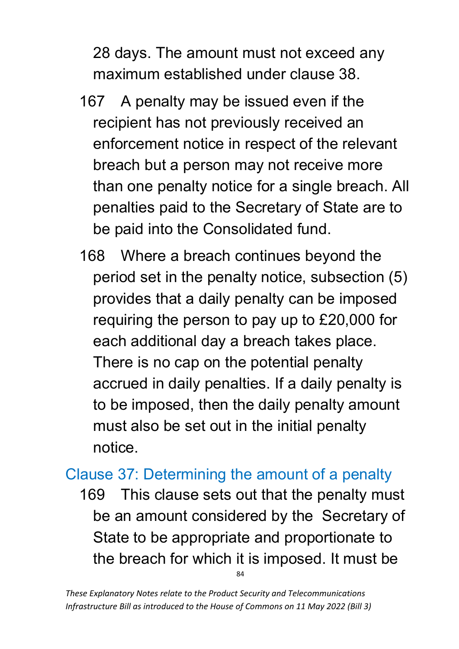28 days. The amount must not exceed any maximum established under clause 38.

- 167 A penalty may be issued even if the recipient has not previously received an enforcement notice in respect of the relevant breach but a person may not receive more than one penalty notice for a single breach. All penalties paid to the Secretary of State are to be paid into the Consolidated fund.
- 168 Where a breach continues beyond the period set in the penalty notice, subsection (5) provides that a daily penalty can be imposed requiring the person to pay up to £20,000 for each additional day a breach takes place. There is no cap on the potential penalty accrued in daily penalties. If a daily penalty is to be imposed, then the daily penalty amount must also be set out in the initial penalty notice.

#### Clause 37: Determining the amount of a penalty

84 169 This clause sets out that the penalty must be an amount considered by the Secretary of State to be appropriate and proportionate to the breach for which it is imposed. It must be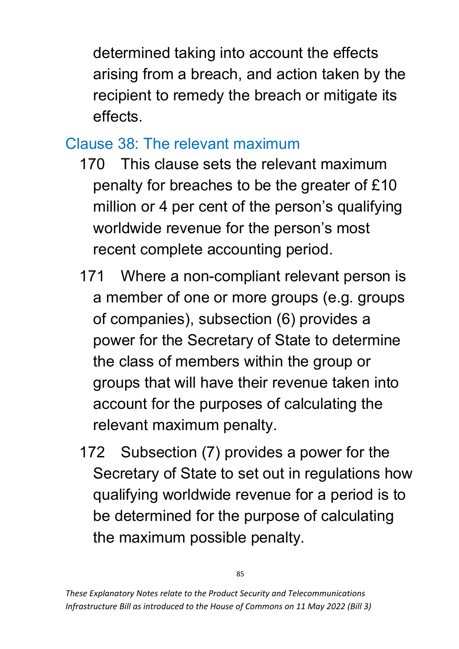determined taking into account the effects arising from a breach, and action taken by the recipient to remedy the breach or mitigate its effects.

## Clause 38: The relevant maximum

- 170 This clause sets the relevant maximum penalty for breaches to be the greater of £10 million or 4 per cent of the person's qualifying worldwide revenue for the person's most recent complete accounting period.
- 171 Where a non-compliant relevant person is a member of one or more groups (e.g. groups of companies), subsection (6) provides a power for the Secretary of State to determine the class of members within the group or groups that will have their revenue taken into account for the purposes of calculating the relevant maximum penalty.
- 172 Subsection (7) provides a power for the Secretary of State to set out in regulations how qualifying worldwide revenue for a period is to be determined for the purpose of calculating the maximum possible penalty.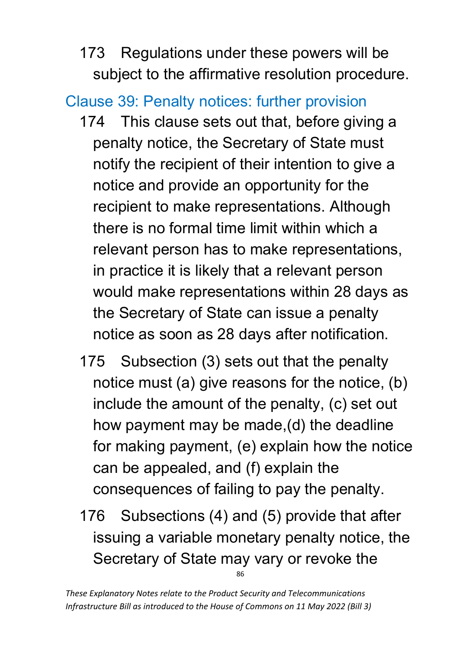173 Regulations under these powers will be subject to the affirmative resolution procedure.

# Clause 39: Penalty notices: further provision

- 174 This clause sets out that, before giving a penalty notice, the Secretary of State must notify the recipient of their intention to give a notice and provide an opportunity for the recipient to make representations. Although there is no formal time limit within which a relevant person has to make representations, in practice it is likely that a relevant person would make representations within 28 days as the Secretary of State can issue a penalty notice as soon as 28 days after notification.
- 175 Subsection (3) sets out that the penalty notice must (a) give reasons for the notice, (b) include the amount of the penalty, (c) set out how payment may be made,(d) the deadline for making payment, (e) explain how the notice can be appealed, and (f) explain the consequences of failing to pay the penalty.
- 86 176 Subsections (4) and (5) provide that after issuing a variable monetary penalty notice, the Secretary of State may vary or revoke the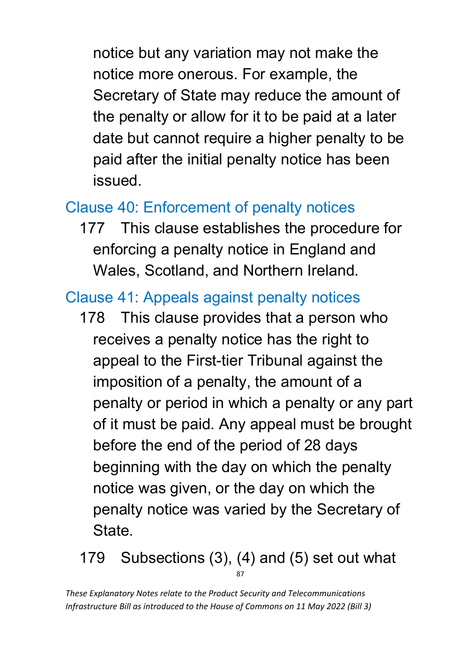notice but any variation may not make the notice more onerous. For example, the Secretary of State may reduce the amount of the penalty or allow for it to be paid at a later date but cannot require a higher penalty to be paid after the initial penalty notice has been issued.

# Clause 40: Enforcement of penalty notices

177 This clause establishes the procedure for enforcing a penalty notice in England and Wales, Scotland, and Northern Ireland.

### Clause 41: Appeals against penalty notices

178 This clause provides that a person who receives a penalty notice has the right to appeal to the First-tier Tribunal against the imposition of a penalty, the amount of a penalty or period in which a penalty or any part of it must be paid. Any appeal must be brought before the end of the period of 28 days beginning with the day on which the penalty notice was given, or the day on which the penalty notice was varied by the Secretary of **State** 

87 179 Subsections (3), (4) and (5) set out what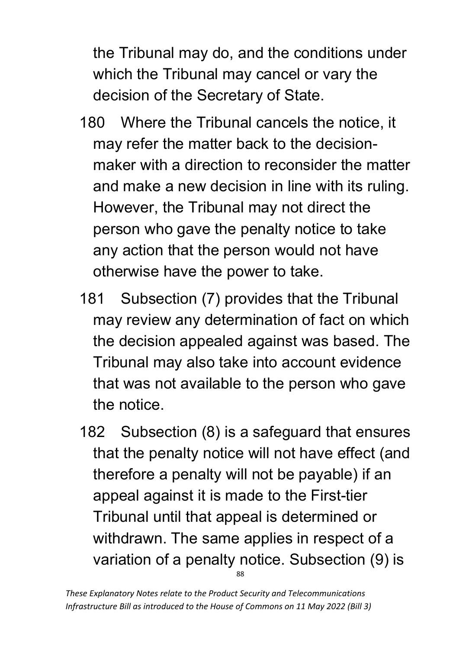the Tribunal may do, and the conditions under which the Tribunal may cancel or vary the decision of the Secretary of State.

- 180 Where the Tribunal cancels the notice, it may refer the matter back to the decisionmaker with a direction to reconsider the matter and make a new decision in line with its ruling. However, the Tribunal may not direct the person who gave the penalty notice to take any action that the person would not have otherwise have the power to take.
- 181 Subsection (7) provides that the Tribunal may review any determination of fact on which the decision appealed against was based. The Tribunal may also take into account evidence that was not available to the person who gave the notice.
- 88 182 Subsection (8) is a safeguard that ensures that the penalty notice will not have effect (and therefore a penalty will not be payable) if an appeal against it is made to the First-tier Tribunal until that appeal is determined or withdrawn. The same applies in respect of a variation of a penalty notice. Subsection (9) is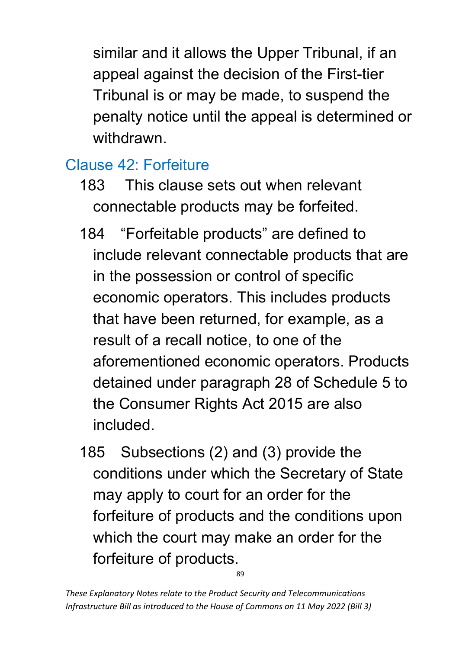similar and it allows the Upper Tribunal, if an appeal against the decision of the First-tier Tribunal is or may be made, to suspend the penalty notice until the appeal is determined or withdrawn.

# Clause 42: Forfeiture

- 183 This clause sets out when relevant connectable products may be forfeited.
- 184 "Forfeitable products" are defined to include relevant connectable products that are in the possession or control of specific economic operators. This includes products that have been returned, for example, as a result of a recall notice, to one of the aforementioned economic operators. Products detained under paragraph 28 of Schedule 5 to the Consumer Rights Act 2015 are also included.
- 185 Subsections (2) and (3) provide the conditions under which the Secretary of State may apply to court for an order for the forfeiture of products and the conditions upon which the court may make an order for the forfeiture of products.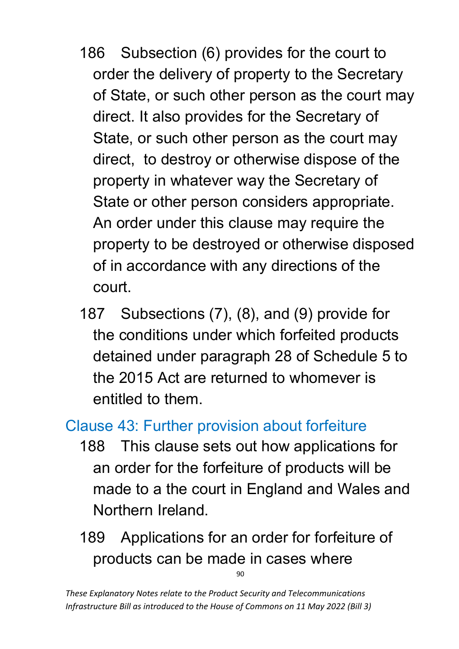- 186 Subsection (6) provides for the court to order the delivery of property to the Secretary of State, or such other person as the court may direct. It also provides for the Secretary of State, or such other person as the court may direct, to destroy or otherwise dispose of the property in whatever way the Secretary of State or other person considers appropriate. An order under this clause may require the property to be destroyed or otherwise disposed of in accordance with any directions of the court.
- 187 Subsections (7), (8), and (9) provide for the conditions under which forfeited products detained under paragraph 28 of Schedule 5 to the 2015 Act are returned to whomever is entitled to them.

### Clause 43: Further provision about forfeiture

- 188 This clause sets out how applications for an order for the forfeiture of products will be made to a the court in England and Wales and Northern Ireland.
- $90$ 189 Applications for an order for forfeiture of products can be made in cases where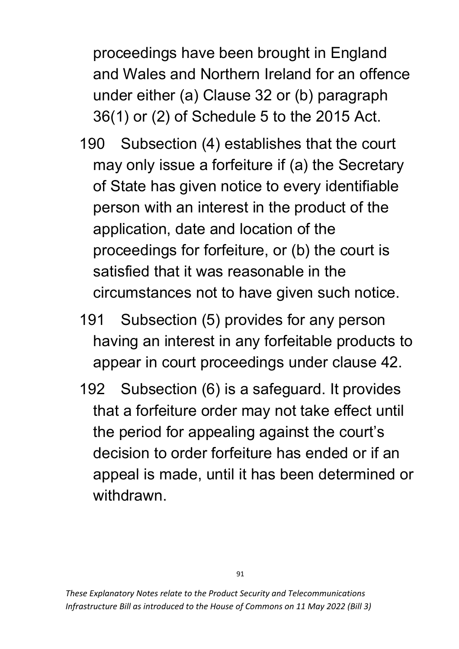proceedings have been brought in England and Wales and Northern Ireland for an offence under either (a) Clause 32 or (b) paragraph 36(1) or (2) of Schedule 5 to the 2015 Act.

- 190 Subsection (4) establishes that the court may only issue a forfeiture if (a) the Secretary of State has given notice to every identifiable person with an interest in the product of the application, date and location of the proceedings for forfeiture, or (b) the court is satisfied that it was reasonable in the circumstances not to have given such notice.
- 191 Subsection (5) provides for any person having an interest in any forfeitable products to appear in court proceedings under clause 42.
- 192 Subsection (6) is a safeguard. It provides that a forfeiture order may not take effect until the period for appealing against the court's decision to order forfeiture has ended or if an appeal is made, until it has been determined or withdrawn.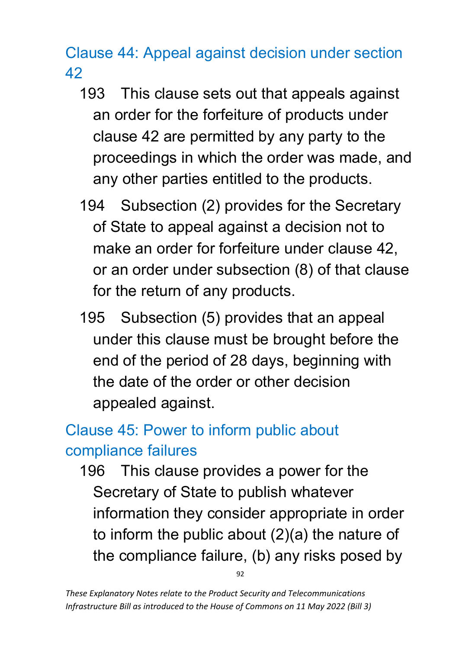Clause 44: Appeal against decision under section 42

- 193 This clause sets out that appeals against an order for the forfeiture of products under clause 42 are permitted by any party to the proceedings in which the order was made, and any other parties entitled to the products.
- 194 Subsection (2) provides for the Secretary of State to appeal against a decision not to make an order for forfeiture under clause 42, or an order under subsection (8) of that clause for the return of any products.
- 195 Subsection (5) provides that an appeal under this clause must be brought before the end of the period of 28 days, beginning with the date of the order or other decision appealed against.

# Clause 45: Power to inform public about compliance failures

196 This clause provides a power for the Secretary of State to publish whatever information they consider appropriate in order to inform the public about (2)(a) the nature of the compliance failure, (b) any risks posed by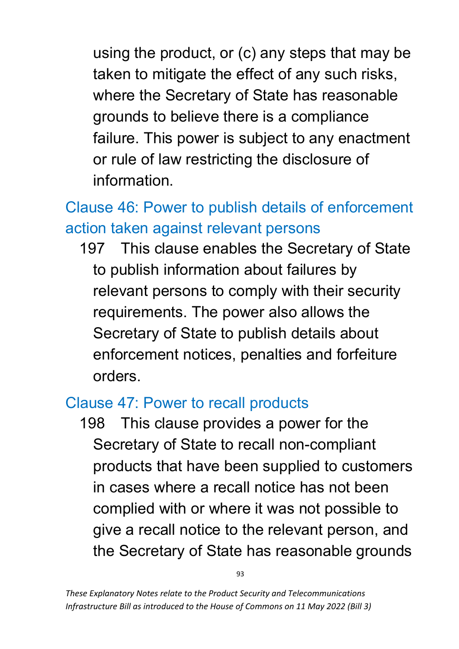using the product, or (c) any steps that may be taken to mitigate the effect of any such risks, where the Secretary of State has reasonable grounds to believe there is a compliance failure. This power is subject to any enactment or rule of law restricting the disclosure of information.

# Clause 46: Power to publish details of enforcement action taken against relevant persons

197 This clause enables the Secretary of State to publish information about failures by relevant persons to comply with their security requirements. The power also allows the Secretary of State to publish details about enforcement notices, penalties and forfeiture orders.

#### Clause 47: Power to recall products

198 This clause provides a power for the Secretary of State to recall non-compliant products that have been supplied to customers in cases where a recall notice has not been complied with or where it was not possible to give a recall notice to the relevant person, and the Secretary of State has reasonable grounds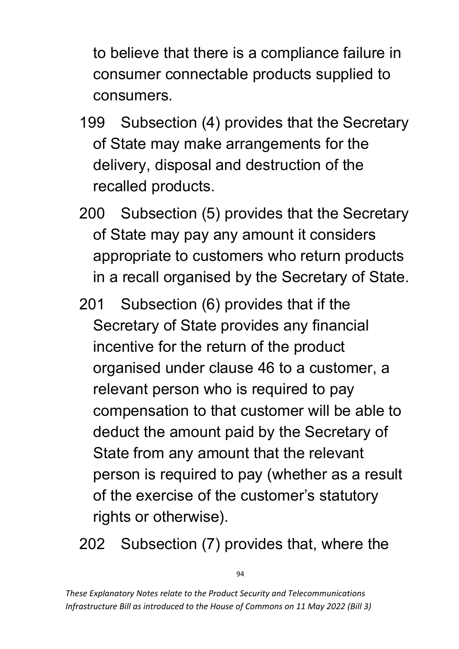to believe that there is a compliance failure in consumer connectable products supplied to consumers.

- 199 Subsection (4) provides that the Secretary of State may make arrangements for the delivery, disposal and destruction of the recalled products.
- 200 Subsection (5) provides that the Secretary of State may pay any amount it considers appropriate to customers who return products in a recall organised by the Secretary of State.
- 201 Subsection (6) provides that if the Secretary of State provides any financial incentive for the return of the product organised under clause 46 to a customer, a relevant person who is required to pay compensation to that customer will be able to deduct the amount paid by the Secretary of State from any amount that the relevant person is required to pay (whether as a result of the exercise of the customer's statutory rights or otherwise).

202 Subsection (7) provides that, where the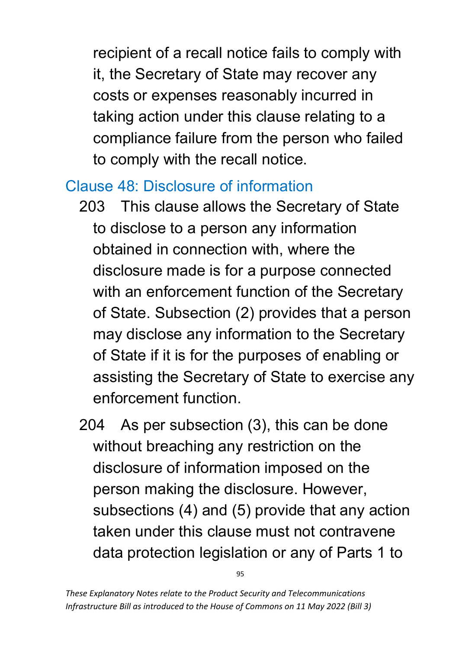recipient of a recall notice fails to comply with it, the Secretary of State may recover any costs or expenses reasonably incurred in taking action under this clause relating to a compliance failure from the person who failed to comply with the recall notice.

### Clause 48: Disclosure of information

- 203 This clause allows the Secretary of State to disclose to a person any information obtained in connection with, where the disclosure made is for a purpose connected with an enforcement function of the Secretary of State. Subsection (2) provides that a person may disclose any information to the Secretary of State if it is for the purposes of enabling or assisting the Secretary of State to exercise any enforcement function.
- 204 As per subsection (3), this can be done without breaching any restriction on the disclosure of information imposed on the person making the disclosure. However, subsections (4) and (5) provide that any action taken under this clause must not contravene data protection legislation or any of Parts 1 to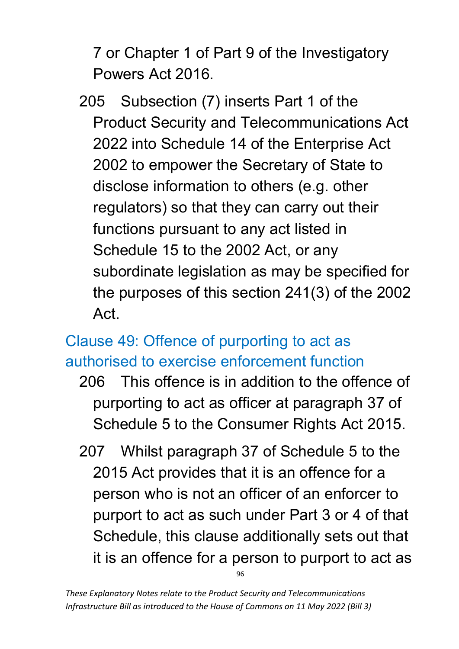7 or Chapter 1 of Part 9 of the Investigatory Powers Act 2016.

205 Subsection (7) inserts Part 1 of the Product Security and Telecommunications Act 2022 into Schedule 14 of the Enterprise Act 2002 to empower the Secretary of State to disclose information to others (e.g. other regulators) so that they can carry out their functions pursuant to any act listed in Schedule 15 to the 2002 Act, or any subordinate legislation as may be specified for the purposes of this section 241(3) of the 2002 Act.

## Clause 49: Offence of purporting to act as authorised to exercise enforcement function

- 206 This offence is in addition to the offence of purporting to act as officer at paragraph 37 of Schedule 5 to the Consumer Rights Act 2015.
- 96 207 Whilst paragraph 37 of Schedule 5 to the 2015 Act provides that it is an offence for a person who is not an officer of an enforcer to purport to act as such under Part 3 or 4 of that Schedule, this clause additionally sets out that it is an offence for a person to purport to act as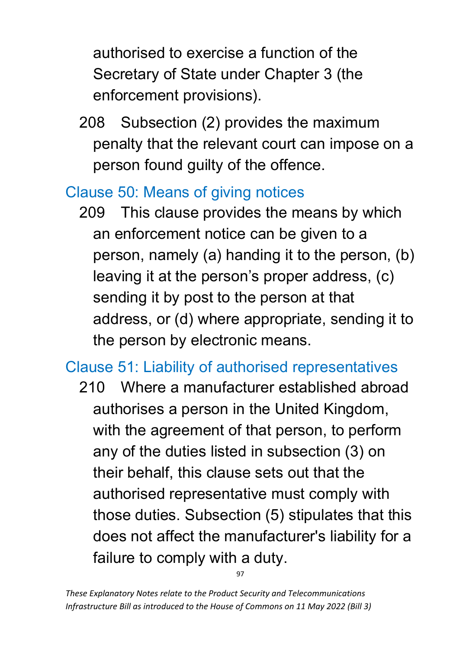authorised to exercise a function of the Secretary of State under Chapter 3 (the enforcement provisions).

208 Subsection (2) provides the maximum penalty that the relevant court can impose on a person found guilty of the offence.

### Clause 50: Means of giving notices

209 This clause provides the means by which an enforcement notice can be given to a person, namely (a) handing it to the person, (b) leaving it at the person's proper address, (c) sending it by post to the person at that address, or (d) where appropriate, sending it to the person by electronic means.

# Clause 51: Liability of authorised representatives

210 Where a manufacturer established abroad authorises a person in the United Kingdom, with the agreement of that person, to perform any of the duties listed in subsection (3) on their behalf, this clause sets out that the authorised representative must comply with those duties. Subsection (5) stipulates that this does not affect the manufacturer's liability for a failure to comply with a duty.

*These Explanatory Notes relate to the Product Security and Telecommunications Infrastructure Bill as introduced to the House of Commons on 11 May 2022 (Bill 3)*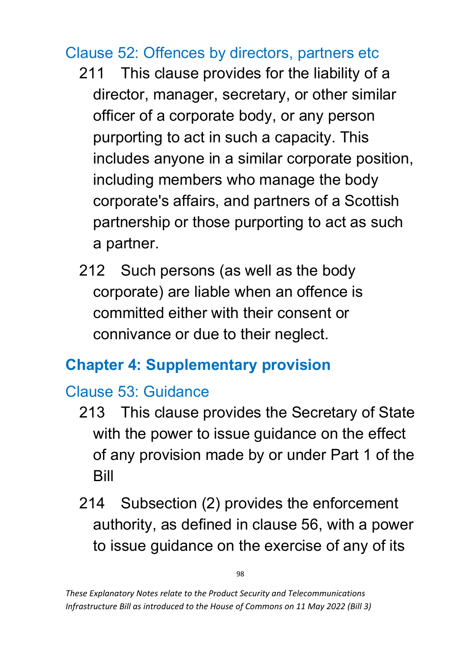### Clause 52: Offences by directors, partners etc

- 211 This clause provides for the liability of a director, manager, secretary, or other similar officer of a corporate body, or any person purporting to act in such a capacity. This includes anyone in a similar corporate position, including members who manage the body corporate's affairs, and partners of a Scottish partnership or those purporting to act as such a partner.
- 212 Such persons (as well as the body corporate) are liable when an offence is committed either with their consent or connivance or due to their neglect.

# **Chapter 4: Supplementary provision**

# Clause 53: Guidance

- 213 This clause provides the Secretary of State with the power to issue guidance on the effect of any provision made by or under Part 1 of the Bill
- 214 Subsection (2) provides the enforcement authority, as defined in clause 56, with a power to issue guidance on the exercise of any of its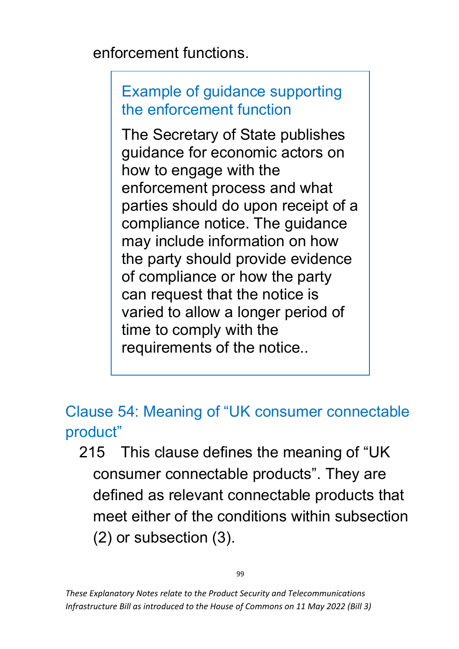enforcement functions.

### Example of guidance supporting the enforcement function

The Secretary of State publishes guidance for economic actors on how to engage with the enforcement process and what parties should do upon receipt of a compliance notice. The guidance may include information on how the party should provide evidence of compliance or how the party can request that the notice is varied to allow a longer period of time to comply with the requirements of the notice..

Clause 54: Meaning of "UK consumer connectable product"

215 This clause defines the meaning of "UK consumer connectable products". They are defined as relevant connectable products that meet either of the conditions within subsection (2) or subsection (3).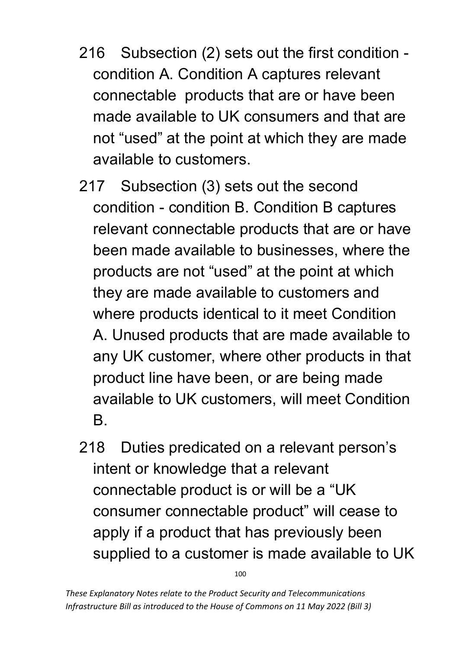- 216 Subsection (2) sets out the first condition condition A. Condition A captures relevant connectable products that are or have been made available to UK consumers and that are not "used" at the point at which they are made available to customers.
- 217 Subsection (3) sets out the second condition - condition B. Condition B captures relevant connectable products that are or have been made available to businesses, where the products are not "used" at the point at which they are made available to customers and where products identical to it meet Condition A. Unused products that are made available to any UK customer, where other products in that product line have been, or are being made available to UK customers, will meet Condition B.
- 218 Duties predicated on a relevant person's intent or knowledge that a relevant connectable product is or will be a "UK consumer connectable product" will cease to apply if a product that has previously been supplied to a customer is made available to UK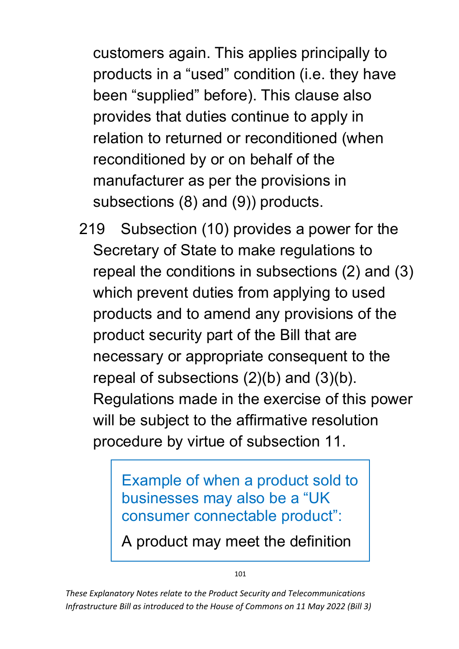customers again. This applies principally to products in a "used" condition (i.e. they have been "supplied" before). This clause also provides that duties continue to apply in relation to returned or reconditioned (when reconditioned by or on behalf of the manufacturer as per the provisions in subsections (8) and (9)) products.

219 Subsection (10) provides a power for the Secretary of State to make regulations to repeal the conditions in subsections (2) and (3) which prevent duties from applying to used products and to amend any provisions of the product security part of the Bill that are necessary or appropriate consequent to the repeal of subsections (2)(b) and (3)(b). Regulations made in the exercise of this power will be subject to the affirmative resolution procedure by virtue of subsection 11.

> Example of when a product sold to businesses may also be a "UK consumer connectable product":

A product may meet the definition

101

*These Explanatory Notes relate to the Product Security and Telecommunications Infrastructure Bill as introduced to the House of Commons on 11 May 2022 (Bill 3)*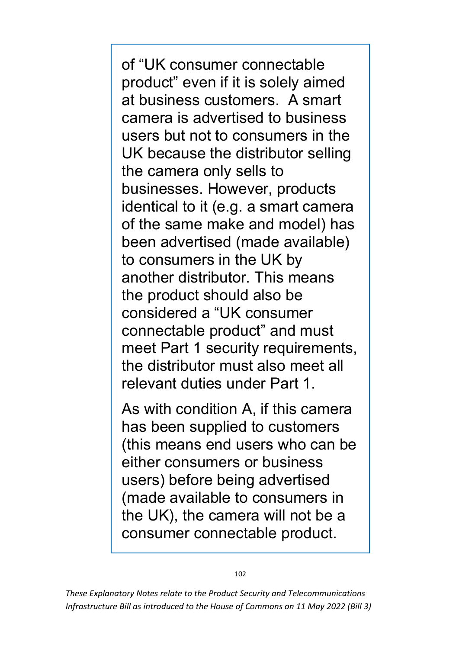of "UK consumer connectable product" even if it is solely aimed at business customers. A smart camera is advertised to business users but not to consumers in the UK because the distributor selling the camera only sells to businesses. However, products identical to it (e.g. a smart camera of the same make and model) has been advertised (made available) to consumers in the UK by another distributor. This means the product should also be considered a "UK consumer connectable product" and must meet Part 1 security requirements, the distributor must also meet all relevant duties under Part 1.

As with condition A, if this camera has been supplied to customers (this means end users who can be either consumers or business users) before being advertised (made available to consumers in the UK), the camera will not be a consumer connectable product.

102

*These Explanatory Notes relate to the Product Security and Telecommunications Infrastructure Bill as introduced to the House of Commons on 11 May 2022 (Bill 3)*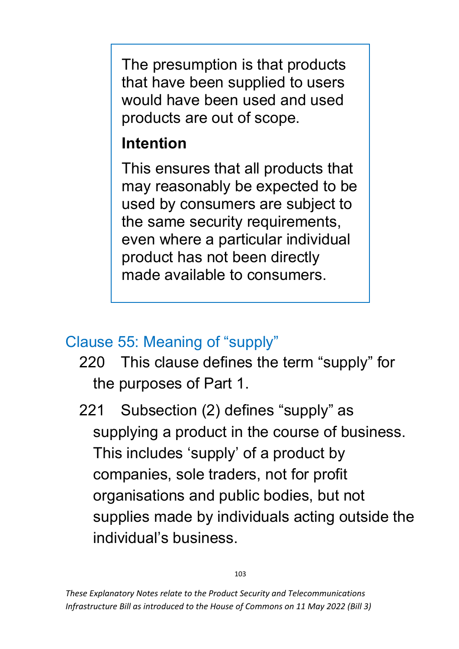The presumption is that products that have been supplied to users would have been used and used products are out of scope.

# **Intention**

This ensures that all products that may reasonably be expected to be used by consumers are subject to the same security requirements, even where a particular individual product has not been directly made available to consumers.

### Clause 55: Meaning of "supply"

- 220 This clause defines the term "supply" for the purposes of Part 1.
- 221 Subsection (2) defines "supply" as supplying a product in the course of business. This includes 'supply' of a product by companies, sole traders, not for profit organisations and public bodies, but not supplies made by individuals acting outside the individual's business.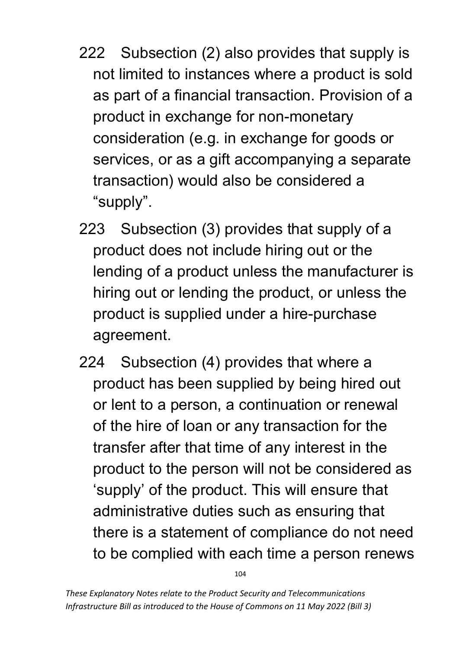- 222 Subsection (2) also provides that supply is not limited to instances where a product is sold as part of a financial transaction. Provision of a product in exchange for non-monetary consideration (e.g. in exchange for goods or services, or as a gift accompanying a separate transaction) would also be considered a "supply".
- 223 Subsection (3) provides that supply of a product does not include hiring out or the lending of a product unless the manufacturer is hiring out or lending the product, or unless the product is supplied under a hire-purchase agreement.
- 224 Subsection (4) provides that where a product has been supplied by being hired out or lent to a person, a continuation or renewal of the hire of loan or any transaction for the transfer after that time of any interest in the product to the person will not be considered as 'supply' of the product. This will ensure that administrative duties such as ensuring that there is a statement of compliance do not need to be complied with each time a person renews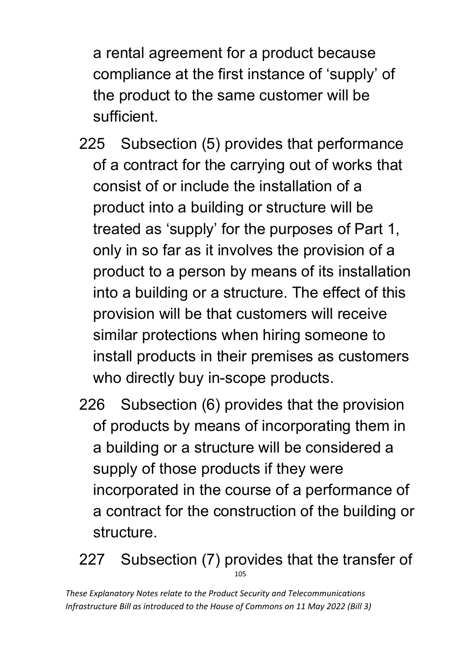a rental agreement for a product because compliance at the first instance of 'supply' of the product to the same customer will be sufficient.

- 225 Subsection (5) provides that performance of a contract for the carrying out of works that consist of or include the installation of a product into a building or structure will be treated as 'supply' for the purposes of Part 1, only in so far as it involves the provision of a product to a person by means of its installation into a building or a structure. The effect of this provision will be that customers will receive similar protections when hiring someone to install products in their premises as customers who directly buy in-scope products.
- 226 Subsection (6) provides that the provision of products by means of incorporating them in a building or a structure will be considered a supply of those products if they were incorporated in the course of a performance of a contract for the construction of the building or structure.
- 105 227 Subsection (7) provides that the transfer of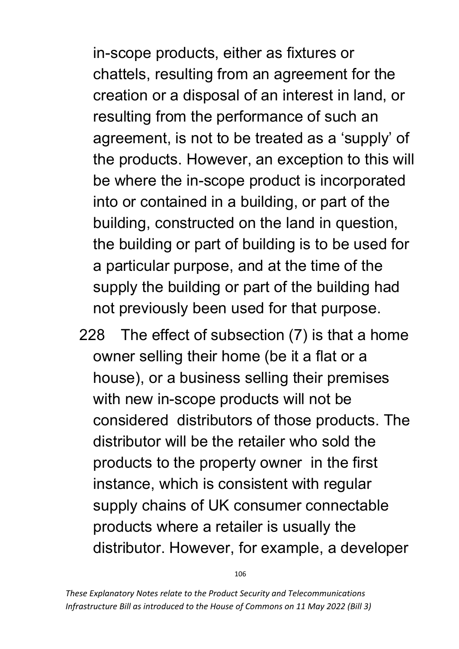in-scope products, either as fixtures or chattels, resulting from an agreement for the creation or a disposal of an interest in land, or resulting from the performance of such an agreement, is not to be treated as a 'supply' of the products. However, an exception to this will be where the in-scope product is incorporated into or contained in a building, or part of the building, constructed on the land in question, the building or part of building is to be used for a particular purpose, and at the time of the supply the building or part of the building had not previously been used for that purpose.

228 The effect of subsection (7) is that a home owner selling their home (be it a flat or a house), or a business selling their premises with new in-scope products will not be considered distributors of those products. The distributor will be the retailer who sold the products to the property owner in the first instance, which is consistent with regular supply chains of UK consumer connectable products where a retailer is usually the distributor. However, for example, a developer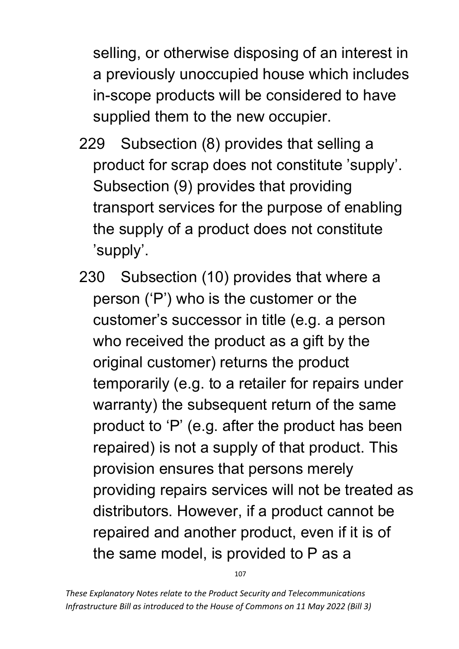selling, or otherwise disposing of an interest in a previously unoccupied house which includes in-scope products will be considered to have supplied them to the new occupier.

- 229 Subsection (8) provides that selling a product for scrap does not constitute 'supply'. Subsection (9) provides that providing transport services for the purpose of enabling the supply of a product does not constitute 'supply'.
- 230 Subsection (10) provides that where a person ('P') who is the customer or the customer's successor in title (e.g. a person who received the product as a gift by the original customer) returns the product temporarily (e.g. to a retailer for repairs under warranty) the subsequent return of the same product to 'P' (e.g. after the product has been repaired) is not a supply of that product. This provision ensures that persons merely providing repairs services will not be treated as distributors. However, if a product cannot be repaired and another product, even if it is of the same model, is provided to P as a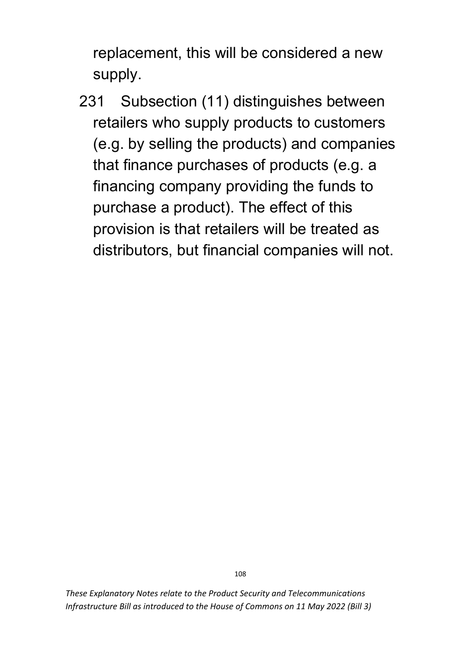replacement, this will be considered a new supply.

231 Subsection (11) distinguishes between retailers who supply products to customers (e.g. by selling the products) and companies that finance purchases of products (e.g. a financing company providing the funds to purchase a product). The effect of this provision is that retailers will be treated as distributors, but financial companies will not.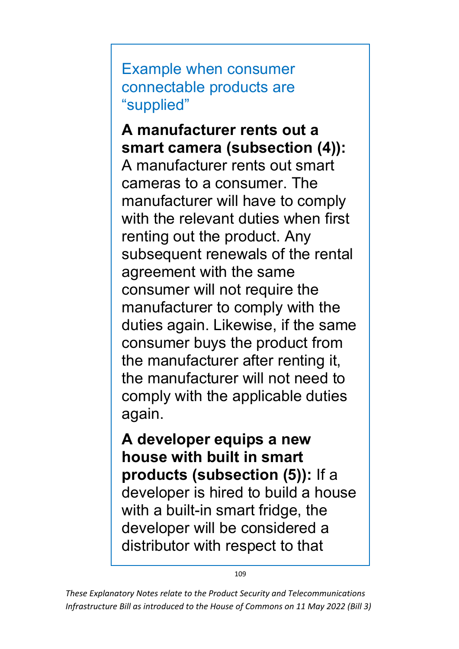Example when consumer connectable products are "supplied"

**A manufacturer rents out a smart camera (subsection (4)):**  A manufacturer rents out smart cameras to a consumer. The manufacturer will have to comply with the relevant duties when first renting out the product. Any subsequent renewals of the rental agreement with the same consumer will not require the manufacturer to comply with the duties again. Likewise, if the same consumer buys the product from the manufacturer after renting it, the manufacturer will not need to comply with the applicable duties again.

**A developer equips a new house with built in smart products (subsection (5)):** If a developer is hired to build a house with a built-in smart fridge, the developer will be considered a distributor with respect to that

109

*These Explanatory Notes relate to the Product Security and Telecommunications Infrastructure Bill as introduced to the House of Commons on 11 May 2022 (Bill 3)*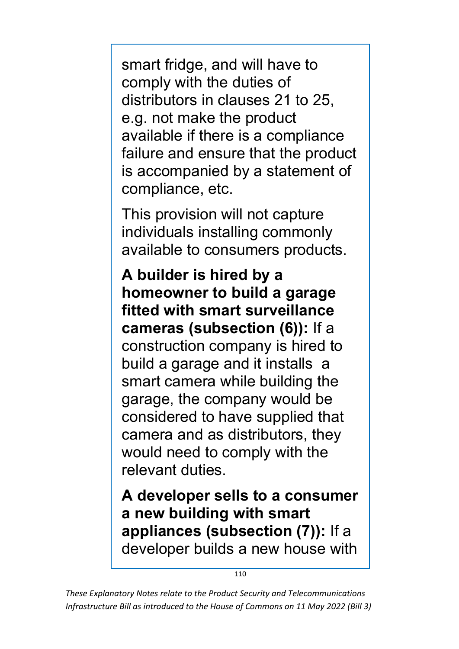smart fridge, and will have to comply with the duties of distributors in clauses 21 to 25, e.g. not make the product available if there is a compliance failure and ensure that the product is accompanied by a statement of compliance, etc.

This provision will not capture individuals installing commonly available to consumers products.

**A builder is hired by a homeowner to build a garage fitted with smart surveillance cameras (subsection (6)):** If a construction company is hired to build a garage and it installs a smart camera while building the garage, the company would be considered to have supplied that camera and as distributors, they would need to comply with the relevant duties.

**A developer sells to a consumer a new building with smart appliances (subsection (7)):** If a developer builds a new house with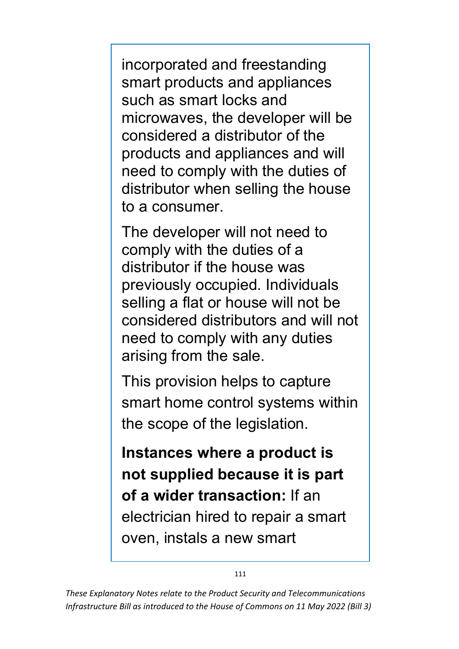incorporated and freestanding smart products and appliances such as smart locks and microwaves, the developer will be considered a distributor of the products and appliances and will need to comply with the duties of distributor when selling the house to a consumer.

The developer will not need to comply with the duties of a distributor if the house was previously occupied. Individuals selling a flat or house will not be considered distributors and will not need to comply with any duties arising from the sale.

This provision helps to capture smart home control systems within the scope of the legislation.

**Instances where a product is not supplied because it is part of a wider transaction:** If an electrician hired to repair a smart oven, instals a new smart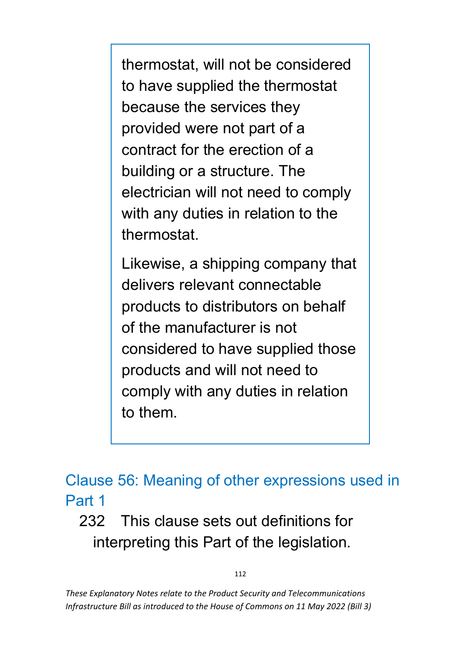thermostat, will not be considered to have supplied the thermostat because the services they provided were not part of a contract for the erection of a building or a structure. The electrician will not need to comply with any duties in relation to the thermostat.

Likewise, a shipping company that delivers relevant connectable products to distributors on behalf of the manufacturer is not considered to have supplied those products and will not need to comply with any duties in relation to them.

### Clause 56: Meaning of other expressions used in Part 1

232 This clause sets out definitions for interpreting this Part of the legislation.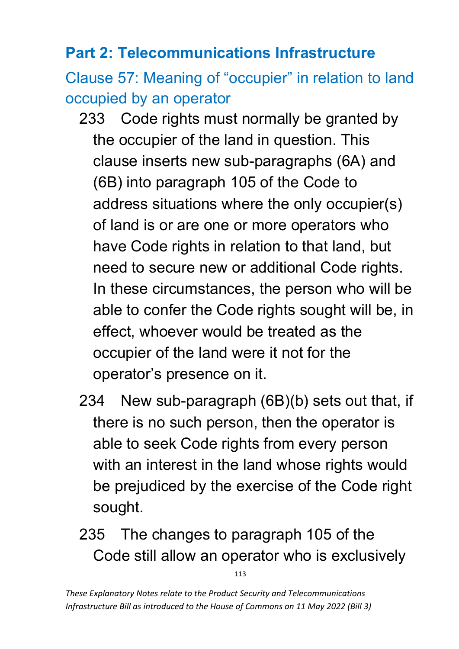#### **Part 2: Telecommunications Infrastructure**

Clause 57: Meaning of "occupier" in relation to land occupied by an operator

- 233 Code rights must normally be granted by the occupier of the land in question. This clause inserts new sub-paragraphs (6A) and (6B) into paragraph 105 of the Code to address situations where the only occupier(s) of land is or are one or more operators who have Code rights in relation to that land, but need to secure new or additional Code rights. In these circumstances, the person who will be able to confer the Code rights sought will be, in effect, whoever would be treated as the occupier of the land were it not for the operator's presence on it.
- 234 New sub-paragraph (6B)(b) sets out that, if there is no such person, then the operator is able to seek Code rights from every person with an interest in the land whose rights would be prejudiced by the exercise of the Code right sought.
- 235 The changes to paragraph 105 of the Code still allow an operator who is exclusively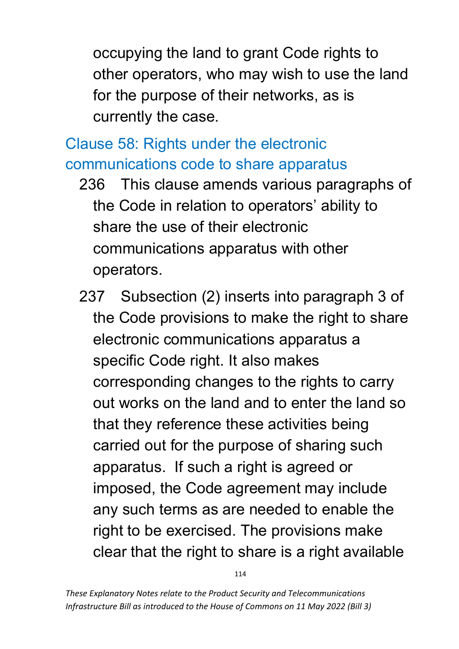occupying the land to grant Code rights to other operators, who may wish to use the land for the purpose of their networks, as is currently the case.

Clause 58: Rights under the electronic communications code to share apparatus

- 236 This clause amends various paragraphs of the Code in relation to operators' ability to share the use of their electronic communications apparatus with other operators.
- 237 Subsection (2) inserts into paragraph 3 of the Code provisions to make the right to share electronic communications apparatus a specific Code right. It also makes corresponding changes to the rights to carry out works on the land and to enter the land so that they reference these activities being carried out for the purpose of sharing such apparatus. If such a right is agreed or imposed, the Code agreement may include any such terms as are needed to enable the right to be exercised. The provisions make clear that the right to share is a right available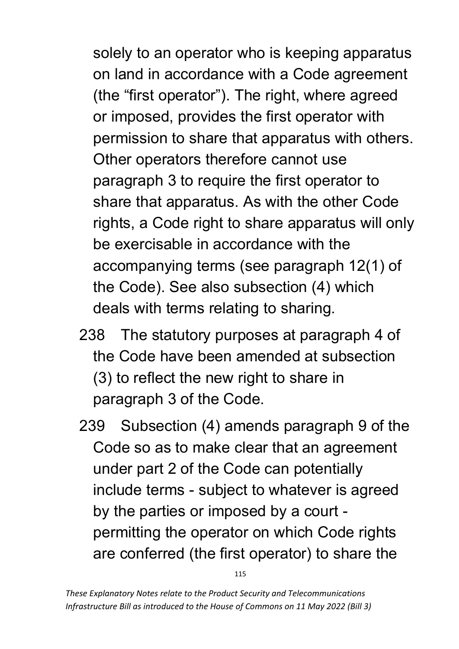solely to an operator who is keeping apparatus on land in accordance with a Code agreement (the "first operator"). The right, where agreed or imposed, provides the first operator with permission to share that apparatus with others. Other operators therefore cannot use paragraph 3 to require the first operator to share that apparatus. As with the other Code rights, a Code right to share apparatus will only be exercisable in accordance with the accompanying terms (see paragraph 12(1) of the Code). See also subsection (4) which deals with terms relating to sharing.

- 238 The statutory purposes at paragraph 4 of the Code have been amended at subsection (3) to reflect the new right to share in paragraph 3 of the Code.
- 239 Subsection (4) amends paragraph 9 of the Code so as to make clear that an agreement under part 2 of the Code can potentially include terms - subject to whatever is agreed by the parties or imposed by a court permitting the operator on which Code rights are conferred (the first operator) to share the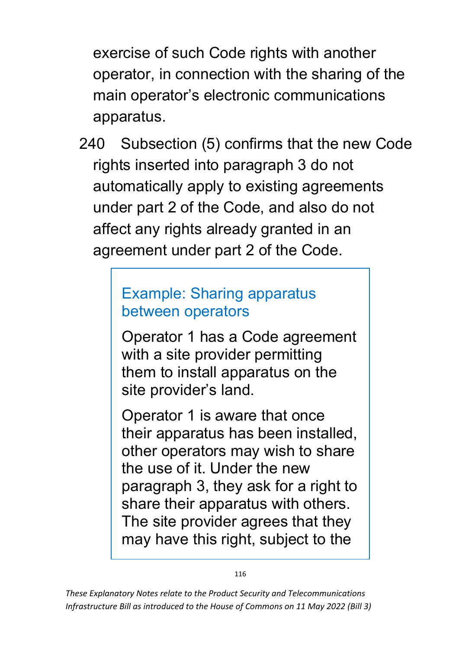exercise of such Code rights with another operator, in connection with the sharing of the main operator's electronic communications apparatus.

240 Subsection (5) confirms that the new Code rights inserted into paragraph 3 do not automatically apply to existing agreements under part 2 of the Code, and also do not affect any rights already granted in an agreement under part 2 of the Code.

#### Example: Sharing apparatus between operators

Operator 1 has a Code agreement with a site provider permitting them to install apparatus on the site provider's land.

Operator 1 is aware that once their apparatus has been installed, other operators may wish to share the use of it. Under the new paragraph 3, they ask for a right to share their apparatus with others. The site provider agrees that they may have this right, subject to the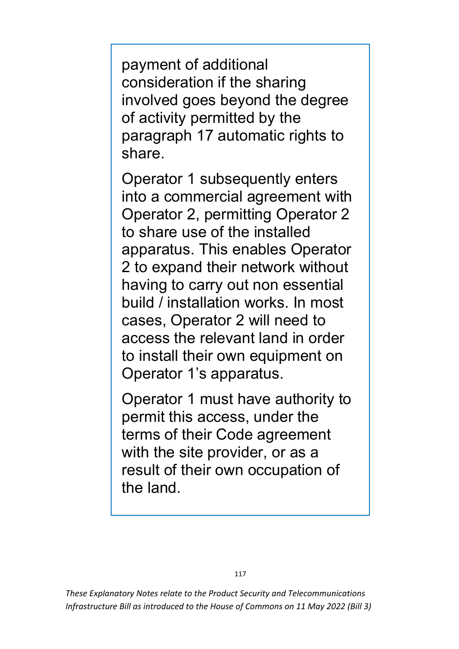payment of additional consideration if the sharing involved goes beyond the degree of activity permitted by the paragraph 17 automatic rights to share.

Operator 1 subsequently enters into a commercial agreement with Operator 2, permitting Operator 2 to share use of the installed apparatus. This enables Operator 2 to expand their network without having to carry out non essential build / installation works. In most cases, Operator 2 will need to access the relevant land in order to install their own equipment on Operator 1's apparatus.

Operator 1 must have authority to permit this access, under the terms of their Code agreement with the site provider, or as a result of their own occupation of the land.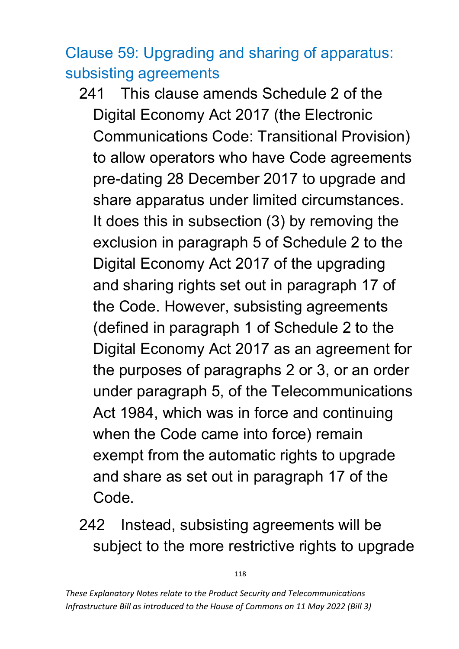# Clause 59: Upgrading and sharing of apparatus: subsisting agreements

- 241 This clause amends Schedule 2 of the Digital Economy Act 2017 (the Electronic Communications Code: Transitional Provision) to allow operators who have Code agreements pre-dating 28 December 2017 to upgrade and share apparatus under limited circumstances. It does this in subsection (3) by removing the exclusion in paragraph 5 of Schedule 2 to the Digital Economy Act 2017 of the upgrading and sharing rights set out in paragraph 17 of the Code. However, subsisting agreements (defined in paragraph 1 of Schedule 2 to the Digital Economy Act 2017 as an agreement for the purposes of paragraphs 2 or 3, or an order under paragraph 5, of the Telecommunications Act 1984, which was in force and continuing when the Code came into force) remain exempt from the automatic rights to upgrade and share as set out in paragraph 17 of the Code.
- 242 Instead, subsisting agreements will be subject to the more restrictive rights to upgrade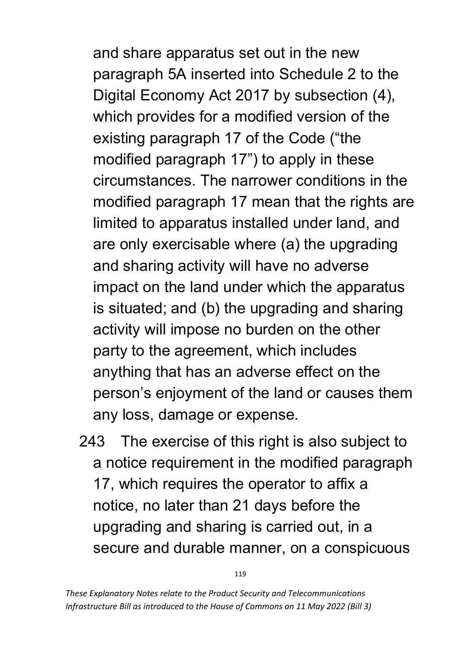and share apparatus set out in the new paragraph 5A inserted into Schedule 2 to the Digital Economy Act 2017 by subsection (4), which provides for a modified version of the existing paragraph 17 of the Code ("the modified paragraph 17") to apply in these circumstances. The narrower conditions in the modified paragraph 17 mean that the rights are limited to apparatus installed under land, and are only exercisable where (a) the upgrading and sharing activity will have no adverse impact on the land under which the apparatus is situated; and (b) the upgrading and sharing activity will impose no burden on the other party to the agreement, which includes anything that has an adverse effect on the person's enjoyment of the land or causes them any loss, damage or expense.

243 The exercise of this right is also subject to a notice requirement in the modified paragraph 17, which requires the operator to affix a notice, no later than 21 days before the upgrading and sharing is carried out, in a secure and durable manner, on a conspicuous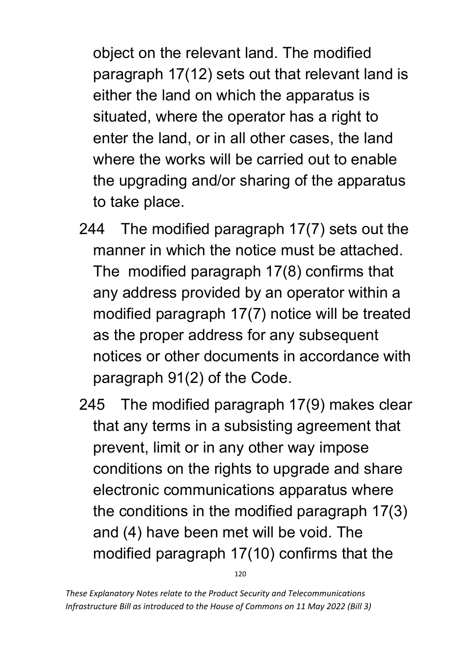object on the relevant land. The modified paragraph 17(12) sets out that relevant land is either the land on which the apparatus is situated, where the operator has a right to enter the land, or in all other cases, the land where the works will be carried out to enable the upgrading and/or sharing of the apparatus to take place.

- 244 The modified paragraph 17(7) sets out the manner in which the notice must be attached. The modified paragraph 17(8) confirms that any address provided by an operator within a modified paragraph 17(7) notice will be treated as the proper address for any subsequent notices or other documents in accordance with paragraph 91(2) of the Code.
- 245 The modified paragraph 17(9) makes clear that any terms in a subsisting agreement that prevent, limit or in any other way impose conditions on the rights to upgrade and share electronic communications apparatus where the conditions in the modified paragraph 17(3) and (4) have been met will be void. The modified paragraph 17(10) confirms that the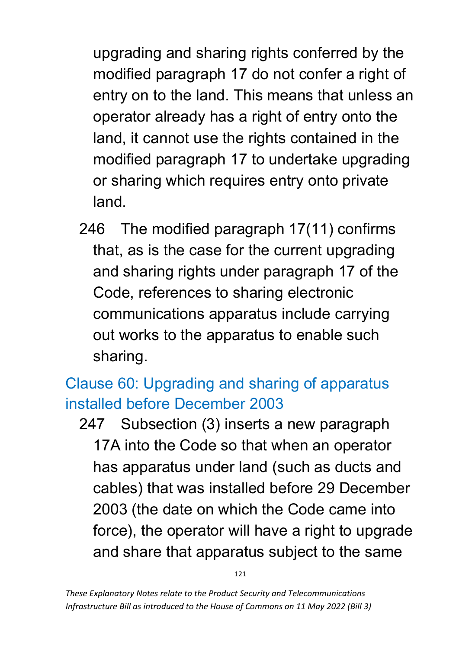upgrading and sharing rights conferred by the modified paragraph 17 do not confer a right of entry on to the land. This means that unless an operator already has a right of entry onto the land, it cannot use the rights contained in the modified paragraph 17 to undertake upgrading or sharing which requires entry onto private land.

246 The modified paragraph 17(11) confirms that, as is the case for the current upgrading and sharing rights under paragraph 17 of the Code, references to sharing electronic communications apparatus include carrying out works to the apparatus to enable such sharing.

# Clause 60: Upgrading and sharing of apparatus installed before December 2003

247 Subsection (3) inserts a new paragraph 17A into the Code so that when an operator has apparatus under land (such as ducts and cables) that was installed before 29 December 2003 (the date on which the Code came into force), the operator will have a right to upgrade and share that apparatus subject to the same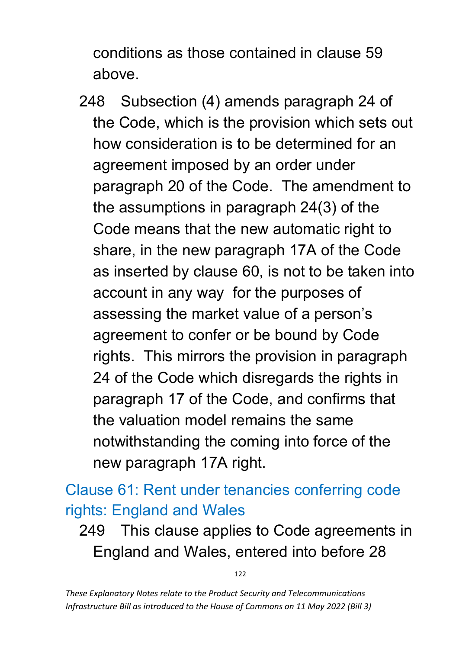conditions as those contained in clause 59 above.

248 Subsection (4) amends paragraph 24 of the Code, which is the provision which sets out how consideration is to be determined for an agreement imposed by an order under paragraph 20 of the Code. The amendment to the assumptions in paragraph 24(3) of the Code means that the new automatic right to share, in the new paragraph 17A of the Code as inserted by clause 60, is not to be taken into account in any way for the purposes of assessing the market value of a person's agreement to confer or be bound by Code rights. This mirrors the provision in paragraph 24 of the Code which disregards the rights in paragraph 17 of the Code, and confirms that the valuation model remains the same notwithstanding the coming into force of the new paragraph 17A right.

Clause 61: Rent under tenancies conferring code rights: England and Wales

249 This clause applies to Code agreements in England and Wales, entered into before 28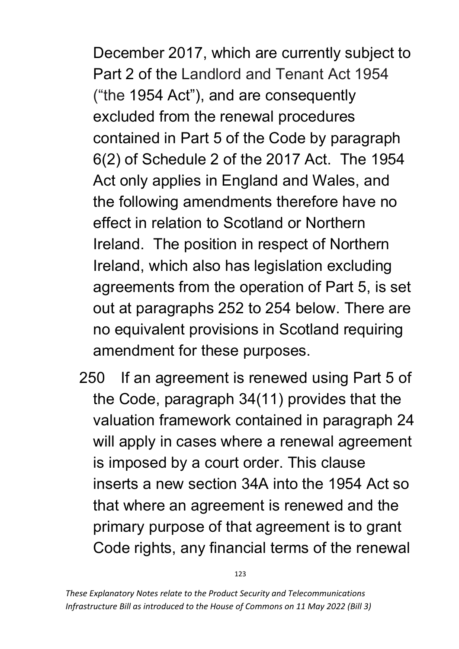December 2017, which are currently subject to Part 2 of the Landlord and Tenant Act 1954 ("the 1954 Act"), and are consequently excluded from the renewal procedures contained in Part 5 of the Code by paragraph 6(2) of Schedule 2 of the 2017 Act. The 1954 Act only applies in England and Wales, and the following amendments therefore have no effect in relation to Scotland or Northern Ireland. The position in respect of Northern Ireland, which also has legislation excluding agreements from the operation of Part 5, is set out at paragraphs 252 to 254 below. There are no equivalent provisions in Scotland requiring amendment for these purposes.

250 If an agreement is renewed using Part 5 of the Code, paragraph 34(11) provides that the valuation framework contained in paragraph 24 will apply in cases where a renewal agreement is imposed by a court order. This clause inserts a new section 34A into the 1954 Act so that where an agreement is renewed and the primary purpose of that agreement is to grant Code rights, any financial terms of the renewal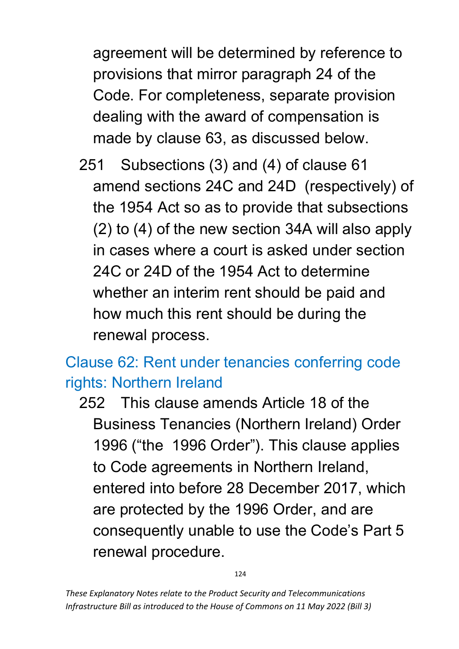agreement will be determined by reference to provisions that mirror paragraph 24 of the Code. For completeness, separate provision dealing with the award of compensation is made by clause 63, as discussed below.

251 Subsections (3) and (4) of clause 61 amend sections 24C and 24D (respectively) of the 1954 Act so as to provide that subsections (2) to (4) of the new section 34A will also apply in cases where a court is asked under section 24C or 24D of the 1954 Act to determine whether an interim rent should be paid and how much this rent should be during the renewal process.

## Clause 62: Rent under tenancies conferring code rights: Northern Ireland

252 This clause amends Article 18 of the Business Tenancies (Northern Ireland) Order 1996 ("the 1996 Order"). This clause applies to Code agreements in Northern Ireland, entered into before 28 December 2017, which are protected by the 1996 Order, and are consequently unable to use the Code's Part 5 renewal procedure.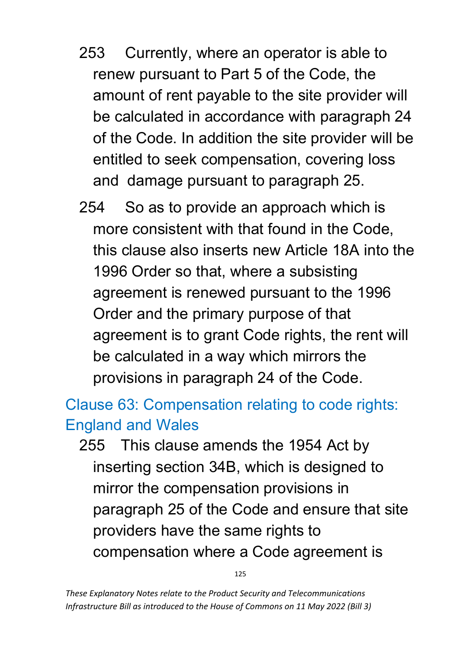- 253 Currently, where an operator is able to renew pursuant to Part 5 of the Code, the amount of rent payable to the site provider will be calculated in accordance with paragraph 24 of the Code. In addition the site provider will be entitled to seek compensation, covering loss and damage pursuant to paragraph 25.
- 254 So as to provide an approach which is more consistent with that found in the Code, this clause also inserts new Article 18A into the 1996 Order so that, where a subsisting agreement is renewed pursuant to the 1996 Order and the primary purpose of that agreement is to grant Code rights, the rent will be calculated in a way which mirrors the provisions in paragraph 24 of the Code.

## Clause 63: Compensation relating to code rights: England and Wales

255 This clause amends the 1954 Act by inserting section 34B, which is designed to mirror the compensation provisions in paragraph 25 of the Code and ensure that site providers have the same rights to compensation where a Code agreement is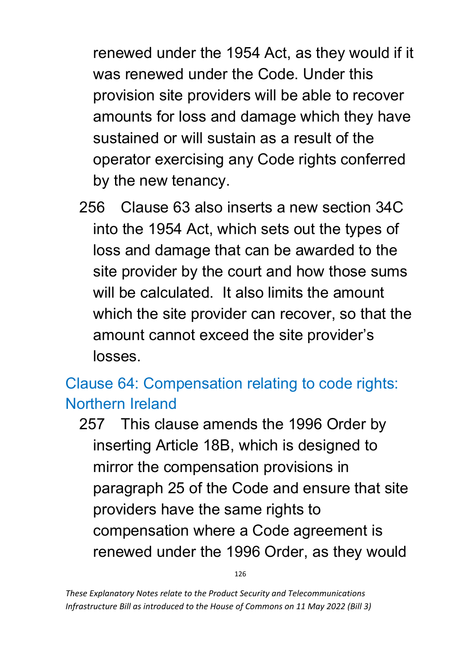renewed under the 1954 Act, as they would if it was renewed under the Code. Under this provision site providers will be able to recover amounts for loss and damage which they have sustained or will sustain as a result of the operator exercising any Code rights conferred by the new tenancy.

256 Clause 63 also inserts a new section 34C into the 1954 Act, which sets out the types of loss and damage that can be awarded to the site provider by the court and how those sums will be calculated. It also limits the amount which the site provider can recover, so that the amount cannot exceed the site provider's losses.

### Clause 64: Compensation relating to code rights: Northern Ireland

257 This clause amends the 1996 Order by inserting Article 18B, which is designed to mirror the compensation provisions in paragraph 25 of the Code and ensure that site providers have the same rights to compensation where a Code agreement is renewed under the 1996 Order, as they would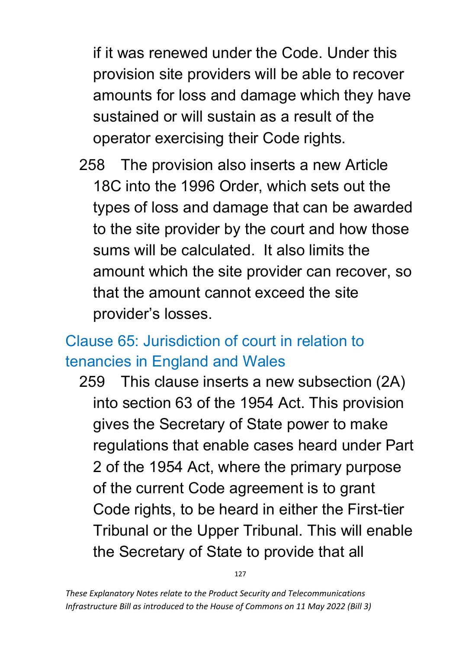if it was renewed under the Code. Under this provision site providers will be able to recover amounts for loss and damage which they have sustained or will sustain as a result of the operator exercising their Code rights.

258 The provision also inserts a new Article 18C into the 1996 Order, which sets out the types of loss and damage that can be awarded to the site provider by the court and how those sums will be calculated. It also limits the amount which the site provider can recover, so that the amount cannot exceed the site provider's losses.

## Clause 65: Jurisdiction of court in relation to tenancies in England and Wales

259 This clause inserts a new subsection (2A) into section 63 of the 1954 Act. This provision gives the Secretary of State power to make regulations that enable cases heard under Part 2 of the 1954 Act, where the primary purpose of the current Code agreement is to grant Code rights, to be heard in either the First-tier Tribunal or the Upper Tribunal. This will enable the Secretary of State to provide that all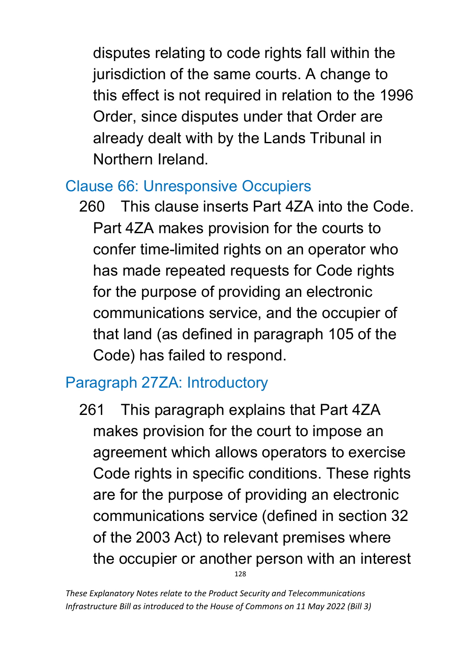disputes relating to code rights fall within the jurisdiction of the same courts. A change to this effect is not required in relation to the 1996 Order, since disputes under that Order are already dealt with by the Lands Tribunal in Northern Ireland.

#### Clause 66: Unresponsive Occupiers

260 This clause inserts Part 4ZA into the Code. Part 4ZA makes provision for the courts to confer time-limited rights on an operator who has made repeated requests for Code rights for the purpose of providing an electronic communications service, and the occupier of that land (as defined in paragraph 105 of the Code) has failed to respond.

### Paragraph 27ZA: Introductory

128 261 This paragraph explains that Part 4ZA makes provision for the court to impose an agreement which allows operators to exercise Code rights in specific conditions. These rights are for the purpose of providing an electronic communications service (defined in section 32 of the 2003 Act) to relevant premises where the occupier or another person with an interest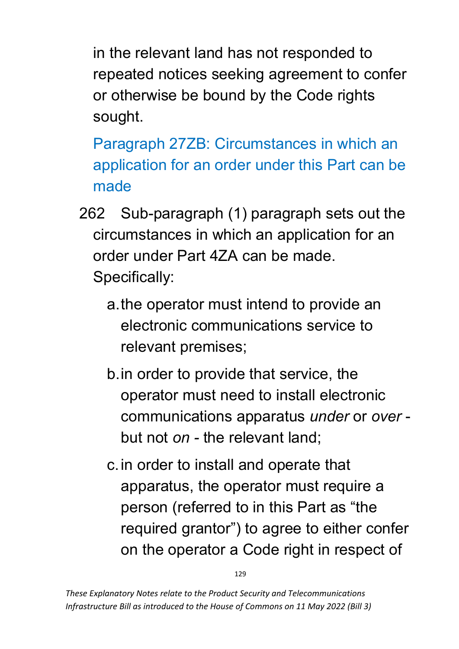in the relevant land has not responded to repeated notices seeking agreement to confer or otherwise be bound by the Code rights sought.

Paragraph 27ZB: Circumstances in which an application for an order under this Part can be made

- 262 Sub-paragraph (1) paragraph sets out the circumstances in which an application for an order under Part 4ZA can be made. Specifically:
	- a.the operator must intend to provide an electronic communications service to relevant premises;
	- b.in order to provide that service, the operator must need to install electronic communications apparatus *under* or *over* but not *on -* the relevant land;
	- c.in order to install and operate that apparatus, the operator must require a person (referred to in this Part as "the required grantor") to agree to either confer on the operator a Code right in respect of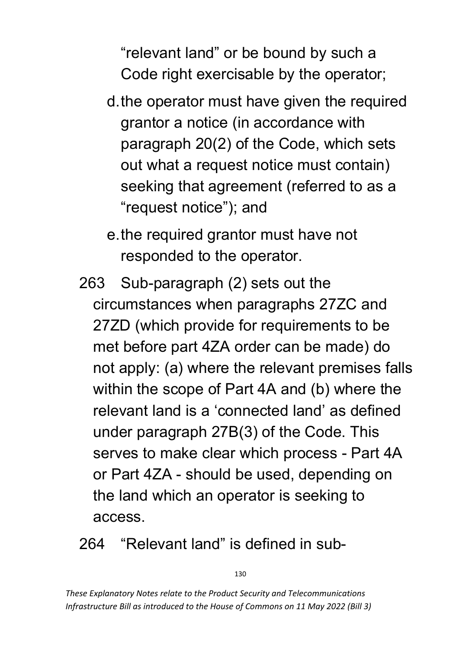"relevant land" or be bound by such a Code right exercisable by the operator;

- d.the operator must have given the required grantor a notice (in accordance with paragraph 20(2) of the Code, which sets out what a request notice must contain) seeking that agreement (referred to as a "request notice"); and
- e.the required grantor must have not responded to the operator.
- 263 Sub-paragraph (2) sets out the circumstances when paragraphs 27ZC and 27ZD (which provide for requirements to be met before part 4ZA order can be made) do not apply: (a) where the relevant premises falls within the scope of Part 4A and (b) where the relevant land is a 'connected land' as defined under paragraph 27B(3) of the Code. This serves to make clear which process - Part 4A or Part 4ZA - should be used, depending on the land which an operator is seeking to access.

#### 264 "Relevant land" is defined in sub-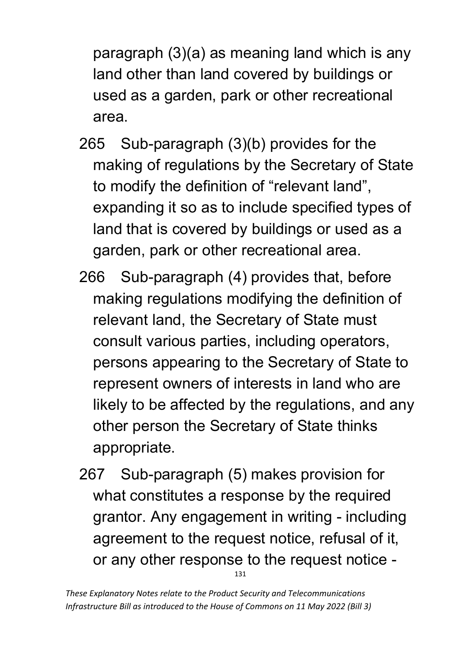paragraph (3)(a) as meaning land which is any land other than land covered by buildings or used as a garden, park or other recreational area.

- 265 Sub-paragraph (3)(b) provides for the making of regulations by the Secretary of State to modify the definition of "relevant land", expanding it so as to include specified types of land that is covered by buildings or used as a garden, park or other recreational area.
- 266 Sub-paragraph (4) provides that, before making regulations modifying the definition of relevant land, the Secretary of State must consult various parties, including operators, persons appearing to the Secretary of State to represent owners of interests in land who are likely to be affected by the regulations, and any other person the Secretary of State thinks appropriate.
- 131 267 Sub-paragraph (5) makes provision for what constitutes a response by the required grantor. Any engagement in writing - including agreement to the request notice, refusal of it, or any other response to the request notice -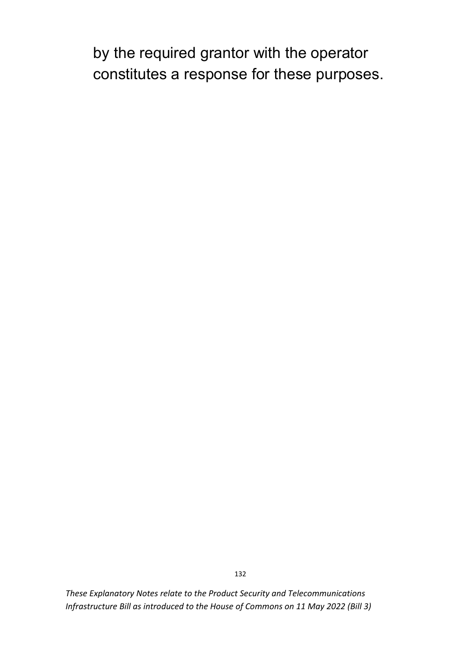by the required grantor with the operator constitutes a response for these purposes.

*These Explanatory Notes relate to the Product Security and Telecommunications Infrastructure Bill as introduced to the House of Commons on 11 May 2022 (Bill 3)*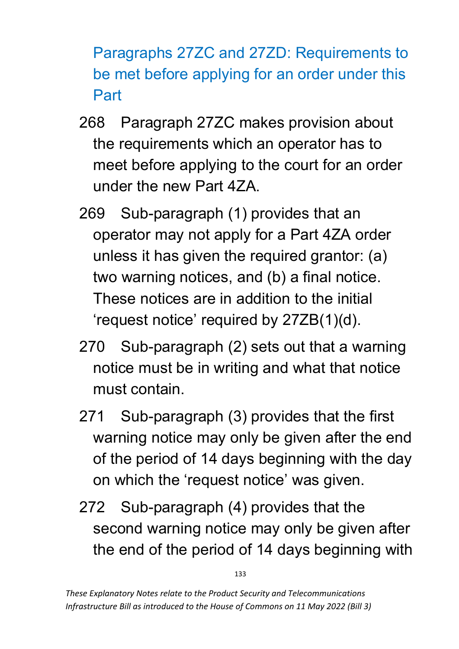Paragraphs 27ZC and 27ZD: Requirements to be met before applying for an order under this Part

- 268 Paragraph 27ZC makes provision about the requirements which an operator has to meet before applying to the court for an order under the new Part 4ZA.
- 269 Sub-paragraph (1) provides that an operator may not apply for a Part 4ZA order unless it has given the required grantor: (a) two warning notices, and (b) a final notice. These notices are in addition to the initial 'request notice' required by 27ZB(1)(d).
- 270 Sub-paragraph (2) sets out that a warning notice must be in writing and what that notice must contain.
- 271 Sub-paragraph (3) provides that the first warning notice may only be given after the end of the period of 14 days beginning with the day on which the 'request notice' was given.
- 272 Sub-paragraph (4) provides that the second warning notice may only be given after the end of the period of 14 days beginning with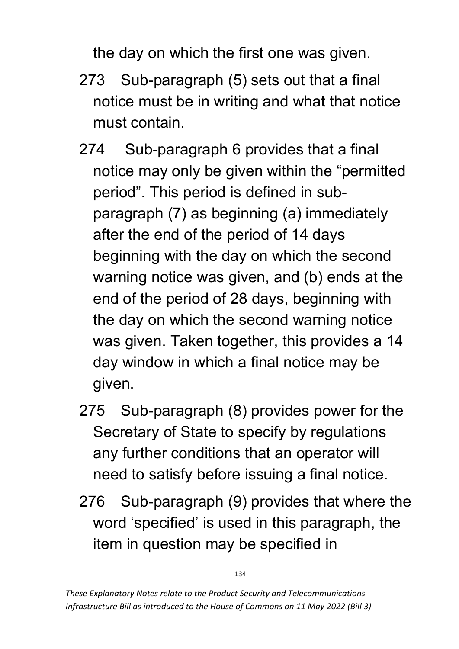the day on which the first one was given.

- 273 Sub-paragraph (5) sets out that a final notice must be in writing and what that notice must contain.
- 274 Sub-paragraph 6 provides that a final notice may only be given within the "permitted period". This period is defined in subparagraph (7) as beginning (a) immediately after the end of the period of 14 days beginning with the day on which the second warning notice was given, and (b) ends at the end of the period of 28 days, beginning with the day on which the second warning notice was given. Taken together, this provides a 14 day window in which a final notice may be given.
- 275 Sub-paragraph (8) provides power for the Secretary of State to specify by regulations any further conditions that an operator will need to satisfy before issuing a final notice.
- 276 Sub-paragraph (9) provides that where the word 'specified' is used in this paragraph, the item in question may be specified in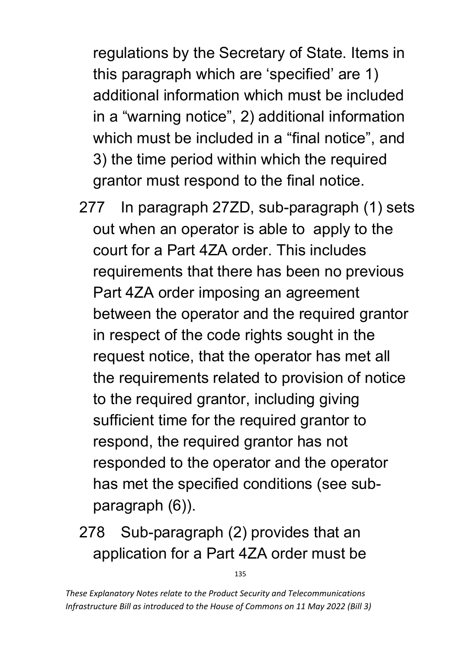regulations by the Secretary of State. Items in this paragraph which are 'specified' are 1) additional information which must be included in a "warning notice", 2) additional information which must be included in a "final notice", and 3) the time period within which the required grantor must respond to the final notice.

- 277 In paragraph 27ZD, sub-paragraph (1) sets out when an operator is able to apply to the court for a Part 4ZA order. This includes requirements that there has been no previous Part 4ZA order imposing an agreement between the operator and the required grantor in respect of the code rights sought in the request notice, that the operator has met all the requirements related to provision of notice to the required grantor, including giving sufficient time for the required grantor to respond, the required grantor has not responded to the operator and the operator has met the specified conditions (see subparagraph (6)).
- 278 Sub-paragraph (2) provides that an application for a Part 4ZA order must be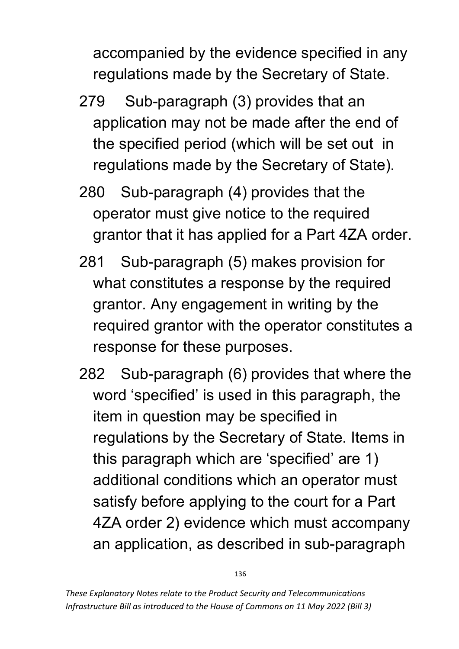accompanied by the evidence specified in any regulations made by the Secretary of State.

- 279 Sub-paragraph (3) provides that an application may not be made after the end of the specified period (which will be set out in regulations made by the Secretary of State).
- 280 Sub-paragraph (4) provides that the operator must give notice to the required grantor that it has applied for a Part 4ZA order.
- 281 Sub-paragraph (5) makes provision for what constitutes a response by the required grantor. Any engagement in writing by the required grantor with the operator constitutes a response for these purposes.
- 282 Sub-paragraph (6) provides that where the word 'specified' is used in this paragraph, the item in question may be specified in regulations by the Secretary of State. Items in this paragraph which are 'specified' are 1) additional conditions which an operator must satisfy before applying to the court for a Part 4ZA order 2) evidence which must accompany an application, as described in sub-paragraph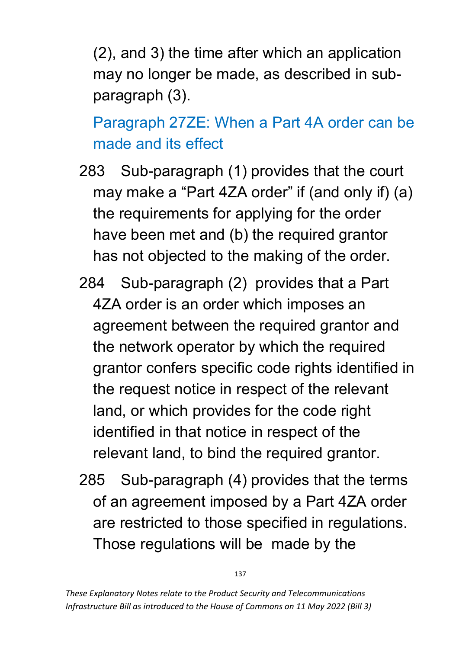(2), and 3) the time after which an application may no longer be made, as described in subparagraph (3).

Paragraph 27ZE: When a Part 4A order can be made and its effect

- 283 Sub-paragraph (1) provides that the court may make a "Part 4ZA order" if (and only if) (a) the requirements for applying for the order have been met and (b) the required grantor has not objected to the making of the order.
- 284 Sub-paragraph (2) provides that a Part 4ZA order is an order which imposes an agreement between the required grantor and the network operator by which the required grantor confers specific code rights identified in the request notice in respect of the relevant land, or which provides for the code right identified in that notice in respect of the relevant land, to bind the required grantor.
- 285 Sub-paragraph (4) provides that the terms of an agreement imposed by a Part 4ZA order are restricted to those specified in regulations. Those regulations will be made by the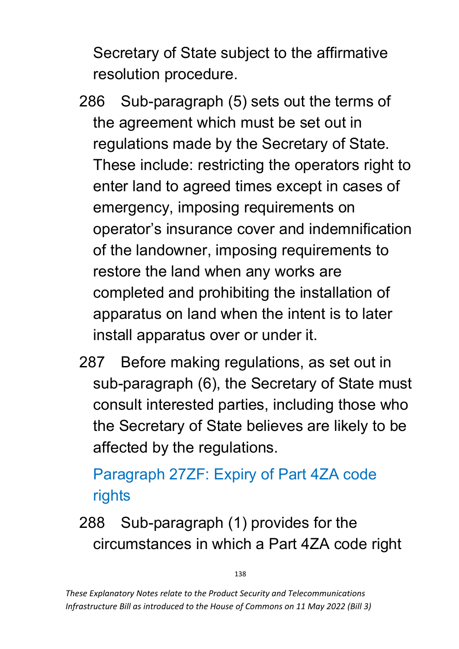Secretary of State subject to the affirmative resolution procedure.

- 286 Sub-paragraph (5) sets out the terms of the agreement which must be set out in regulations made by the Secretary of State. These include: restricting the operators right to enter land to agreed times except in cases of emergency, imposing requirements on operator's insurance cover and indemnification of the landowner, imposing requirements to restore the land when any works are completed and prohibiting the installation of apparatus on land when the intent is to later install apparatus over or under it.
- 287 Before making regulations, as set out in sub-paragraph (6), the Secretary of State must consult interested parties, including those who the Secretary of State believes are likely to be affected by the regulations.

# Paragraph 27ZF: Expiry of Part 4ZA code rights

288 Sub-paragraph (1) provides for the circumstances in which a Part 4ZA code right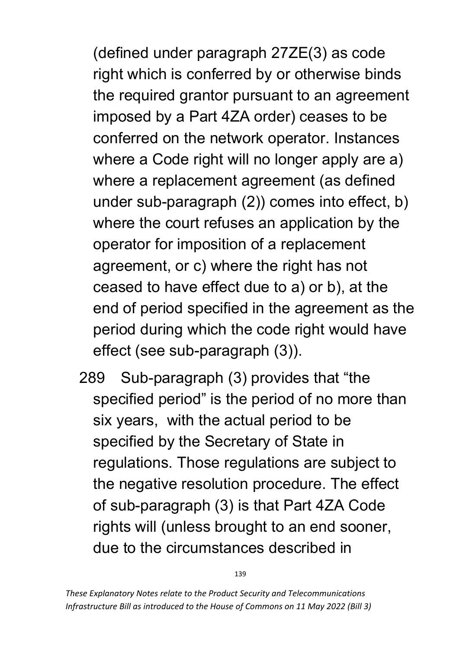(defined under paragraph 27ZE(3) as code right which is conferred by or otherwise binds the required grantor pursuant to an agreement imposed by a Part 4ZA order) ceases to be conferred on the network operator. Instances where a Code right will no longer apply are a) where a replacement agreement (as defined under sub-paragraph (2)) comes into effect, b) where the court refuses an application by the operator for imposition of a replacement agreement, or c) where the right has not ceased to have effect due to a) or b), at the end of period specified in the agreement as the period during which the code right would have effect (see sub-paragraph (3)).

289 Sub-paragraph (3) provides that "the specified period" is the period of no more than six years, with the actual period to be specified by the Secretary of State in regulations. Those regulations are subject to the negative resolution procedure. The effect of sub-paragraph (3) is that Part 4ZA Code rights will (unless brought to an end sooner, due to the circumstances described in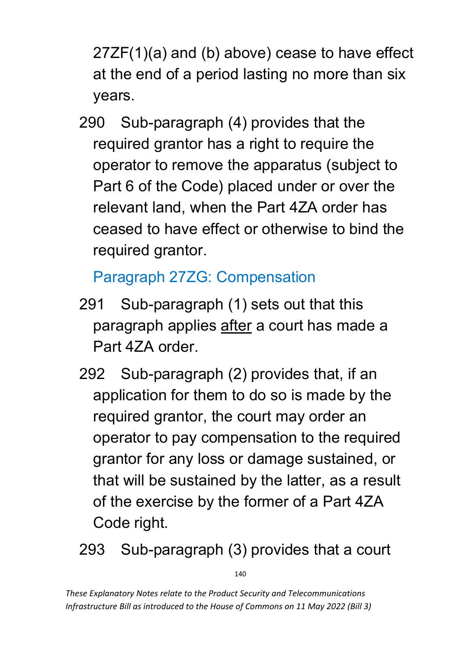27ZF(1)(a) and (b) above) cease to have effect at the end of a period lasting no more than six years.

290 Sub-paragraph (4) provides that the required grantor has a right to require the operator to remove the apparatus (subject to Part 6 of the Code) placed under or over the relevant land, when the Part 4ZA order has ceased to have effect or otherwise to bind the required grantor.

## Paragraph 27ZG: Compensation

- 291 Sub-paragraph (1) sets out that this paragraph applies after a court has made a Part 4ZA order.
- 292 Sub-paragraph (2) provides that, if an application for them to do so is made by the required grantor, the court may order an operator to pay compensation to the required grantor for any loss or damage sustained, or that will be sustained by the latter, as a result of the exercise by the former of a Part 4ZA Code right.
- 293 Sub-paragraph (3) provides that a court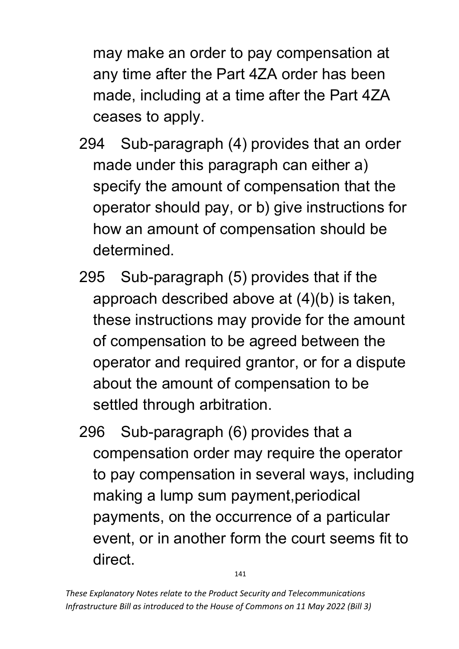may make an order to pay compensation at any time after the Part 4ZA order has been made, including at a time after the Part 4ZA ceases to apply.

- 294 Sub-paragraph (4) provides that an order made under this paragraph can either a) specify the amount of compensation that the operator should pay, or b) give instructions for how an amount of compensation should be determined.
- 295 Sub-paragraph (5) provides that if the approach described above at (4)(b) is taken, these instructions may provide for the amount of compensation to be agreed between the operator and required grantor, or for a dispute about the amount of compensation to be settled through arbitration.
- 296 Sub-paragraph (6) provides that a compensation order may require the operator to pay compensation in several ways, including making a lump sum payment,periodical payments, on the occurrence of a particular event, or in another form the court seems fit to direct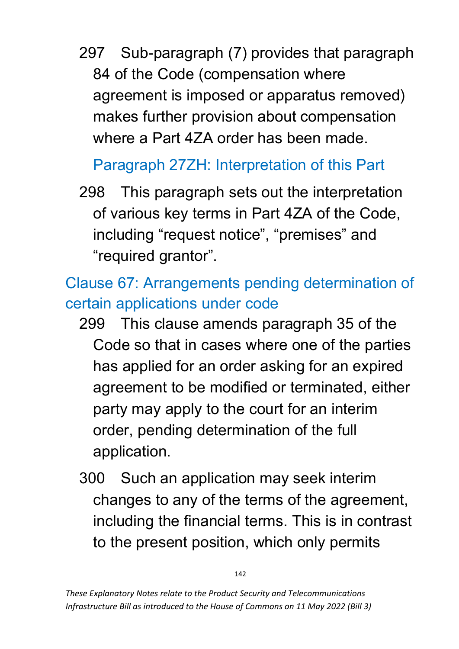297 Sub-paragraph (7) provides that paragraph 84 of the Code (compensation where agreement is imposed or apparatus removed) makes further provision about compensation where a Part 4ZA order has been made.

# Paragraph 27ZH: Interpretation of this Part

298 This paragraph sets out the interpretation of various key terms in Part 4ZA of the Code, including "request notice", "premises" and "required grantor".

# Clause 67: Arrangements pending determination of certain applications under code

- 299 This clause amends paragraph 35 of the Code so that in cases where one of the parties has applied for an order asking for an expired agreement to be modified or terminated, either party may apply to the court for an interim order, pending determination of the full application.
- 300 Such an application may seek interim changes to any of the terms of the agreement, including the financial terms. This is in contrast to the present position, which only permits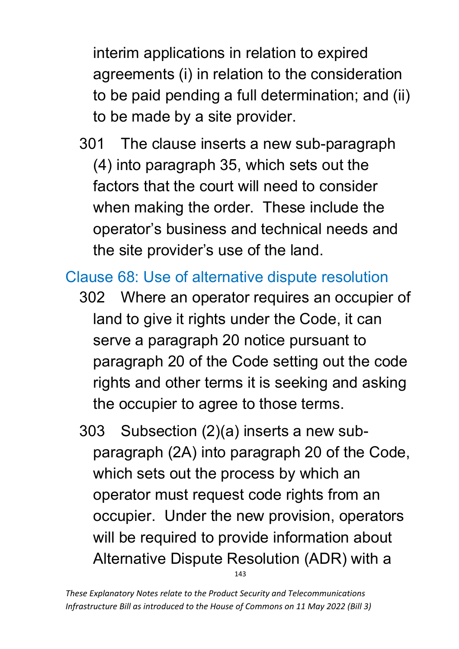interim applications in relation to expired agreements (i) in relation to the consideration to be paid pending a full determination; and (ii) to be made by a site provider.

301 The clause inserts a new sub-paragraph (4) into paragraph 35, which sets out the factors that the court will need to consider when making the order. These include the operator's business and technical needs and the site provider's use of the land.

### Clause 68: Use of alternative dispute resolution

- 302 Where an operator requires an occupier of land to give it rights under the Code, it can serve a paragraph 20 notice pursuant to paragraph 20 of the Code setting out the code rights and other terms it is seeking and asking the occupier to agree to those terms.
- 143 303 Subsection (2)(a) inserts a new subparagraph (2A) into paragraph 20 of the Code, which sets out the process by which an operator must request code rights from an occupier. Under the new provision, operators will be required to provide information about Alternative Dispute Resolution (ADR) with a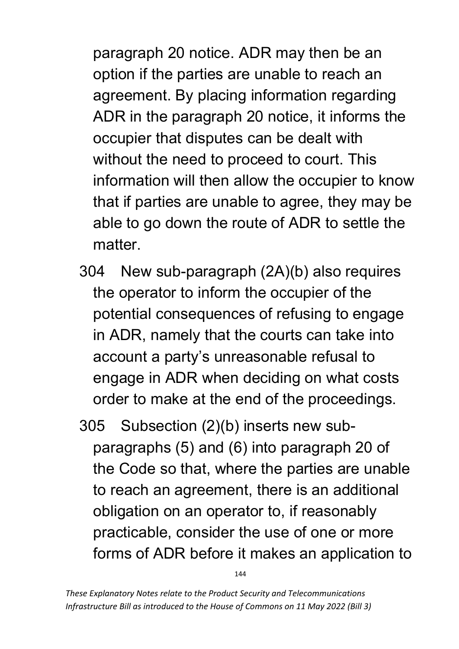paragraph 20 notice. ADR may then be an option if the parties are unable to reach an agreement. By placing information regarding ADR in the paragraph 20 notice, it informs the occupier that disputes can be dealt with without the need to proceed to court. This information will then allow the occupier to know that if parties are unable to agree, they may be able to go down the route of ADR to settle the matter.

- 304 New sub-paragraph (2A)(b) also requires the operator to inform the occupier of the potential consequences of refusing to engage in ADR, namely that the courts can take into account a party's unreasonable refusal to engage in ADR when deciding on what costs order to make at the end of the proceedings.
- 305 Subsection (2)(b) inserts new subparagraphs (5) and (6) into paragraph 20 of the Code so that, where the parties are unable to reach an agreement, there is an additional obligation on an operator to, if reasonably practicable, consider the use of one or more forms of ADR before it makes an application to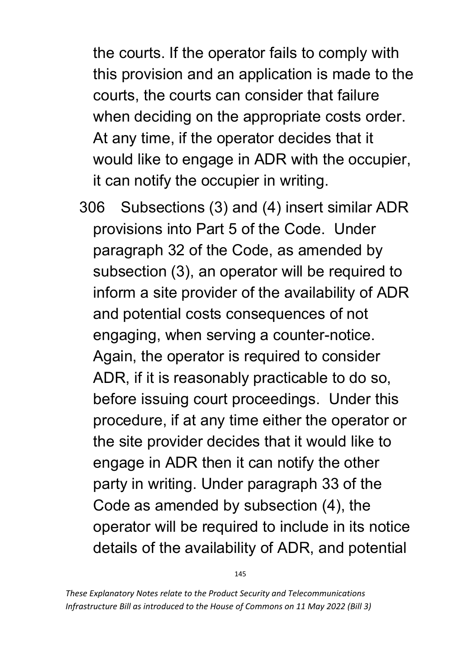the courts. If the operator fails to comply with this provision and an application is made to the courts, the courts can consider that failure when deciding on the appropriate costs order. At any time, if the operator decides that it would like to engage in ADR with the occupier, it can notify the occupier in writing.

306 Subsections (3) and (4) insert similar ADR provisions into Part 5 of the Code. Under paragraph 32 of the Code, as amended by subsection (3), an operator will be required to inform a site provider of the availability of ADR and potential costs consequences of not engaging, when serving a counter-notice. Again, the operator is required to consider ADR, if it is reasonably practicable to do so, before issuing court proceedings. Under this procedure, if at any time either the operator or the site provider decides that it would like to engage in ADR then it can notify the other party in writing. Under paragraph 33 of the Code as amended by subsection (4), the operator will be required to include in its notice details of the availability of ADR, and potential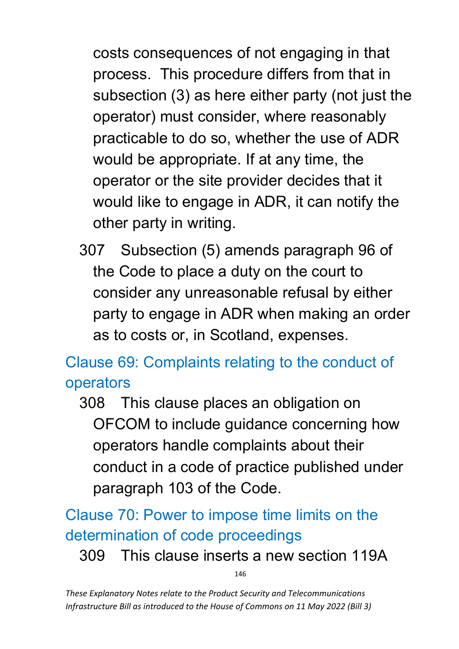costs consequences of not engaging in that process. This procedure differs from that in subsection (3) as here either party (not just the operator) must consider, where reasonably practicable to do so, whether the use of ADR would be appropriate. If at any time, the operator or the site provider decides that it would like to engage in ADR, it can notify the other party in writing.

307 Subsection (5) amends paragraph 96 of the Code to place a duty on the court to consider any unreasonable refusal by either party to engage in ADR when making an order as to costs or, in Scotland, expenses.

Clause 69: Complaints relating to the conduct of operators

308 This clause places an obligation on OFCOM to include guidance concerning how operators handle complaints about their conduct in a code of practice published under paragraph 103 of the Code.

Clause 70: Power to impose time limits on the determination of code proceedings

309 This clause inserts a new section 119A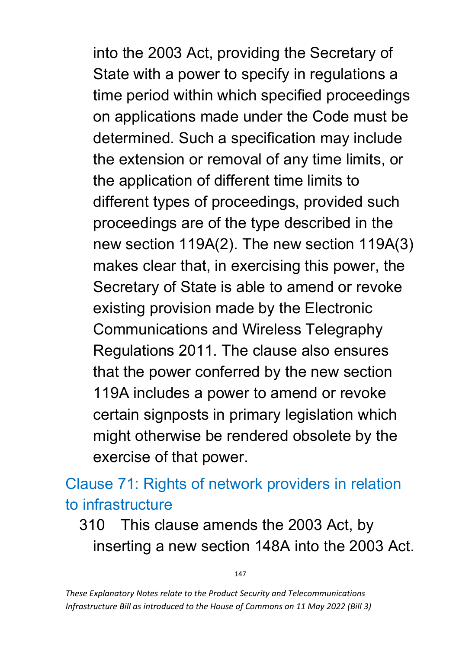into the 2003 Act, providing the Secretary of State with a power to specify in regulations a time period within which specified proceedings on applications made under the Code must be determined. Such a specification may include the extension or removal of any time limits, or the application of different time limits to different types of proceedings, provided such proceedings are of the type described in the new section 119A(2). The new section 119A(3) makes clear that, in exercising this power, the Secretary of State is able to amend or revoke existing provision made by the Electronic Communications and Wireless Telegraphy Regulations 2011. The clause also ensures that the power conferred by the new section 119A includes a power to amend or revoke certain signposts in primary legislation which might otherwise be rendered obsolete by the exercise of that power.

Clause 71: Rights of network providers in relation to infrastructure

## 310 This clause amends the 2003 Act, by inserting a new section 148A into the 2003 Act.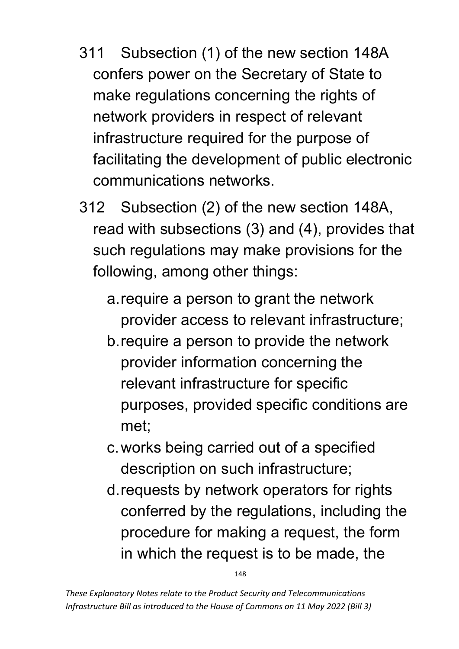- 311 Subsection (1) of the new section 148A confers power on the Secretary of State to make regulations concerning the rights of network providers in respect of relevant infrastructure required for the purpose of facilitating the development of public electronic communications networks.
- 312 Subsection (2) of the new section 148A, read with subsections (3) and (4), provides that such regulations may make provisions for the following, among other things:
	- a.require a person to grant the network provider access to relevant infrastructure;
	- b.require a person to provide the network provider information concerning the relevant infrastructure for specific purposes, provided specific conditions are met;
	- c.works being carried out of a specified description on such infrastructure;
	- d.requests by network operators for rights conferred by the regulations, including the procedure for making a request, the form in which the request is to be made, the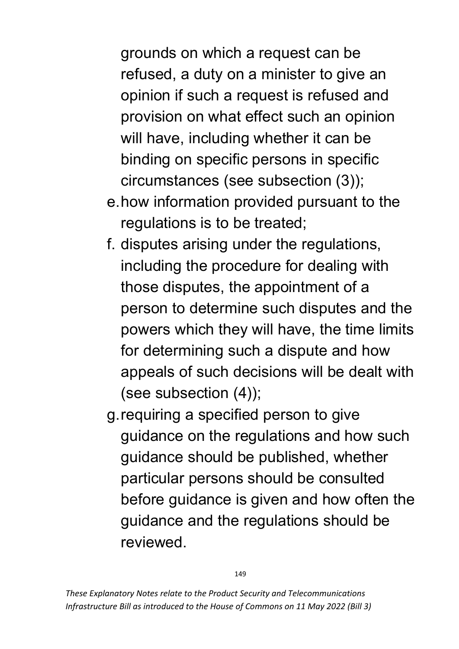grounds on which a request can be refused, a duty on a minister to give an opinion if such a request is refused and provision on what effect such an opinion will have, including whether it can be binding on specific persons in specific circumstances (see subsection (3));

- e.how information provided pursuant to the regulations is to be treated;
- f. disputes arising under the regulations, including the procedure for dealing with those disputes, the appointment of a person to determine such disputes and the powers which they will have, the time limits for determining such a dispute and how appeals of such decisions will be dealt with (see subsection (4));
- g.requiring a specified person to give guidance on the regulations and how such guidance should be published, whether particular persons should be consulted before guidance is given and how often the guidance and the regulations should be reviewed.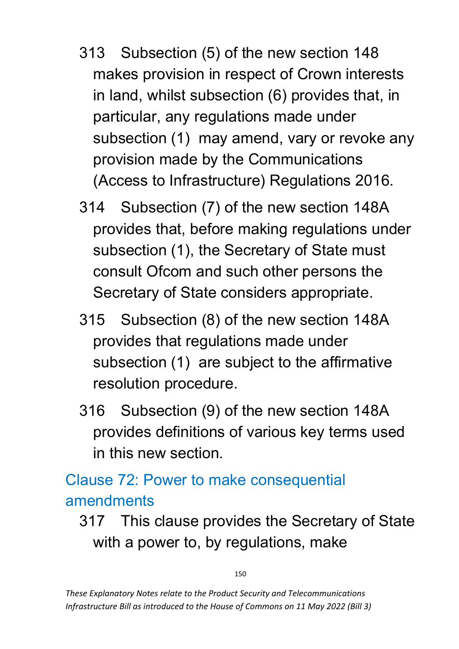- 313 Subsection (5) of the new section 148 makes provision in respect of Crown interests in land, whilst subsection (6) provides that, in particular, any regulations made under subsection (1) may amend, vary or revoke any provision made by the Communications (Access to Infrastructure) Regulations 2016.
- 314 Subsection (7) of the new section 148A provides that, before making regulations under subsection (1), the Secretary of State must consult Ofcom and such other persons the Secretary of State considers appropriate.
- 315 Subsection (8) of the new section 148A provides that regulations made under subsection (1) are subject to the affirmative resolution procedure.
- 316 Subsection (9) of the new section 148A provides definitions of various key terms used in this new section.

## Clause 72: Power to make consequential amendments

317 This clause provides the Secretary of State with a power to, by regulations, make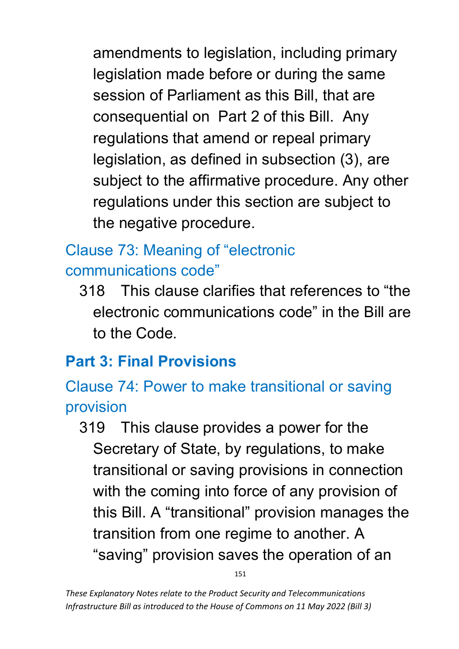amendments to legislation, including primary legislation made before or during the same session of Parliament as this Bill, that are consequential on Part 2 of this Bill. Any regulations that amend or repeal primary legislation, as defined in subsection (3), are subject to the affirmative procedure. Any other regulations under this section are subject to the negative procedure.

# Clause 73: Meaning of "electronic communications code"

318 This clause clarifies that references to "the electronic communications code" in the Bill are to the Code.

# **Part 3: Final Provisions**

Clause 74: Power to make transitional or saving provision

319 This clause provides a power for the Secretary of State, by regulations, to make transitional or saving provisions in connection with the coming into force of any provision of this Bill. A "transitional" provision manages the transition from one regime to another. A "saving" provision saves the operation of an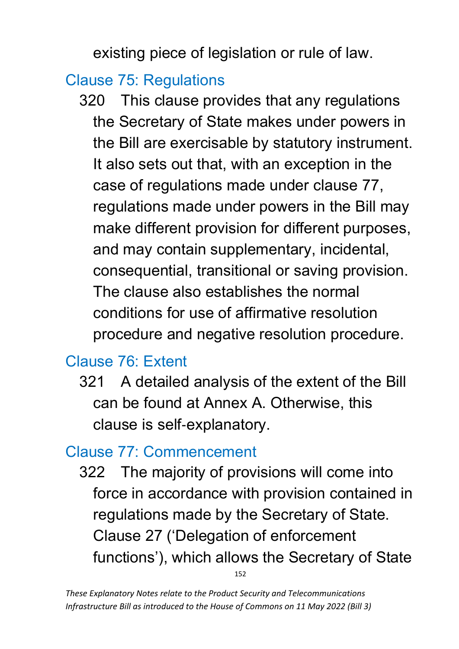existing piece of legislation or rule of law.

#### Clause 75: Regulations

320 This clause provides that any regulations the Secretary of State makes under powers in the Bill are exercisable by statutory instrument. It also sets out that, with an exception in the case of regulations made under clause 77, regulations made under powers in the Bill may make different provision for different purposes, and may contain supplementary, incidental, consequential, transitional or saving provision. The clause also establishes the normal conditions for use of affirmative resolution procedure and negative resolution procedure.

## Clause 76: Extent

321 A detailed analysis of the extent of the Bill can be found at Annex A. Otherwise, this clause is self‐explanatory.

#### Clause 77: Commencement

152 322 The majority of provisions will come into force in accordance with provision contained in regulations made by the Secretary of State. Clause 27 ('Delegation of enforcement functions'), which allows the Secretary of State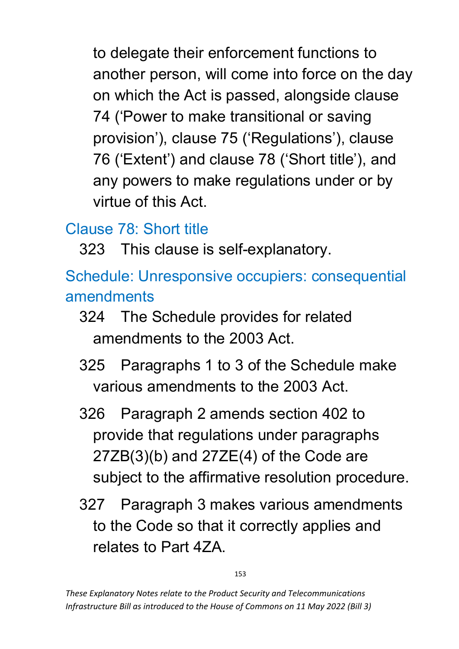to delegate their enforcement functions to another person, will come into force on the day on which the Act is passed, alongside clause 74 ('Power to make transitional or saving provision'), clause 75 ('Regulations'), clause 76 ('Extent') and clause 78 ('Short title'), and any powers to make regulations under or by virtue of this Act.

## Clause 78: Short title

323 This clause is self-explanatory.

Schedule: Unresponsive occupiers: consequential amendments

- 324 The Schedule provides for related amendments to the 2003 Act.
- 325 Paragraphs 1 to 3 of the Schedule make various amendments to the 2003 Act.
- 326 Paragraph 2 amends section 402 to provide that regulations under paragraphs 27ZB(3)(b) and 27ZE(4) of the Code are subject to the affirmative resolution procedure.
- 327 Paragraph 3 makes various amendments to the Code so that it correctly applies and relates to Part 4ZA.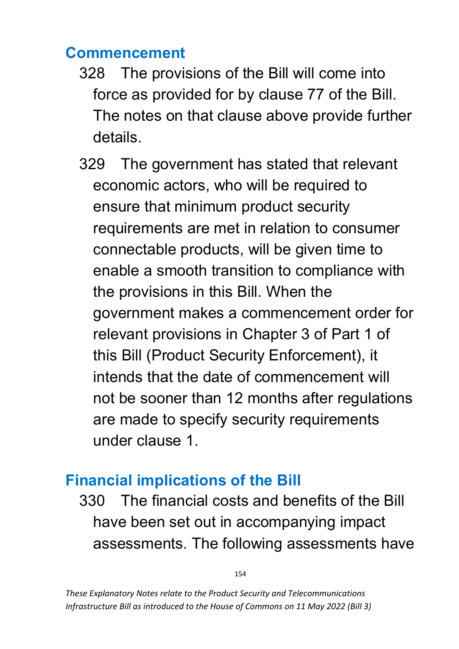#### **Commencement**

- 328 The provisions of the Bill will come into force as provided for by clause 77 of the Bill. The notes on that clause above provide further details.
- 329 The government has stated that relevant economic actors, who will be required to ensure that minimum product security requirements are met in relation to consumer connectable products, will be given time to enable a smooth transition to compliance with the provisions in this Bill. When the government makes a commencement order for relevant provisions in Chapter 3 of Part 1 of this Bill (Product Security Enforcement), it intends that the date of commencement will not be sooner than 12 months after regulations are made to specify security requirements under clause 1.

# **Financial implications of the Bill**

330 The financial costs and benefits of the Bill have been set out in accompanying impact assessments. The following assessments have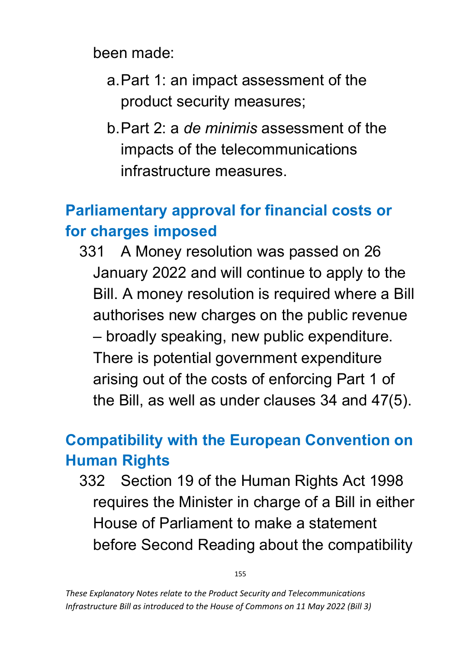been made:

- a.Part 1: an impact assessment of the product security measures;
- b.Part 2: a *de minimis* assessment of the impacts of the telecommunications infrastructure measures.

## **Parliamentary approval for financial costs or for charges imposed**

331 A Money resolution was passed on 26 January 2022 and will continue to apply to the Bill. A money resolution is required where a Bill authorises new charges on the public revenue – broadly speaking, new public expenditure. There is potential government expenditure arising out of the costs of enforcing Part 1 of the Bill, as well as under clauses 34 and 47(5).

## **Compatibility with the European Convention on Human Rights**

332 Section 19 of the Human Rights Act 1998 requires the Minister in charge of a Bill in either House of Parliament to make a statement before Second Reading about the compatibility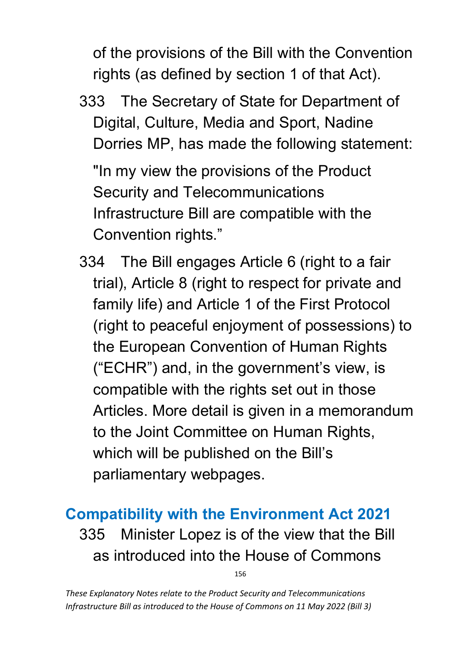of the provisions of the Bill with the Convention rights (as defined by section 1 of that Act).

333 The Secretary of State for Department of Digital, Culture, Media and Sport, Nadine Dorries MP, has made the following statement:

"In my view the provisions of the Product Security and Telecommunications Infrastructure Bill are compatible with the Convention rights."

334 The Bill engages Article 6 (right to a fair trial), Article 8 (right to respect for private and family life) and Article 1 of the First Protocol (right to peaceful enjoyment of possessions) to the European Convention of Human Rights ("ECHR") and, in the government's view, is compatible with the rights set out in those Articles. More detail is given in a memorandum to the Joint Committee on Human Rights, which will be published on the Bill's parliamentary webpages.

# **Compatibility with the Environment Act 2021** 335 Minister Lopez is of the view that the Bill as introduced into the House of Commons

156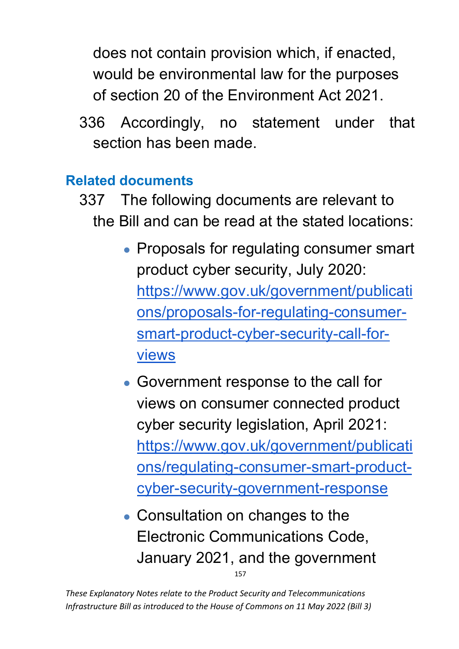does not contain provision which, if enacted, would be environmental law for the purposes of section 20 of the Environment Act 2021.

336 Accordingly, no statement under that section has been made.

#### **Related documents**

- 337 The following documents are relevant to the Bill and can be read at the stated locations:
	- Proposals for regulating consumer smart product cyber security, July 2020: [https://www.gov.uk/government/publicati](https://www.gov.uk/government/publications/proposals-for-regulating-consumer-smart-product-cyber-security-call-for-views) [ons/proposals-for-regulating-consumer](https://www.gov.uk/government/publications/proposals-for-regulating-consumer-smart-product-cyber-security-call-for-views)[smart-product-cyber-security-call-for](https://www.gov.uk/government/publications/proposals-for-regulating-consumer-smart-product-cyber-security-call-for-views)[views](https://www.gov.uk/government/publications/proposals-for-regulating-consumer-smart-product-cyber-security-call-for-views)
	- Government response to the call for views on consumer connected product cyber security legislation, April 2021: [https://www.gov.uk/government/publicati](https://www.gov.uk/government/publications/regulating-consumer-smart-product-cyber-security-government-response) [ons/regulating-consumer-smart-product](https://www.gov.uk/government/publications/regulating-consumer-smart-product-cyber-security-government-response)[cyber-security-government-response](https://www.gov.uk/government/publications/regulating-consumer-smart-product-cyber-security-government-response)
	- 157 • Consultation on changes to the Electronic Communications Code, January 2021, and the government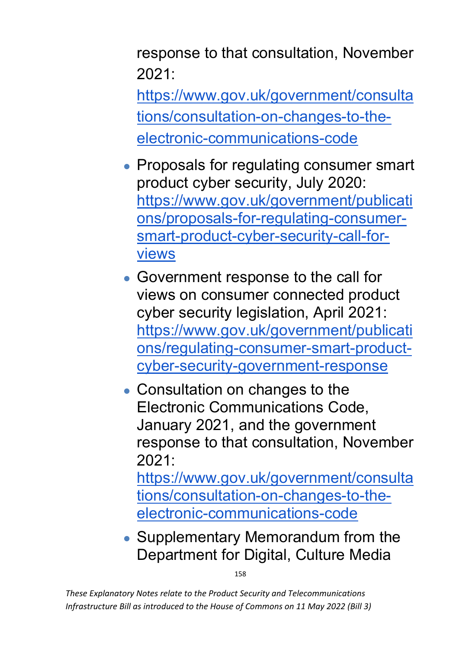response to that consultation, November  $2021$ 

[https://www.gov.uk/government/consulta](https://www.gov.uk/government/consultations/consultation-on-changes-to-the-electronic-communications-code) [tions/consultation-on-changes-to-the](https://www.gov.uk/government/consultations/consultation-on-changes-to-the-electronic-communications-code)[electronic-communications-code](https://www.gov.uk/government/consultations/consultation-on-changes-to-the-electronic-communications-code)

- Proposals for regulating consumer smart product cyber security, July 2020: [https://www.gov.uk/government/publicati](https://www.gov.uk/government/publications/proposals-for-regulating-consumer-smart-product-cyber-security-call-for-views) [ons/proposals-for-regulating-consumer](https://www.gov.uk/government/publications/proposals-for-regulating-consumer-smart-product-cyber-security-call-for-views)[smart-product-cyber-security-call-for](https://www.gov.uk/government/publications/proposals-for-regulating-consumer-smart-product-cyber-security-call-for-views)[views](https://www.gov.uk/government/publications/proposals-for-regulating-consumer-smart-product-cyber-security-call-for-views)
- Government response to the call for views on consumer connected product cyber security legislation, April 2021: [https://www.gov.uk/government/publicati](https://www.gov.uk/government/publications/regulating-consumer-smart-product-cyber-security-government-response) [ons/regulating-consumer-smart-product](https://www.gov.uk/government/publications/regulating-consumer-smart-product-cyber-security-government-response)[cyber-security-government-response](https://www.gov.uk/government/publications/regulating-consumer-smart-product-cyber-security-government-response)
- Consultation on changes to the Electronic Communications Code, January 2021, and the government response to that consultation, November  $2021$

[https://www.gov.uk/government/consulta](https://www.gov.uk/government/consultations/consultation-on-changes-to-the-electronic-communications-code) [tions/consultation-on-changes-to-the](https://www.gov.uk/government/consultations/consultation-on-changes-to-the-electronic-communications-code)[electronic-communications-code](https://www.gov.uk/government/consultations/consultation-on-changes-to-the-electronic-communications-code)

• Supplementary Memorandum from the Department for Digital, Culture Media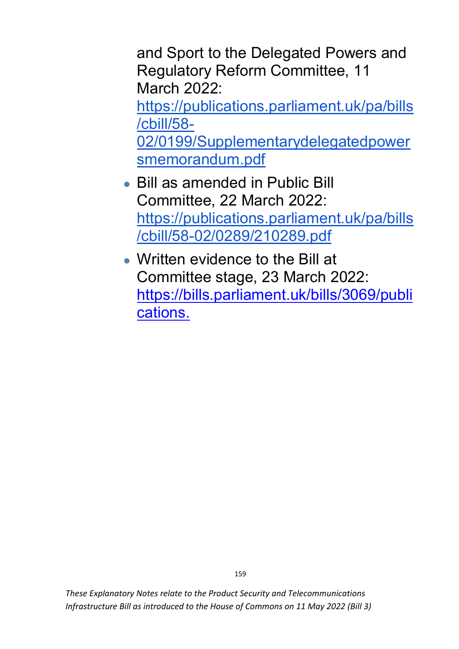and Sport to the Delegated Powers and Regulatory Reform Committee, 11 March 2022:

[https://publications.parliament.uk/pa/bills](https://publications.parliament.uk/pa/bills/cbill/58-02/0199/Supplementarydelegatedpowersmemorandum.pdf) [/cbill/58-](https://publications.parliament.uk/pa/bills/cbill/58-02/0199/Supplementarydelegatedpowersmemorandum.pdf)

[02/0199/Supplementarydelegatedpower](https://publications.parliament.uk/pa/bills/cbill/58-02/0199/Supplementarydelegatedpowersmemorandum.pdf) [smemorandum.pdf](https://publications.parliament.uk/pa/bills/cbill/58-02/0199/Supplementarydelegatedpowersmemorandum.pdf)

- Bill as amended in Public Bill Committee, 22 March 2022: [https://publications.parliament.uk/pa/bills](https://publications.parliament.uk/pa/bills/cbill/58-02/0289/210289.pdf) [/cbill/58-02/0289/210289.pdf](https://publications.parliament.uk/pa/bills/cbill/58-02/0289/210289.pdf)
- Written evidence to the Bill at Committee stage, 23 March 2022: [https://bills.parliament.uk/bills/3069/publi](https://bills.parliament.uk/bills/3069/publications) [cations.](https://bills.parliament.uk/bills/3069/publications)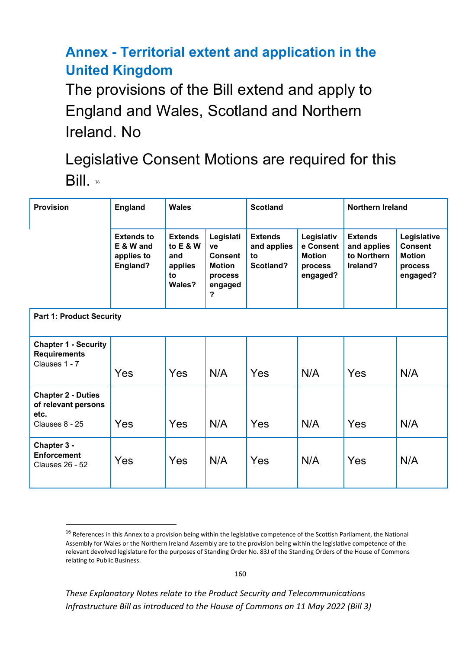#### **Annex - Territorial extent and application in the United Kingdom**

The provisions of the Bill extend and apply to England and Wales, Scotland and Northern Ireland. No

Legislative Consent Motions are required for this Bill. [16](#page-160-0)

| <b>Provision</b>                                                           | <b>England</b>                                           | <b>Wales</b>                                                   |                                                                        | <b>Scotland</b>                                  |                                                                 | <b>Northern Ireland</b>                                  |                                                                       |  |  |  |  |
|----------------------------------------------------------------------------|----------------------------------------------------------|----------------------------------------------------------------|------------------------------------------------------------------------|--------------------------------------------------|-----------------------------------------------------------------|----------------------------------------------------------|-----------------------------------------------------------------------|--|--|--|--|
|                                                                            | <b>Extends to</b><br>E & W and<br>applies to<br>England? | <b>Extends</b><br>to $E$ & W<br>and<br>applies<br>to<br>Wales? | Legislati<br>ve<br>Consent<br><b>Motion</b><br>process<br>engaged<br>? | <b>Extends</b><br>and applies<br>to<br>Scotland? | Legislativ<br>e Consent<br><b>Motion</b><br>process<br>engaged? | <b>Extends</b><br>and applies<br>to Northern<br>Ireland? | Legislative<br><b>Consent</b><br><b>Motion</b><br>process<br>engaged? |  |  |  |  |
| <b>Part 1: Product Security</b>                                            |                                                          |                                                                |                                                                        |                                                  |                                                                 |                                                          |                                                                       |  |  |  |  |
| <b>Chapter 1 - Security</b><br><b>Requirements</b><br>Clauses 1 - 7        | Yes                                                      | Yes                                                            | N/A                                                                    | Yes                                              | N/A                                                             | Yes                                                      | N/A                                                                   |  |  |  |  |
| <b>Chapter 2 - Duties</b><br>of relevant persons<br>etc.<br>Clauses 8 - 25 | Yes                                                      | Yes                                                            | N/A                                                                    | Yes                                              | N/A                                                             | Yes                                                      | N/A                                                                   |  |  |  |  |
| Chapter 3 -<br><b>Enforcement</b><br><b>Clauses 26 - 52</b>                | Yes                                                      | Yes                                                            | N/A                                                                    | Yes                                              | N/A                                                             | Yes                                                      | N/A                                                                   |  |  |  |  |

<span id="page-160-0"></span><sup>&</sup>lt;sup>16</sup> References in this Annex to a provision being within the legislative competence of the Scottish Parliament, the National Assembly for Wales or the Northern Ireland Assembly are to the provision being within the legislative competence of the relevant devolved legislature for the purposes of Standing Order No. 83J of the Standing Orders of the House of Commons relating to Public Business.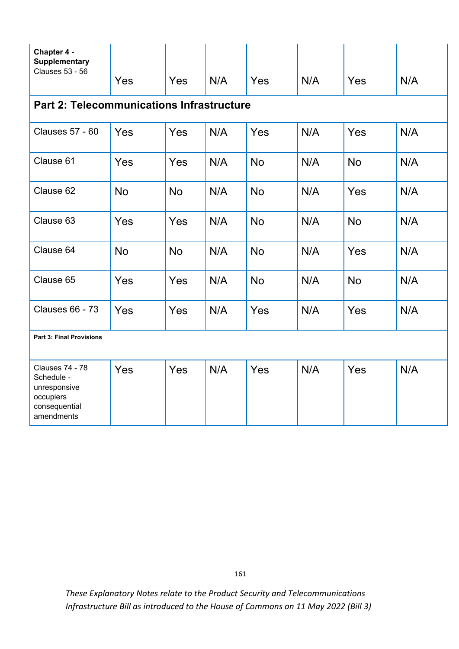| Chapter 4 -<br><b>Supplementary</b><br><b>Clauses 53 - 56</b>                                    | Yes       | Yes       | N/A | Yes       | N/A | Yes       | N/A |  |  |  |  |  |
|--------------------------------------------------------------------------------------------------|-----------|-----------|-----|-----------|-----|-----------|-----|--|--|--|--|--|
| <b>Part 2: Telecommunications Infrastructure</b>                                                 |           |           |     |           |     |           |     |  |  |  |  |  |
| <b>Clauses 57 - 60</b>                                                                           | Yes       | Yes       | N/A | Yes       | N/A | Yes       | N/A |  |  |  |  |  |
| Clause 61                                                                                        | Yes       | Yes       | N/A | <b>No</b> | N/A | <b>No</b> | N/A |  |  |  |  |  |
| Clause 62                                                                                        | <b>No</b> | <b>No</b> | N/A | <b>No</b> | N/A | Yes       | N/A |  |  |  |  |  |
| Clause 63                                                                                        | Yes       | Yes       | N/A | <b>No</b> | N/A | <b>No</b> | N/A |  |  |  |  |  |
| Clause 64                                                                                        | <b>No</b> | <b>No</b> | N/A | <b>No</b> | N/A | Yes       | N/A |  |  |  |  |  |
| Clause 65                                                                                        | Yes       | Yes       | N/A | <b>No</b> | N/A | <b>No</b> | N/A |  |  |  |  |  |
| <b>Clauses 66 - 73</b>                                                                           | Yes       | Yes       | N/A | Yes       | N/A | Yes       | N/A |  |  |  |  |  |
| <b>Part 3: Final Provisions</b>                                                                  |           |           |     |           |     |           |     |  |  |  |  |  |
| <b>Clauses 74 - 78</b><br>Schedule -<br>unresponsive<br>occupiers<br>consequential<br>amendments | Yes       | Yes       | N/A | Yes       | N/A | Yes       | N/A |  |  |  |  |  |